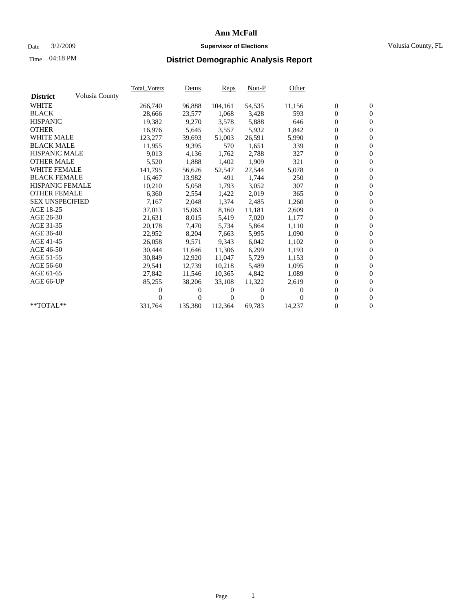## Date 3/2/2009 **Supervisor of Elections** Volusia County, FL

# Time **District Demographic Analysis Report** 04:18 PM

|                        |                | <b>Total_Voters</b> | <u>Dems</u>      | Reps     | $Non-P$  | Other    |                  |                  |  |
|------------------------|----------------|---------------------|------------------|----------|----------|----------|------------------|------------------|--|
| <b>District</b>        | Volusia County |                     |                  |          |          |          |                  |                  |  |
| <b>WHITE</b>           |                | 266,740             | 96,888           | 104,161  | 54,535   | 11,156   | $\boldsymbol{0}$ | $\boldsymbol{0}$ |  |
| <b>BLACK</b>           |                | 28,666              | 23,577           | 1,068    | 3,428    | 593      | $\overline{0}$   | $\mathbf{0}$     |  |
| <b>HISPANIC</b>        |                | 19,382              | 9,270            | 3,578    | 5,888    | 646      | 0                | $\mathbf{0}$     |  |
| <b>OTHER</b>           |                | 16,976              | 5,645            | 3,557    | 5,932    | 1,842    | $\mathbf{0}$     | $\mathbf{0}$     |  |
| <b>WHITE MALE</b>      |                | 123,277             | 39,693           | 51,003   | 26,591   | 5,990    | 0                | $\mathbf{0}$     |  |
| <b>BLACK MALE</b>      |                | 11,955              | 9,395            | 570      | 1,651    | 339      | $\overline{0}$   | $\mathbf{0}$     |  |
| <b>HISPANIC MALE</b>   |                | 9,013               | 4,136            | 1,762    | 2,788    | 327      | $\overline{0}$   | $\overline{0}$   |  |
| <b>OTHER MALE</b>      |                | 5,520               | 1,888            | 1,402    | 1,909    | 321      | 0                | $\mathbf{0}$     |  |
| <b>WHITE FEMALE</b>    |                | 141,795             | 56,626           | 52,547   | 27,544   | 5,078    | 0                | $\mathbf{0}$     |  |
| <b>BLACK FEMALE</b>    |                | 16,467              | 13,982           | 491      | 1,744    | 250      | $\boldsymbol{0}$ | $\mathbf{0}$     |  |
| HISPANIC FEMALE        |                | 10,210              | 5,058            | 1,793    | 3,052    | 307      | 0                | $\mathbf{0}$     |  |
| <b>OTHER FEMALE</b>    |                | 6,360               | 2,554            | 1,422    | 2,019    | 365      | 0                | $\overline{0}$   |  |
| <b>SEX UNSPECIFIED</b> |                | 7,167               | 2,048            | 1,374    | 2,485    | 1,260    | $\overline{0}$   | $\mathbf{0}$     |  |
| AGE 18-25              |                | 37,013              | 15,063           | 8,160    | 11,181   | 2,609    | 0                | $\mathbf{0}$     |  |
| AGE 26-30              |                | 21,631              | 8,015            | 5,419    | 7,020    | 1,177    | 0                | $\mathbf{0}$     |  |
| AGE 31-35              |                | 20,178              | 7,470            | 5,734    | 5,864    | 1,110    | $\boldsymbol{0}$ | $\overline{0}$   |  |
| AGE 36-40              |                | 22,952              | 8,204            | 7,663    | 5,995    | 1,090    | 0                | $\mathbf{0}$     |  |
| AGE 41-45              |                | 26,058              | 9,571            | 9,343    | 6,042    | 1,102    | 0                | $\mathbf{0}$     |  |
| AGE 46-50              |                | 30,444              | 11,646           | 11,306   | 6,299    | 1,193    | $\mathbf{0}$     | $\mathbf{0}$     |  |
| AGE 51-55              |                | 30,849              | 12,920           | 11,047   | 5,729    | 1,153    | 0                | $\mathbf{0}$     |  |
| AGE 56-60              |                | 29,541              | 12,739           | 10,218   | 5,489    | 1,095    | 0                | $\mathbf{0}$     |  |
| AGE 61-65              |                | 27,842              | 11,546           | 10,365   | 4,842    | 1,089    | $\overline{0}$   | $\overline{0}$   |  |
| AGE 66-UP              |                | 85,255              | 38,206           | 33,108   | 11,322   | 2,619    | 0                | $\mathbf{0}$     |  |
|                        |                | 0                   | 0                | $^{(1)}$ | 0        | $\Omega$ | 0                | $\mathbf{0}$     |  |
|                        |                |                     | $\boldsymbol{0}$ | 0        | $\Omega$ |          | $\overline{0}$   | $\mathbf{0}$     |  |
| **TOTAL**              |                | 331,764             | 135,380          | 112,364  | 69,783   | 14,237   | 0                | $\mathbf{0}$     |  |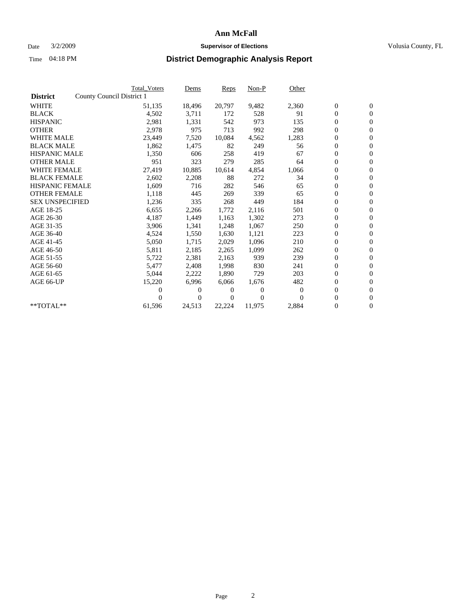### Date  $3/2/2009$  **Supervisor of Elections Supervisor of Elections** Volusia County, FL

|                        |                           | <b>Total Voters</b> | Dems           | <b>Reps</b> | $Non-P$  | Other            |                  |                  |  |
|------------------------|---------------------------|---------------------|----------------|-------------|----------|------------------|------------------|------------------|--|
| <b>District</b>        | County Council District 1 |                     |                |             |          |                  |                  |                  |  |
| <b>WHITE</b>           |                           | 51,135              | 18,496         | 20,797      | 9,482    | 2,360            | $\boldsymbol{0}$ | $\boldsymbol{0}$ |  |
| <b>BLACK</b>           |                           | 4,502               | 3,711          | 172         | 528      | 91               | $\overline{0}$   | $\mathbf{0}$     |  |
| <b>HISPANIC</b>        |                           | 2,981               | 1,331          | 542         | 973      | 135              | $\overline{0}$   | $\mathbf{0}$     |  |
| <b>OTHER</b>           |                           | 2,978               | 975            | 713         | 992      | 298              | 0                | $\mathbf{0}$     |  |
| <b>WHITE MALE</b>      |                           | 23,449              | 7,520          | 10,084      | 4,562    | 1,283            | $\boldsymbol{0}$ | $\mathbf{0}$     |  |
| <b>BLACK MALE</b>      |                           | 1,862               | 1,475          | 82          | 249      | 56               | $\boldsymbol{0}$ | $\mathbf{0}$     |  |
| <b>HISPANIC MALE</b>   |                           | 1,350               | 606            | 258         | 419      | 67               | 0                | $\mathbf{0}$     |  |
| <b>OTHER MALE</b>      |                           | 951                 | 323            | 279         | 285      | 64               | $\boldsymbol{0}$ | $\mathbf{0}$     |  |
| <b>WHITE FEMALE</b>    |                           | 27,419              | 10,885         | 10,614      | 4,854    | 1,066            | 0                | $\mathbf{0}$     |  |
| <b>BLACK FEMALE</b>    |                           | 2,602               | 2,208          | 88          | 272      | 34               | 0                | $\Omega$         |  |
| <b>HISPANIC FEMALE</b> |                           | 1,609               | 716            | 282         | 546      | 65               | $\boldsymbol{0}$ | $\mathbf{0}$     |  |
| <b>OTHER FEMALE</b>    |                           | 1,118               | 445            | 269         | 339      | 65               | $\boldsymbol{0}$ | $\mathbf{0}$     |  |
| <b>SEX UNSPECIFIED</b> |                           | 1,236               | 335            | 268         | 449      | 184              | 0                | $\mathbf{0}$     |  |
| AGE 18-25              |                           | 6,655               | 2,266          | 1,772       | 2,116    | 501              | $\boldsymbol{0}$ | $\mathbf{0}$     |  |
| AGE 26-30              |                           | 4,187               | 1,449          | 1,163       | 1,302    | 273              | 0                | $\mathbf{0}$     |  |
| AGE 31-35              |                           | 3,906               | 1,341          | 1,248       | 1,067    | 250              | 0                | $\mathbf{0}$     |  |
| AGE 36-40              |                           | 4,524               | 1,550          | 1,630       | 1,121    | 223              | $\overline{0}$   | $\mathbf{0}$     |  |
| AGE 41-45              |                           | 5,050               | 1,715          | 2,029       | 1,096    | 210              | $\boldsymbol{0}$ | $\mathbf{0}$     |  |
| AGE 46-50              |                           | 5,811               | 2,185          | 2,265       | 1,099    | 262              | 0                | $\Omega$         |  |
| AGE 51-55              |                           | 5,722               | 2,381          | 2,163       | 939      | 239              | $\boldsymbol{0}$ | $\mathbf{0}$     |  |
| AGE 56-60              |                           | 5,477               | 2,408          | 1.998       | 830      | 241              | 0                | $\mathbf{0}$     |  |
| AGE 61-65              |                           | 5,044               | 2,222          | 1,890       | 729      | 203              | 0                | $\mathbf{0}$     |  |
| AGE 66-UP              |                           | 15,220              | 6,996          | 6,066       | 1,676    | 482              | $\overline{0}$   | $\mathbf{0}$     |  |
|                        |                           | 0                   | 0              | 0           | $\theta$ | $\boldsymbol{0}$ | $\boldsymbol{0}$ | $\mathbf{0}$     |  |
|                        |                           | 0                   | $\overline{0}$ | 0           | $\Omega$ | $\Omega$         | 0                | $\mathbf{0}$     |  |
| $*$ TOTAL $**$         |                           | 61,596              | 24,513         | 22,224      | 11,975   | 2,884            | 0                | $\boldsymbol{0}$ |  |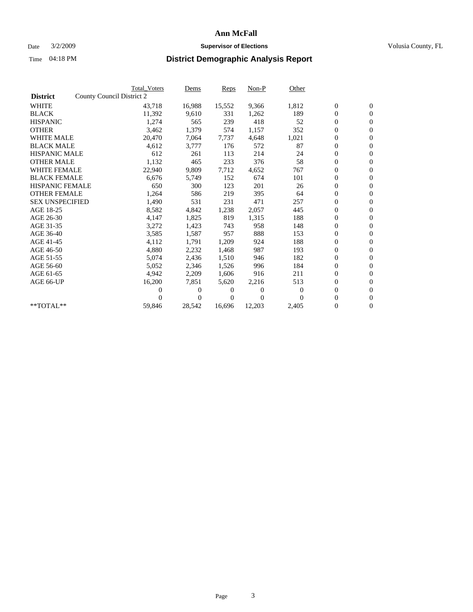## Date  $3/2/2009$  **Supervisor of Elections Supervisor of Elections** Volusia County, FL

|                        |                           | <b>Total Voters</b> | Dems   | <b>Reps</b> | Non-P    | Other    |                  |                  |  |
|------------------------|---------------------------|---------------------|--------|-------------|----------|----------|------------------|------------------|--|
| <b>District</b>        | County Council District 2 |                     |        |             |          |          |                  |                  |  |
| <b>WHITE</b>           |                           | 43,718              | 16,988 | 15,552      | 9,366    | 1,812    | $\boldsymbol{0}$ | $\boldsymbol{0}$ |  |
| <b>BLACK</b>           |                           | 11,392              | 9,610  | 331         | 1,262    | 189      | $\boldsymbol{0}$ | $\mathbf{0}$     |  |
| <b>HISPANIC</b>        |                           | 1,274               | 565    | 239         | 418      | 52       | $\overline{0}$   | $\mathbf{0}$     |  |
| <b>OTHER</b>           |                           | 3,462               | 1,379  | 574         | 1,157    | 352      | 0                | $\mathbf{0}$     |  |
| <b>WHITE MALE</b>      |                           | 20,470              | 7,064  | 7,737       | 4,648    | 1,021    | 0                | $\mathbf{0}$     |  |
| <b>BLACK MALE</b>      |                           | 4,612               | 3,777  | 176         | 572      | 87       | $\overline{0}$   | $\mathbf{0}$     |  |
| <b>HISPANIC MALE</b>   |                           | 612                 | 261    | 113         | 214      | 24       | 0                | $\mathbf{0}$     |  |
| <b>OTHER MALE</b>      |                           | 1,132               | 465    | 233         | 376      | 58       | 0                | $\mathbf{0}$     |  |
| <b>WHITE FEMALE</b>    |                           | 22,940              | 9,809  | 7,712       | 4,652    | 767      | $\boldsymbol{0}$ | $\mathbf{0}$     |  |
| <b>BLACK FEMALE</b>    |                           | 6,676               | 5,749  | 152         | 674      | 101      | 0                | $\mathbf{0}$     |  |
| <b>HISPANIC FEMALE</b> |                           | 650                 | 300    | 123         | 201      | 26       | $\boldsymbol{0}$ | $\mathbf{0}$     |  |
| <b>OTHER FEMALE</b>    |                           | 1,264               | 586    | 219         | 395      | 64       | 0                | $\mathbf{0}$     |  |
| <b>SEX UNSPECIFIED</b> |                           | 1,490               | 531    | 231         | 471      | 257      | 0                | $\mathbf{0}$     |  |
| AGE 18-25              |                           | 8,582               | 4,842  | 1,238       | 2,057    | 445      | $\overline{0}$   | $\mathbf{0}$     |  |
| AGE 26-30              |                           | 4,147               | 1,825  | 819         | 1,315    | 188      | $\overline{0}$   | $\mathbf{0}$     |  |
| AGE 31-35              |                           | 3,272               | 1,423  | 743         | 958      | 148      | 0                | $\mathbf{0}$     |  |
| AGE 36-40              |                           | 3,585               | 1,587  | 957         | 888      | 153      | 0                | $\mathbf{0}$     |  |
| AGE 41-45              |                           | 4,112               | 1,791  | 1,209       | 924      | 188      | 0                | $\mathbf{0}$     |  |
| AGE 46-50              |                           | 4,880               | 2,232  | 1,468       | 987      | 193      | 0                | $\mathbf{0}$     |  |
| AGE 51-55              |                           | 5,074               | 2,436  | 1,510       | 946      | 182      | $\boldsymbol{0}$ | $\mathbf{0}$     |  |
| AGE 56-60              |                           | 5,052               | 2,346  | 1,526       | 996      | 184      | 0                | $\mathbf{0}$     |  |
| AGE 61-65              |                           | 4,942               | 2,209  | 1,606       | 916      | 211      | 0                | $\mathbf{0}$     |  |
| AGE 66-UP              |                           | 16,200              | 7,851  | 5,620       | 2,216    | 513      | $\boldsymbol{0}$ | $\mathbf{0}$     |  |
|                        |                           | 0                   | 0      | 0           | $\theta$ | $\theta$ | $\overline{0}$   | $\mathbf{0}$     |  |
|                        |                           | 0                   | 0      | 0           | $\Omega$ | $\Omega$ | 0                | $\mathbf{0}$     |  |
| **TOTAL**              |                           | 59,846              | 28,542 | 16,696      | 12,203   | 2,405    | 0                | $\boldsymbol{0}$ |  |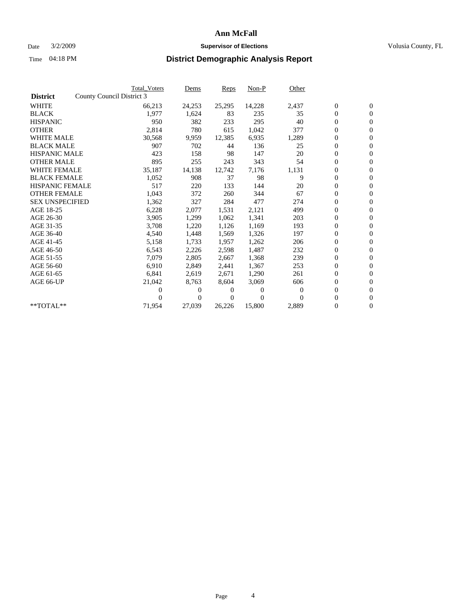## Date  $3/2/2009$  **Supervisor of Elections Supervisor of Elections** Volusia County, FL

|                        | <b>Total Voters</b>       | Dems                | <b>Reps</b> | $Non-P$        | Other    |                  |                  |  |
|------------------------|---------------------------|---------------------|-------------|----------------|----------|------------------|------------------|--|
| <b>District</b>        | County Council District 3 |                     |             |                |          |                  |                  |  |
| <b>WHITE</b>           | 66,213                    | 24,253              | 25,295      | 14,228         | 2,437    | $\boldsymbol{0}$ | $\boldsymbol{0}$ |  |
| <b>BLACK</b>           | 1,977                     | 1,624               | 83          | 235            | 35       | $\overline{0}$   | $\mathbf{0}$     |  |
| <b>HISPANIC</b>        | 950                       | 382                 | 233         | 295            | 40       | $\overline{0}$   | $\mathbf{0}$     |  |
| <b>OTHER</b>           | 2,814                     | 780                 | 615         | 1,042          | 377      | 0                | $\mathbf{0}$     |  |
| <b>WHITE MALE</b>      | 30,568                    | 9,959               | 12,385      | 6,935          | 1,289    | $\boldsymbol{0}$ | $\mathbf{0}$     |  |
| <b>BLACK MALE</b>      | 907                       | 702                 | 44          | 136            | 25       | $\boldsymbol{0}$ | $\mathbf{0}$     |  |
| <b>HISPANIC MALE</b>   | 423                       | 158                 | 98          | 147            | 20       | 0                | $\mathbf{0}$     |  |
| <b>OTHER MALE</b>      | 895                       | 255                 | 243         | 343            | 54       | $\boldsymbol{0}$ | $\mathbf{0}$     |  |
| <b>WHITE FEMALE</b>    | 35,187                    | 14,138              | 12,742      | 7,176          | 1,131    | 0                | $\mathbf{0}$     |  |
| <b>BLACK FEMALE</b>    | 1,052                     | 908                 | 37          | 98             | 9        | 0                | $\Omega$         |  |
| <b>HISPANIC FEMALE</b> | 517                       | 220                 | 133         | 144            | 20       | $\boldsymbol{0}$ | $\mathbf{0}$     |  |
| <b>OTHER FEMALE</b>    | 1,043                     | 372                 | 260         | 344            | 67       | 0                | $\mathbf{0}$     |  |
| <b>SEX UNSPECIFIED</b> | 1,362                     | 327                 | 284         | 477            | 274      | 0                | $\Omega$         |  |
| AGE 18-25              | 6,228                     | 2,077               | 1,531       | 2,121          | 499      | $\overline{0}$   | $\mathbf{0}$     |  |
| AGE 26-30              | 3,905                     | 1,299               | 1,062       | 1,341          | 203      | 0                | $\mathbf{0}$     |  |
| AGE 31-35              | 3,708                     | 1,220               | 1,126       | 1,169          | 193      | 0                | $\mathbf{0}$     |  |
| AGE 36-40              | 4,540                     | 1,448               | 1,569       | 1,326          | 197      | $\overline{0}$   | $\mathbf{0}$     |  |
| AGE 41-45              | 5,158                     | 1,733               | 1,957       | 1,262          | 206      | $\boldsymbol{0}$ | $\mathbf{0}$     |  |
| AGE 46-50              | 6,543                     | 2,226               | 2,598       | 1,487          | 232      | 0                | $\Omega$         |  |
| AGE 51-55              | 7,079                     | 2,805               | 2,667       | 1,368          | 239      | $\boldsymbol{0}$ | $\mathbf{0}$     |  |
| AGE 56-60              | 6,910                     | 2.849               | 2.441       | 1.367          | 253      | 0                | $\mathbf{0}$     |  |
| AGE 61-65              | 6,841                     | 2,619               | 2,671       | 1,290          | 261      | 0                | $\Omega$         |  |
| AGE 66-UP              | 21,042                    | 8,763               | 8,604       | 3,069          | 606      | $\overline{0}$   | $\mathbf{0}$     |  |
|                        |                           | 0<br>0              | 0           | $\overline{0}$ | $\Omega$ | 0                | $\mathbf{0}$     |  |
|                        |                           | 0<br>$\overline{0}$ | 0           | $\Omega$       | $\Omega$ | 0                | $\mathbf{0}$     |  |
| $*$ TOTAL $**$         | 71,954                    | 27,039              | 26,226      | 15,800         | 2,889    | 0                | $\boldsymbol{0}$ |  |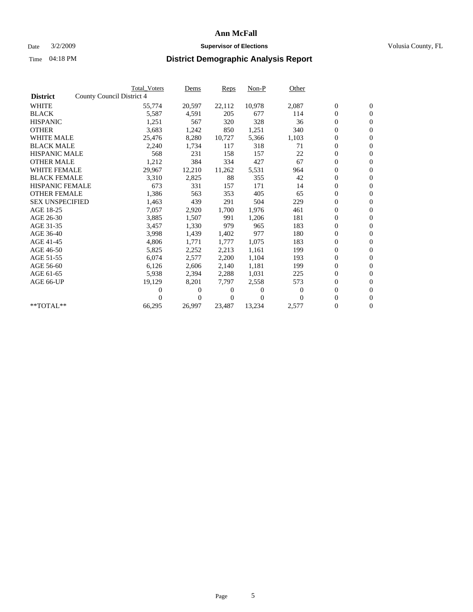## Date  $3/2/2009$  **Supervisor of Elections Supervisor of Elections** Volusia County, FL

|                        |                           | <b>Total Voters</b> | Dems   | <b>Reps</b> | Non-P    | Other    |                  |                  |  |
|------------------------|---------------------------|---------------------|--------|-------------|----------|----------|------------------|------------------|--|
| <b>District</b>        | County Council District 4 |                     |        |             |          |          |                  |                  |  |
| <b>WHITE</b>           |                           | 55,774              | 20,597 | 22,112      | 10,978   | 2,087    | $\boldsymbol{0}$ | $\boldsymbol{0}$ |  |
| <b>BLACK</b>           |                           | 5,587               | 4,591  | 205         | 677      | 114      | $\boldsymbol{0}$ | $\mathbf{0}$     |  |
| <b>HISPANIC</b>        |                           | 1,251               | 567    | 320         | 328      | 36       | $\boldsymbol{0}$ | $\mathbf{0}$     |  |
| <b>OTHER</b>           |                           | 3,683               | 1,242  | 850         | 1,251    | 340      | 0                | $\mathbf{0}$     |  |
| <b>WHITE MALE</b>      |                           | 25,476              | 8,280  | 10,727      | 5,366    | 1,103    | $\boldsymbol{0}$ | $\mathbf{0}$     |  |
| <b>BLACK MALE</b>      |                           | 2,240               | 1,734  | 117         | 318      | 71       | $\overline{0}$   | $\mathbf{0}$     |  |
| <b>HISPANIC MALE</b>   |                           | 568                 | 231    | 158         | 157      | 22       | 0                | $\mathbf{0}$     |  |
| <b>OTHER MALE</b>      |                           | 1,212               | 384    | 334         | 427      | 67       | $\boldsymbol{0}$ | $\mathbf{0}$     |  |
| <b>WHITE FEMALE</b>    |                           | 29,967              | 12,210 | 11,262      | 5,531    | 964      | $\boldsymbol{0}$ | $\mathbf{0}$     |  |
| <b>BLACK FEMALE</b>    |                           | 3,310               | 2,825  | 88          | 355      | 42       | 0                | $\mathbf{0}$     |  |
| <b>HISPANIC FEMALE</b> |                           | 673                 | 331    | 157         | 171      | 14       | $\boldsymbol{0}$ | $\mathbf{0}$     |  |
| <b>OTHER FEMALE</b>    |                           | 1,386               | 563    | 353         | 405      | 65       | $\overline{0}$   | $\mathbf{0}$     |  |
| <b>SEX UNSPECIFIED</b> |                           | 1,463               | 439    | 291         | 504      | 229      | 0                | $\mathbf{0}$     |  |
| AGE 18-25              |                           | 7,057               | 2,920  | 1,700       | 1,976    | 461      | $\overline{0}$   | $\mathbf{0}$     |  |
| AGE 26-30              |                           | 3,885               | 1,507  | 991         | 1,206    | 181      | $\overline{0}$   | $\mathbf{0}$     |  |
| AGE 31-35              |                           | 3,457               | 1,330  | 979         | 965      | 183      | $\boldsymbol{0}$ | $\mathbf{0}$     |  |
| AGE 36-40              |                           | 3,998               | 1,439  | 1,402       | 977      | 180      | 0                | $\mathbf{0}$     |  |
| AGE 41-45              |                           | 4,806               | 1,771  | 1,777       | 1,075    | 183      | 0                | $\mathbf{0}$     |  |
| AGE 46-50              |                           | 5,825               | 2,252  | 2,213       | 1,161    | 199      | 0                | $\mathbf{0}$     |  |
| AGE 51-55              |                           | 6,074               | 2,577  | 2,200       | 1,104    | 193      | $\boldsymbol{0}$ | $\mathbf{0}$     |  |
| AGE 56-60              |                           | 6,126               | 2,606  | 2.140       | 1,181    | 199      | 0                | $\mathbf{0}$     |  |
| AGE 61-65              |                           | 5,938               | 2,394  | 2,288       | 1,031    | 225      | 0                | $\mathbf{0}$     |  |
| AGE 66-UP              |                           | 19,129              | 8,201  | 7,797       | 2,558    | 573      | $\boldsymbol{0}$ | $\mathbf{0}$     |  |
|                        |                           | 0                   | 0      | 0           | $\theta$ | $\theta$ | $\overline{0}$   | $\mathbf{0}$     |  |
|                        |                           | 0                   | 0      | 0           | $\Omega$ | $\Omega$ | 0                | $\mathbf{0}$     |  |
| **TOTAL**              |                           | 66,295              | 26,997 | 23,487      | 13,234   | 2,577    | 0                | $\boldsymbol{0}$ |  |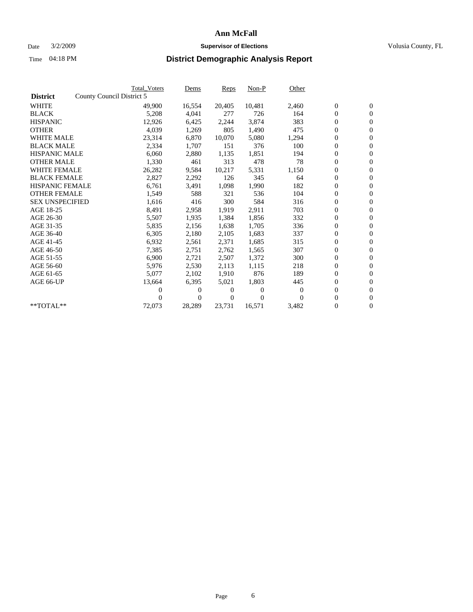## Date  $3/2/2009$  **Supervisor of Elections Supervisor of Elections** Volusia County, FL

|                        |                           | <b>Total Voters</b> | Dems   | Reps   | $Non-P$  | Other |                  |                  |  |
|------------------------|---------------------------|---------------------|--------|--------|----------|-------|------------------|------------------|--|
| <b>District</b>        | County Council District 5 |                     |        |        |          |       |                  |                  |  |
| <b>WHITE</b>           |                           | 49,900              | 16,554 | 20,405 | 10,481   | 2,460 | $\boldsymbol{0}$ | $\boldsymbol{0}$ |  |
| <b>BLACK</b>           |                           | 5,208               | 4,041  | 277    | 726      | 164   | $\overline{0}$   | $\mathbf{0}$     |  |
| <b>HISPANIC</b>        |                           | 12,926              | 6,425  | 2,244  | 3,874    | 383   | $\boldsymbol{0}$ | $\overline{0}$   |  |
| <b>OTHER</b>           |                           | 4,039               | 1,269  | 805    | 1,490    | 475   | $\boldsymbol{0}$ | $\overline{0}$   |  |
| <b>WHITE MALE</b>      |                           | 23,314              | 6,870  | 10,070 | 5,080    | 1,294 | $\boldsymbol{0}$ | $\mathbf{0}$     |  |
| <b>BLACK MALE</b>      |                           | 2,334               | 1,707  | 151    | 376      | 100   | $\boldsymbol{0}$ | $\mathbf{0}$     |  |
| <b>HISPANIC MALE</b>   |                           | 6,060               | 2,880  | 1,135  | 1,851    | 194   | $\boldsymbol{0}$ | $\overline{0}$   |  |
| <b>OTHER MALE</b>      |                           | 1,330               | 461    | 313    | 478      | 78    | $\boldsymbol{0}$ | $\mathbf{0}$     |  |
| <b>WHITE FEMALE</b>    |                           | 26,282              | 9,584  | 10,217 | 5,331    | 1,150 | $\boldsymbol{0}$ | $\overline{0}$   |  |
| <b>BLACK FEMALE</b>    |                           | 2,827               | 2,292  | 126    | 345      | 64    | $\boldsymbol{0}$ | $\overline{0}$   |  |
| <b>HISPANIC FEMALE</b> |                           | 6,761               | 3,491  | 1,098  | 1,990    | 182   | $\boldsymbol{0}$ | $\mathbf{0}$     |  |
| <b>OTHER FEMALE</b>    |                           | 1,549               | 588    | 321    | 536      | 104   | $\boldsymbol{0}$ | $\overline{0}$   |  |
| <b>SEX UNSPECIFIED</b> |                           | 1,616               | 416    | 300    | 584      | 316   | $\boldsymbol{0}$ | $\overline{0}$   |  |
| AGE 18-25              |                           | 8,491               | 2,958  | 1,919  | 2,911    | 703   | $\boldsymbol{0}$ | $\mathbf{0}$     |  |
| AGE 26-30              |                           | 5,507               | 1,935  | 1,384  | 1,856    | 332   | $\boldsymbol{0}$ | $\overline{0}$   |  |
| AGE 31-35              |                           | 5,835               | 2,156  | 1,638  | 1,705    | 336   | $\boldsymbol{0}$ | $\mathbf{0}$     |  |
| AGE 36-40              |                           | 6,305               | 2,180  | 2,105  | 1,683    | 337   | $\boldsymbol{0}$ | $\mathbf{0}$     |  |
| AGE 41-45              |                           | 6,932               | 2,561  | 2,371  | 1,685    | 315   | $\boldsymbol{0}$ | $\overline{0}$   |  |
| AGE 46-50              |                           | 7,385               | 2,751  | 2,762  | 1,565    | 307   | $\boldsymbol{0}$ | $\Omega$         |  |
| AGE 51-55              |                           | 6,900               | 2,721  | 2,507  | 1,372    | 300   | $\boldsymbol{0}$ | $\mathbf{0}$     |  |
| AGE 56-60              |                           | 5,976               | 2,530  | 2,113  | 1,115    | 218   | $\overline{0}$   | $\overline{0}$   |  |
| AGE 61-65              |                           | 5,077               | 2,102  | 1,910  | 876      | 189   | $\boldsymbol{0}$ | $\overline{0}$   |  |
| AGE 66-UP              |                           | 13,664              | 6,395  | 5,021  | 1,803    | 445   | $\overline{0}$   | $\mathbf{0}$     |  |
|                        |                           | 0                   | 0      | 0      | $\theta$ | 0     | $\boldsymbol{0}$ | $\overline{0}$   |  |
|                        |                           | 0                   | 0      | 0      | $\theta$ | 0     | 0                | $\boldsymbol{0}$ |  |
| $*$ TOTAL $**$         |                           | 72,073              | 28,289 | 23,731 | 16,571   | 3,482 | $\overline{0}$   | $\boldsymbol{0}$ |  |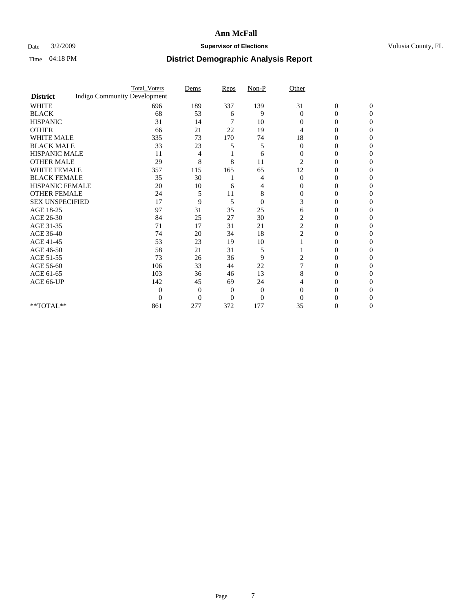## Date  $3/2/2009$  **Supervisor of Elections Supervisor of Elections** Volusia County, FL

|                        |                                     | <b>Total_Voters</b> | Dems     | Reps     | $Non-P$        | Other          |                  |                |  |
|------------------------|-------------------------------------|---------------------|----------|----------|----------------|----------------|------------------|----------------|--|
| <b>District</b>        | <b>Indigo Community Development</b> |                     |          |          |                |                |                  |                |  |
| <b>WHITE</b>           |                                     | 696                 | 189      | 337      | 139            | 31             | $\boldsymbol{0}$ | $\mathbf{0}$   |  |
| <b>BLACK</b>           |                                     | 68                  | 53       | 6        | 9              | $\Omega$       | 0                | $\Omega$       |  |
| <b>HISPANIC</b>        |                                     | 31                  | 14       |          | 10             | $\Omega$       | 0                | $\Omega$       |  |
| <b>OTHER</b>           |                                     | 66                  | 21       | 22       | 19             | 4              | 0                | 0              |  |
| <b>WHITE MALE</b>      |                                     | 335                 | 73       | 170      | 74             | 18             | 0                | 0              |  |
| <b>BLACK MALE</b>      |                                     | 33                  | 23       | 5        | 5              | $\Omega$       | 0                | 0              |  |
| <b>HISPANIC MALE</b>   |                                     | 11                  | 4        |          | 6              | 0              | 0                | 0              |  |
| <b>OTHER MALE</b>      |                                     | 29                  | 8        | 8        | 11             | 2              | 0                | 0              |  |
| <b>WHITE FEMALE</b>    |                                     | 357                 | 115      | 165      | 65             | 12             | 0                | 0              |  |
| <b>BLACK FEMALE</b>    |                                     | 35                  | 30       |          | 4              | $\overline{0}$ | 0                | 0              |  |
| HISPANIC FEMALE        |                                     | 20                  | 10       | 6        | 4              | 0              | 0                | 0              |  |
| <b>OTHER FEMALE</b>    |                                     | 24                  | 5        | 11       | 8              | $\Omega$       | 0                | 0              |  |
| <b>SEX UNSPECIFIED</b> |                                     | 17                  | 9        | 5        | $\overline{0}$ | 3              | 0                | 0              |  |
| AGE 18-25              |                                     | 97                  | 31       | 35       | 25             | 6              | 0                | 0              |  |
| AGE 26-30              |                                     | 84                  | 25       | 27       | 30             | 2              | 0                | 0              |  |
| AGE 31-35              |                                     | 71                  | 17       | 31       | 21             | $\overline{c}$ | 0                | 0              |  |
| AGE 36-40              |                                     | 74                  | 20       | 34       | 18             | $\overline{c}$ | 0                | 0              |  |
| AGE 41-45              |                                     | 53                  | 23       | 19       | 10             |                | 0                | 0              |  |
| AGE 46-50              |                                     | 58                  | 21       | 31       | 5              |                | 0                | 0              |  |
| AGE 51-55              |                                     | 73                  | 26       | 36       | 9              | 2              | 0                | 0              |  |
| AGE 56-60              |                                     | 106                 | 33       | 44       | 22             |                | 0                | 0              |  |
| AGE 61-65              |                                     | 103                 | 36       | 46       | 13             | 8              | 0                | 0              |  |
| AGE 66-UP              |                                     | 142                 | 45       | 69       | 24             | 4              | 0                | 0              |  |
|                        |                                     | $\overline{0}$      | 0        | 0        | $\theta$       | $\Omega$       | 0                | 0              |  |
|                        |                                     | $\Omega$            | $\Omega$ | $\theta$ | $\theta$       | $\Omega$       |                  | 0              |  |
| **TOTAL**              |                                     | 861                 | 277      | 372      | 177            | 35             | 0                | $\overline{0}$ |  |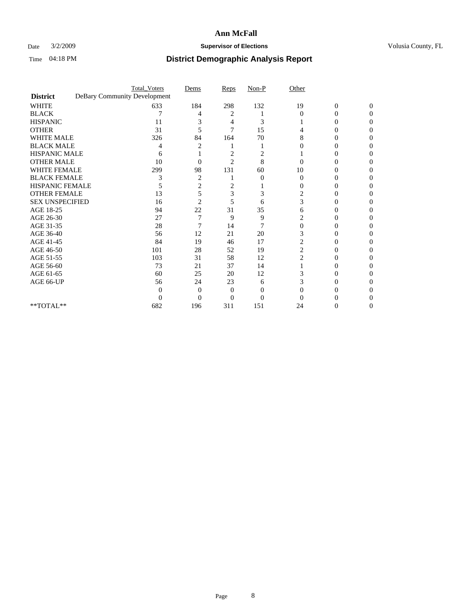## Date  $3/2/2009$  **Supervisor of Elections Supervisor of Elections** Volusia County, FL

|                                     | <b>Total_Voters</b>          | Dems           | Reps           | $Non-P$  | Other          |                  |              |  |
|-------------------------------------|------------------------------|----------------|----------------|----------|----------------|------------------|--------------|--|
| <b>District</b>                     | DeBary Community Development |                |                |          |                |                  |              |  |
| <b>WHITE</b>                        | 633                          | 184            | 298            | 132      | 19             | $\boldsymbol{0}$ | $\mathbf{0}$ |  |
| <b>BLACK</b>                        |                              | 4              | 2              |          | $\Omega$       | 0                | 0            |  |
| <b>HISPANIC</b>                     | 11                           |                | 4              | 3        |                | $\theta$         | 0            |  |
| <b>OTHER</b>                        | 31                           | 5              | 7              | 15       |                |                  | 0            |  |
| <b>WHITE MALE</b>                   | 326                          | 84             | 164            | 70       | 8              | 0                | 0            |  |
| <b>BLACK MALE</b>                   | 4                            |                |                |          |                | $\theta$         | 0            |  |
| HISPANIC MALE                       | 6                            |                | 2              | 2        |                |                  |              |  |
| <b>OTHER MALE</b>                   | 10                           | 0              | $\overline{2}$ | 8        |                | 0                |              |  |
| <b>WHITE FEMALE</b>                 | 299                          | 98             | 131            | 60       | 10             |                  | 0            |  |
| <b>BLACK FEMALE</b>                 | 3                            | $\overline{2}$ |                | $\theta$ | $\theta$       | 0                | 0            |  |
| <b>HISPANIC FEMALE</b>              |                              | 2              | 2              |          | 0              | 0                | 0            |  |
| <b>OTHER FEMALE</b>                 | 13                           | 5              | 3              | 3        | 2              |                  | 0            |  |
| <b>SEX UNSPECIFIED</b>              | 16                           | $\overline{2}$ | 5              | 6        | 3              |                  |              |  |
| AGE 18-25                           | 94                           | 22             | 31             | 35       | 6              | 0                | 0            |  |
| AGE 26-30                           | 27                           | 7              | 9              | 9        |                |                  | 0            |  |
| AGE 31-35                           | 28                           |                | 14             | 7        | 0              |                  |              |  |
| AGE 36-40                           | 56                           | 12             | 21             | 20       | 3              | 0                | 0            |  |
| AGE 41-45                           | 84                           | 19             | 46             | 17       | 2              |                  | 0            |  |
| AGE 46-50                           | 101                          | 28             | 52             | 19       | $\overline{c}$ | 0                | 0            |  |
| AGE 51-55                           | 103                          | 31             | 58             | 12       | 2              | 0                | 0            |  |
| AGE 56-60                           | 73                           | 21             | 37             | 14       |                |                  | 0            |  |
| AGE 61-65                           | 60                           | 25             | 20             | 12       |                |                  |              |  |
| AGE 66-UP                           | 56                           | 24             | 23             | 6        |                |                  | 0            |  |
|                                     | 0                            | 0              | 0              | 0        |                |                  |              |  |
|                                     | 0                            | $\Omega$       | 0              | $\theta$ |                |                  |              |  |
| $\rm ^{\ast \ast}TOTAL^{\ast \ast}$ | 682                          | 196            | 311            | 151      | 24             | 0                | 0            |  |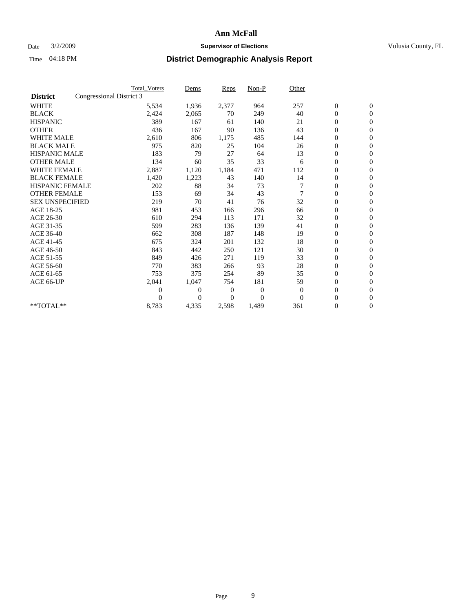## Date  $3/2/2009$  **Supervisor of Elections Supervisor of Elections** Volusia County, FL

|                        | <b>Total Voters</b>      | Dems           | <b>Reps</b> | $Non-P$      | Other          |                  |                  |  |
|------------------------|--------------------------|----------------|-------------|--------------|----------------|------------------|------------------|--|
| <b>District</b>        | Congressional District 3 |                |             |              |                |                  |                  |  |
| <b>WHITE</b>           | 5,534                    | 1,936          | 2,377       | 964          | 257            | $\boldsymbol{0}$ | $\boldsymbol{0}$ |  |
| <b>BLACK</b>           | 2,424                    | 2,065          | 70          | 249          | 40             | $\boldsymbol{0}$ | $\mathbf{0}$     |  |
| <b>HISPANIC</b>        | 389                      | 167            | 61          | 140          | 21             | $\overline{0}$   | $\mathbf{0}$     |  |
| <b>OTHER</b>           | 436                      | 167            | 90          | 136          | 43             | $\boldsymbol{0}$ | $\mathbf{0}$     |  |
| <b>WHITE MALE</b>      | 2,610                    | 806            | 1,175       | 485          | 144            | $\boldsymbol{0}$ | $\mathbf{0}$     |  |
| <b>BLACK MALE</b>      | 975                      | 820            | 25          | 104          | 26             | $\boldsymbol{0}$ | $\mathbf{0}$     |  |
| <b>HISPANIC MALE</b>   | 183                      | 79             | 27          | 64           | 13             | $\boldsymbol{0}$ | $\mathbf{0}$     |  |
| <b>OTHER MALE</b>      | 134                      | 60             | 35          | 33           | 6              | $\boldsymbol{0}$ | $\mathbf{0}$     |  |
| <b>WHITE FEMALE</b>    | 2,887                    | 1,120          | 1,184       | 471          | 112            | $\overline{0}$   | $\mathbf{0}$     |  |
| <b>BLACK FEMALE</b>    | 1,420                    | 1,223          | 43          | 140          | 14             | $\boldsymbol{0}$ | $\mathbf{0}$     |  |
| <b>HISPANIC FEMALE</b> | 202                      | 88             | 34          | 73           |                | $\boldsymbol{0}$ | $\mathbf{0}$     |  |
| <b>OTHER FEMALE</b>    | 153                      | 69             | 34          | 43           | $\overline{7}$ | $\mathbf{0}$     | $\mathbf{0}$     |  |
| <b>SEX UNSPECIFIED</b> | 219                      | 70             | 41          | 76           | 32             | $\boldsymbol{0}$ | $\mathbf{0}$     |  |
| AGE 18-25              | 981                      | 453            | 166         | 296          | 66             | $\overline{0}$   | $\mathbf{0}$     |  |
| AGE 26-30              | 610                      | 294            | 113         | 171          | 32             | $\overline{0}$   | $\mathbf{0}$     |  |
| AGE 31-35              | 599                      | 283            | 136         | 139          | 41             | $\boldsymbol{0}$ | $\mathbf{0}$     |  |
| AGE 36-40              | 662                      | 308            | 187         | 148          | 19             | 0                | $\mathbf{0}$     |  |
| AGE 41-45              | 675                      | 324            | 201         | 132          | 18             | $\overline{0}$   | $\mathbf{0}$     |  |
| AGE 46-50              | 843                      | 442            | 250         | 121          | 30             | $\boldsymbol{0}$ | $\mathbf{0}$     |  |
| AGE 51-55              | 849                      | 426            | 271         | 119          | 33             | $\boldsymbol{0}$ | $\mathbf{0}$     |  |
| AGE 56-60              | 770                      | 383            | 266         | 93           | 28             | $\overline{0}$   | $\Omega$         |  |
| AGE 61-65              | 753                      | 375            | 254         | 89           | 35             | $\mathbf{0}$     | $\mathbf{0}$     |  |
| AGE 66-UP              | 2,041                    | 1,047          | 754         | 181          | 59             | $\boldsymbol{0}$ | $\mathbf{0}$     |  |
|                        | $\overline{0}$           | $\overline{0}$ | 0           | $\mathbf{0}$ | $\mathbf{0}$   | $\overline{0}$   | $\mathbf{0}$     |  |
|                        | $\theta$                 | $\theta$       | $\Omega$    | $\Omega$     | $\Omega$       | $\boldsymbol{0}$ | $\mathbf{0}$     |  |
| **TOTAL**              | 8,783                    | 4,335          | 2,598       | 1,489        | 361            | 0                | $\mathbf{0}$     |  |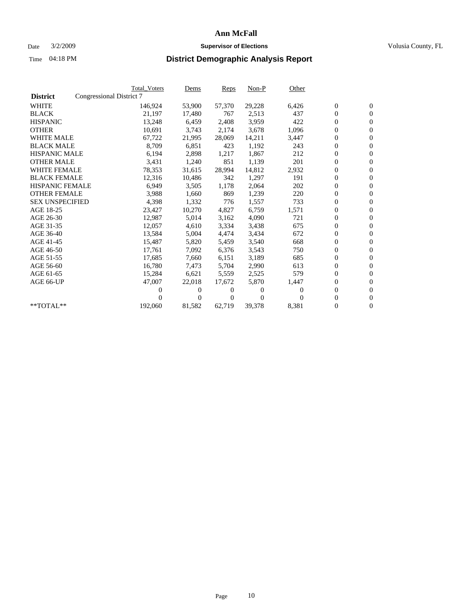## Date  $3/2/2009$  **Supervisor of Elections Supervisor of Elections** Volusia County, FL

|                        |                          | <b>Total Voters</b> | <u>Dems</u>    | <b>Reps</b>  | $Non-P$  | Other    |                  |                  |
|------------------------|--------------------------|---------------------|----------------|--------------|----------|----------|------------------|------------------|
| <b>District</b>        | Congressional District 7 |                     |                |              |          |          |                  |                  |
| <b>WHITE</b>           |                          | 146,924             | 53,900         | 57,370       | 29,228   | 6,426    | $\boldsymbol{0}$ | $\boldsymbol{0}$ |
| <b>BLACK</b>           |                          | 21,197              | 17,480         | 767          | 2,513    | 437      | $\boldsymbol{0}$ | $\mathbf{0}$     |
| <b>HISPANIC</b>        |                          | 13,248              | 6,459          | 2,408        | 3,959    | 422      | $\boldsymbol{0}$ | $\mathbf{0}$     |
| <b>OTHER</b>           |                          | 10,691              | 3,743          | 2,174        | 3,678    | 1,096    | 0                | $\mathbf{0}$     |
| <b>WHITE MALE</b>      |                          | 67,722              | 21,995         | 28,069       | 14,211   | 3,447    | $\boldsymbol{0}$ | $\mathbf{0}$     |
| <b>BLACK MALE</b>      |                          | 8,709               | 6,851          | 423          | 1,192    | 243      | $\overline{0}$   | $\mathbf{0}$     |
| <b>HISPANIC MALE</b>   |                          | 6,194               | 2,898          | 1,217        | 1,867    | 212      | $\boldsymbol{0}$ | $\mathbf{0}$     |
| <b>OTHER MALE</b>      |                          | 3,431               | 1,240          | 851          | 1,139    | 201      | $\overline{0}$   | $\mathbf{0}$     |
| <b>WHITE FEMALE</b>    |                          | 78,353              | 31,615         | 28,994       | 14,812   | 2,932    | $\boldsymbol{0}$ | $\mathbf{0}$     |
| <b>BLACK FEMALE</b>    |                          | 12,316              | 10,486         | 342          | 1,297    | 191      | $\boldsymbol{0}$ | $\mathbf{0}$     |
| <b>HISPANIC FEMALE</b> |                          | 6,949               | 3,505          | 1,178        | 2,064    | 202      | 0                | $\mathbf{0}$     |
| <b>OTHER FEMALE</b>    |                          | 3,988               | 1,660          | 869          | 1,239    | 220      | $\mathbf{0}$     | $\mathbf{0}$     |
| <b>SEX UNSPECIFIED</b> |                          | 4,398               | 1,332          | 776          | 1,557    | 733      | $\boldsymbol{0}$ | $\mathbf{0}$     |
| AGE 18-25              |                          | 23,427              | 10,270         | 4,827        | 6,759    | 1,571    | $\boldsymbol{0}$ | $\mathbf{0}$     |
| AGE 26-30              |                          | 12,987              | 5,014          | 3,162        | 4,090    | 721      | $\overline{0}$   | $\mathbf{0}$     |
| AGE 31-35              |                          | 12,057              | 4,610          | 3,334        | 3,438    | 675      | $\boldsymbol{0}$ | $\mathbf{0}$     |
| AGE 36-40              |                          | 13,584              | 5,004          | 4,474        | 3,434    | 672      | $\boldsymbol{0}$ | $\mathbf{0}$     |
| AGE 41-45              |                          | 15,487              | 5,820          | 5,459        | 3,540    | 668      | 0                | $\mathbf{0}$     |
| AGE 46-50              |                          | 17,761              | 7,092          | 6,376        | 3,543    | 750      | 0                | $\Omega$         |
| AGE 51-55              |                          | 17,685              | 7.660          | 6,151        | 3,189    | 685      | $\overline{0}$   | $\mathbf{0}$     |
| AGE 56-60              |                          | 16,780              | 7,473          | 5.704        | 2,990    | 613      | $\overline{0}$   | $\mathbf{0}$     |
| AGE 61-65              |                          | 15,284              | 6,621          | 5,559        | 2,525    | 579      | $\overline{0}$   | $\mathbf{0}$     |
| AGE 66-UP              |                          | 47,007              | 22,018         | 17,672       | 5,870    | 1,447    | $\boldsymbol{0}$ | $\mathbf{0}$     |
|                        |                          | 0                   | $\overline{0}$ | 0            | $\Omega$ | $\Omega$ | $\mathbf{0}$     | $\mathbf{0}$     |
|                        |                          | 0                   | $\overline{0}$ | $\mathbf{0}$ | $\Omega$ | $\Omega$ | 0                | $\mathbf{0}$     |
| **TOTAL**              |                          | 192,060             | 81,582         | 62,719       | 39,378   | 8,381    | 0                | $\boldsymbol{0}$ |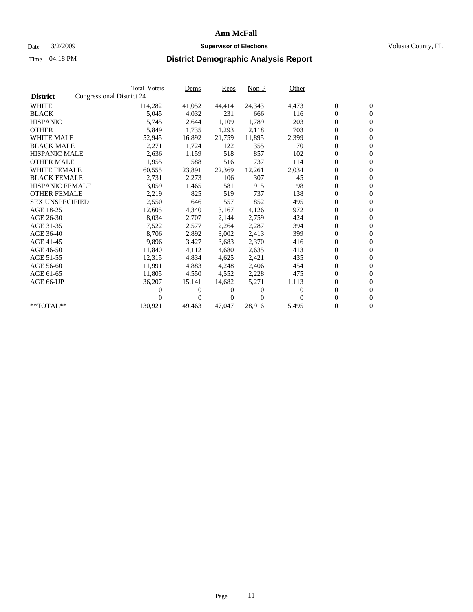### Date  $3/2/2009$  **Supervisor of Elections Supervisor of Elections** Volusia County, FL

|                        |                           | <b>Total Voters</b> | Dems         | <b>Reps</b> | $Non-P$  | Other    |                  |                  |  |
|------------------------|---------------------------|---------------------|--------------|-------------|----------|----------|------------------|------------------|--|
| <b>District</b>        | Congressional District 24 |                     |              |             |          |          |                  |                  |  |
| <b>WHITE</b>           |                           | 114,282             | 41,052       | 44,414      | 24,343   | 4,473    | $\boldsymbol{0}$ | $\boldsymbol{0}$ |  |
| <b>BLACK</b>           |                           | 5,045               | 4,032        | 231         | 666      | 116      | $\overline{0}$   | $\mathbf{0}$     |  |
| <b>HISPANIC</b>        |                           | 5,745               | 2,644        | 1,109       | 1,789    | 203      | $\overline{0}$   | $\mathbf{0}$     |  |
| <b>OTHER</b>           |                           | 5,849               | 1,735        | 1,293       | 2,118    | 703      | 0                | $\mathbf{0}$     |  |
| <b>WHITE MALE</b>      |                           | 52,945              | 16,892       | 21,759      | 11,895   | 2,399    | $\boldsymbol{0}$ | $\mathbf{0}$     |  |
| <b>BLACK MALE</b>      |                           | 2,271               | 1,724        | 122         | 355      | 70       | $\boldsymbol{0}$ | $\mathbf{0}$     |  |
| <b>HISPANIC MALE</b>   |                           | 2,636               | 1,159        | 518         | 857      | 102      | 0                | $\mathbf{0}$     |  |
| <b>OTHER MALE</b>      |                           | 1,955               | 588          | 516         | 737      | 114      | $\boldsymbol{0}$ | $\mathbf{0}$     |  |
| <b>WHITE FEMALE</b>    |                           | 60,555              | 23,891       | 22,369      | 12,261   | 2,034    | 0                | $\mathbf{0}$     |  |
| <b>BLACK FEMALE</b>    |                           | 2,731               | 2,273        | 106         | 307      | 45       | 0                | $\Omega$         |  |
| <b>HISPANIC FEMALE</b> |                           | 3,059               | 1,465        | 581         | 915      | 98       | $\boldsymbol{0}$ | $\mathbf{0}$     |  |
| <b>OTHER FEMALE</b>    |                           | 2,219               | 825          | 519         | 737      | 138      | 0                | $\mathbf{0}$     |  |
| <b>SEX UNSPECIFIED</b> |                           | 2,550               | 646          | 557         | 852      | 495      | 0                | $\mathbf{0}$     |  |
| AGE 18-25              |                           | 12,605              | 4,340        | 3,167       | 4,126    | 972      | $\overline{0}$   | $\mathbf{0}$     |  |
| AGE 26-30              |                           | 8,034               | 2,707        | 2,144       | 2,759    | 424      | 0                | $\mathbf{0}$     |  |
| AGE 31-35              |                           | 7,522               | 2,577        | 2,264       | 2,287    | 394      | 0                | $\mathbf{0}$     |  |
| AGE 36-40              |                           | 8,706               | 2,892        | 3,002       | 2,413    | 399      | $\overline{0}$   | $\mathbf{0}$     |  |
| AGE 41-45              |                           | 9,896               | 3,427        | 3,683       | 2,370    | 416      | $\boldsymbol{0}$ | $\mathbf{0}$     |  |
| AGE 46-50              |                           | 11,840              | 4,112        | 4,680       | 2,635    | 413      | 0                | $\Omega$         |  |
| AGE 51-55              |                           | 12,315              | 4,834        | 4,625       | 2,421    | 435      | $\boldsymbol{0}$ | $\mathbf{0}$     |  |
| AGE 56-60              |                           | 11,991              | 4,883        | 4,248       | 2,406    | 454      | 0                | $\mathbf{0}$     |  |
| AGE 61-65              |                           | 11,805              | 4,550        | 4,552       | 2,228    | 475      | 0                | $\mathbf{0}$     |  |
| AGE 66-UP              |                           | 36,207              | 15,141       | 14,682      | 5,271    | 1,113    | $\overline{0}$   | $\mathbf{0}$     |  |
|                        |                           | 0                   | 0            | 0           | $\theta$ | $\Omega$ | $\boldsymbol{0}$ | $\mathbf{0}$     |  |
|                        |                           | 0                   | $\mathbf{0}$ | 0           | $\Omega$ | $\Omega$ | 0                | $\mathbf{0}$     |  |
| $*$ TOTAL $**$         |                           | 130,921             | 49,463       | 47,047      | 28,916   | 5,495    | 0                | $\boldsymbol{0}$ |  |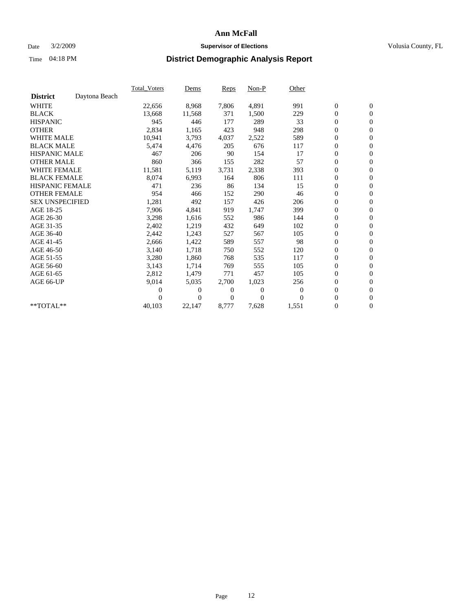## Date  $3/2/2009$  **Supervisor of Elections Supervisor of Elections** Volusia County, FL

|                        |               | <b>Total Voters</b> | Dems     | Reps     | Non-P    | Other            |                  |                  |  |
|------------------------|---------------|---------------------|----------|----------|----------|------------------|------------------|------------------|--|
| <b>District</b>        | Daytona Beach |                     |          |          |          |                  |                  |                  |  |
| <b>WHITE</b>           |               | 22,656              | 8,968    | 7,806    | 4,891    | 991              | $\boldsymbol{0}$ | $\boldsymbol{0}$ |  |
| <b>BLACK</b>           |               | 13,668              | 11,568   | 371      | 1,500    | 229              | 0                | $\mathbf{0}$     |  |
| <b>HISPANIC</b>        |               | 945                 | 446      | 177      | 289      | 33               | $\overline{0}$   | $\mathbf{0}$     |  |
| <b>OTHER</b>           |               | 2,834               | 1,165    | 423      | 948      | 298              | 0                | $\mathbf{0}$     |  |
| <b>WHITE MALE</b>      |               | 10,941              | 3,793    | 4,037    | 2,522    | 589              | 0                | $\mathbf{0}$     |  |
| <b>BLACK MALE</b>      |               | 5,474               | 4,476    | 205      | 676      | 117              | $\boldsymbol{0}$ | $\mathbf{0}$     |  |
| <b>HISPANIC MALE</b>   |               | 467                 | 206      | 90       | 154      | 17               | $\boldsymbol{0}$ | $\mathbf{0}$     |  |
| <b>OTHER MALE</b>      |               | 860                 | 366      | 155      | 282      | 57               | 0                | $\mathbf{0}$     |  |
| <b>WHITE FEMALE</b>    |               | 11,581              | 5,119    | 3,731    | 2,338    | 393              | 0                | $\mathbf{0}$     |  |
| <b>BLACK FEMALE</b>    |               | 8,074               | 6,993    | 164      | 806      | 111              | 0                | $\mathbf{0}$     |  |
| <b>HISPANIC FEMALE</b> |               | 471                 | 236      | 86       | 134      | 15               | 0                | $\mathbf{0}$     |  |
| <b>OTHER FEMALE</b>    |               | 954                 | 466      | 152      | 290      | 46               | 0                | $\mathbf{0}$     |  |
| <b>SEX UNSPECIFIED</b> |               | 1,281               | 492      | 157      | 426      | 206              | 0                | $\mathbf{0}$     |  |
| AGE 18-25              |               | 7,906               | 4,841    | 919      | 1,747    | 399              | 0                | $\mathbf{0}$     |  |
| AGE 26-30              |               | 3,298               | 1,616    | 552      | 986      | 144              | 0                | $\mathbf{0}$     |  |
| AGE 31-35              |               | 2,402               | 1,219    | 432      | 649      | 102              | $\boldsymbol{0}$ | $\boldsymbol{0}$ |  |
| AGE 36-40              |               | 2,442               | 1,243    | 527      | 567      | 105              | 0                | $\mathbf{0}$     |  |
| AGE 41-45              |               | 2,666               | 1,422    | 589      | 557      | 98               | 0                | $\mathbf{0}$     |  |
| AGE 46-50              |               | 3,140               | 1,718    | 750      | 552      | 120              | $\boldsymbol{0}$ | $\mathbf{0}$     |  |
| AGE 51-55              |               | 3,280               | 1,860    | 768      | 535      | 117              | 0                | $\mathbf{0}$     |  |
| AGE 56-60              |               | 3,143               | 1,714    | 769      | 555      | 105              | $\boldsymbol{0}$ | $\mathbf{0}$     |  |
| AGE 61-65              |               | 2,812               | 1,479    | 771      | 457      | 105              | $\boldsymbol{0}$ | $\mathbf{0}$     |  |
| AGE 66-UP              |               | 9,014               | 5,035    | 2,700    | 1,023    | 256              | 0                | $\mathbf{0}$     |  |
|                        |               | 0                   | 0        | 0        | $\theta$ | $\boldsymbol{0}$ | 0                | $\mathbf{0}$     |  |
|                        |               | 0                   | $\Omega$ | $\Omega$ | $\Omega$ | $\Omega$         | 0                | $\mathbf{0}$     |  |
| **TOTAL**              |               | 40,103              | 22,147   | 8,777    | 7,628    | 1,551            | 0                | $\overline{0}$   |  |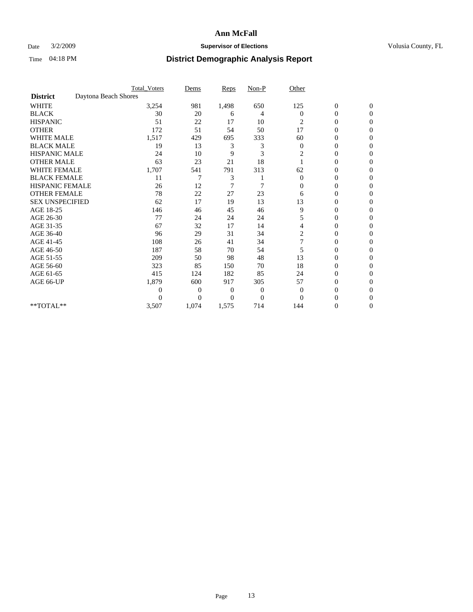### Date  $3/2/2009$  **Supervisor of Elections Supervisor of Elections** Volusia County, FL

|                        |                      | <b>Total_Voters</b> | Dems           | <b>Reps</b>  | $Non-P$        | Other          |                  |              |  |
|------------------------|----------------------|---------------------|----------------|--------------|----------------|----------------|------------------|--------------|--|
| <b>District</b>        | Daytona Beach Shores |                     |                |              |                |                |                  |              |  |
| <b>WHITE</b>           |                      | 3,254               | 981            | 1,498        | 650            | 125            | $\boldsymbol{0}$ | $\mathbf{0}$ |  |
| <b>BLACK</b>           |                      | 30                  | 20             | 6            | 4              | $\Omega$       | $\boldsymbol{0}$ | $\Omega$     |  |
| <b>HISPANIC</b>        |                      | 51                  | 22             | 17           | 10             | 2              | 0                | $\Omega$     |  |
| <b>OTHER</b>           |                      | 172                 | 51             | 54           | 50             | 17             | 0                | $\Omega$     |  |
| <b>WHITE MALE</b>      |                      | 1,517               | 429            | 695          | 333            | 60             | 0                | 0            |  |
| <b>BLACK MALE</b>      |                      | 19                  | 13             | 3            | 3              | $\theta$       | $\mathbf{0}$     | $\Omega$     |  |
| HISPANIC MALE          |                      | 24                  | 10             | 9            | 3              | 2              | 0                | $\Omega$     |  |
| <b>OTHER MALE</b>      |                      | 63                  | 23             | 21           | 18             |                | 0                | 0            |  |
| <b>WHITE FEMALE</b>    |                      | 1,707               | 541            | 791          | 313            | 62             | 0                | $\Omega$     |  |
| <b>BLACK FEMALE</b>    |                      | 11                  | 7              | 3            |                | $\mathbf{0}$   | $\overline{0}$   | $\mathbf{0}$ |  |
| <b>HISPANIC FEMALE</b> |                      | 26                  | 12             | 7            | 7              | 0              | 0                | 0            |  |
| <b>OTHER FEMALE</b>    |                      | 78                  | 22             | 27           | 23             | 6              | 0                | 0            |  |
| <b>SEX UNSPECIFIED</b> |                      | 62                  | 17             | 19           | 13             | 13             | 0                | $\Omega$     |  |
| AGE 18-25              |                      | 146                 | 46             | 45           | 46             | 9              | 0                | $\mathbf{0}$ |  |
| AGE 26-30              |                      | 77                  | 24             | 24           | 24             | 5              | 0                | $\Omega$     |  |
| AGE 31-35              |                      | 67                  | 32             | 17           | 14             | 4              | 0                | $\Omega$     |  |
| AGE 36-40              |                      | 96                  | 29             | 31           | 34             | $\overline{c}$ | 0                | 0            |  |
| AGE 41-45              |                      | 108                 | 26             | 41           | 34             |                | 0                | $\Omega$     |  |
| AGE 46-50              |                      | 187                 | 58             | 70           | 54             | 5              | $\overline{0}$   | $\Omega$     |  |
| AGE 51-55              |                      | 209                 | 50             | 98           | 48             | 13             | 0                | 0            |  |
| AGE 56-60              |                      | 323                 | 85             | 150          | 70             | 18             | 0                | $\Omega$     |  |
| AGE 61-65              |                      | 415                 | 124            | 182          | 85             | 24             | $\overline{0}$   | $\Omega$     |  |
| AGE 66-UP              |                      | 1,879               | 600            | 917          | 305            | 57             | 0                | 0            |  |
|                        |                      | 0                   | $\overline{0}$ | $\mathbf{0}$ | $\mathbf{0}$   | $\overline{0}$ | 0                | $\Omega$     |  |
|                        |                      | 0                   | $\overline{0}$ | 0            | $\overline{0}$ | $\Omega$       | 0                | 0            |  |
| **TOTAL**              |                      | 3,507               | 1,074          | 1,575        | 714            | 144            | 0                | 0            |  |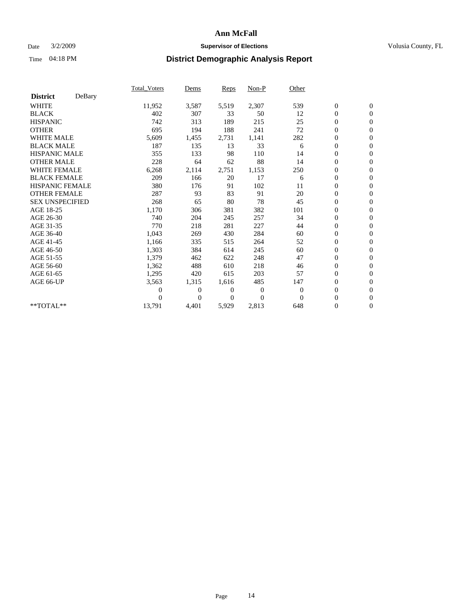## Date  $3/2/2009$  **Supervisor of Elections Supervisor of Elections** Volusia County, FL

|                        |        | <b>Total_Voters</b> | Dems           | Reps  | Non-P          | Other    |                  |                  |  |
|------------------------|--------|---------------------|----------------|-------|----------------|----------|------------------|------------------|--|
| <b>District</b>        | DeBary |                     |                |       |                |          |                  |                  |  |
| <b>WHITE</b>           |        | 11,952              | 3,587          | 5,519 | 2,307          | 539      | $\boldsymbol{0}$ | $\boldsymbol{0}$ |  |
| <b>BLACK</b>           |        | 402                 | 307            | 33    | 50             | 12       | $\boldsymbol{0}$ | $\mathbf{0}$     |  |
| <b>HISPANIC</b>        |        | 742                 | 313            | 189   | 215            | 25       | $\overline{0}$   | $\mathbf{0}$     |  |
| <b>OTHER</b>           |        | 695                 | 194            | 188   | 241            | 72       | 0                | $\mathbf{0}$     |  |
| WHITE MALE             |        | 5,609               | 1,455          | 2,731 | 1,141          | 282      | $\boldsymbol{0}$ | $\mathbf{0}$     |  |
| <b>BLACK MALE</b>      |        | 187                 | 135            | 13    | 33             | 6        | $\overline{0}$   | $\mathbf{0}$     |  |
| <b>HISPANIC MALE</b>   |        | 355                 | 133            | 98    | 110            | 14       | 0                | $\mathbf{0}$     |  |
| <b>OTHER MALE</b>      |        | 228                 | 64             | 62    | 88             | 14       | 0                | $\mathbf{0}$     |  |
| <b>WHITE FEMALE</b>    |        | 6,268               | 2,114          | 2,751 | 1,153          | 250      | $\boldsymbol{0}$ | $\mathbf{0}$     |  |
| <b>BLACK FEMALE</b>    |        | 209                 | 166            | 20    | 17             | 6        | $\boldsymbol{0}$ | $\mathbf{0}$     |  |
| <b>HISPANIC FEMALE</b> |        | 380                 | 176            | 91    | 102            | 11       | $\boldsymbol{0}$ | $\mathbf{0}$     |  |
| <b>OTHER FEMALE</b>    |        | 287                 | 93             | 83    | 91             | 20       | $\overline{0}$   | $\mathbf{0}$     |  |
| <b>SEX UNSPECIFIED</b> |        | 268                 | 65             | 80    | 78             | 45       | 0                | $\mathbf{0}$     |  |
| AGE 18-25              |        | 1,170               | 306            | 381   | 382            | 101      | $\boldsymbol{0}$ | $\mathbf{0}$     |  |
| AGE 26-30              |        | 740                 | 204            | 245   | 257            | 34       | $\boldsymbol{0}$ | $\mathbf{0}$     |  |
| AGE 31-35              |        | 770                 | 218            | 281   | 227            | 44       | 0                | $\mathbf{0}$     |  |
| AGE 36-40              |        | 1,043               | 269            | 430   | 284            | 60       | 0                | $\mathbf{0}$     |  |
| AGE 41-45              |        | 1,166               | 335            | 515   | 264            | 52       | $\boldsymbol{0}$ | $\mathbf{0}$     |  |
| AGE 46-50              |        | 1,303               | 384            | 614   | 245            | 60       | $\boldsymbol{0}$ | $\mathbf{0}$     |  |
| AGE 51-55              |        | 1,379               | 462            | 622   | 248            | 47       | $\boldsymbol{0}$ | $\mathbf{0}$     |  |
| AGE 56-60              |        | 1,362               | 488            | 610   | 218            | 46       | $\overline{0}$   | $\mathbf{0}$     |  |
| AGE 61-65              |        | 1,295               | 420            | 615   | 203            | 57       | 0                | $\mathbf{0}$     |  |
| AGE 66-UP              |        | 3,563               | 1,315          | 1,616 | 485            | 147      | $\boldsymbol{0}$ | $\mathbf{0}$     |  |
|                        |        | 0                   | $\mathbf{0}$   | 0     | $\overline{0}$ | $\theta$ | $\overline{0}$   | $\mathbf{0}$     |  |
|                        |        | 0                   | $\overline{0}$ | 0     | $\Omega$       | $\theta$ | 0                | $\mathbf{0}$     |  |
| **TOTAL**              |        | 13,791              | 4,401          | 5,929 | 2,813          | 648      | 0                | $\boldsymbol{0}$ |  |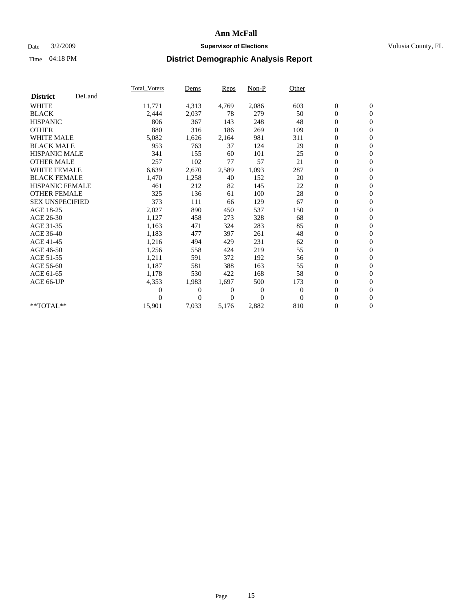## Date  $3/2/2009$  **Supervisor of Elections Supervisor of Elections** Volusia County, FL

|                        |        | Total Voters | Dems           | <b>Reps</b>  | $Non-P$      | Other        |                  |                  |  |
|------------------------|--------|--------------|----------------|--------------|--------------|--------------|------------------|------------------|--|
| <b>District</b>        | DeLand |              |                |              |              |              |                  |                  |  |
| <b>WHITE</b>           |        | 11,771       | 4,313          | 4,769        | 2,086        | 603          | $\boldsymbol{0}$ | $\boldsymbol{0}$ |  |
| <b>BLACK</b>           |        | 2,444        | 2,037          | 78           | 279          | 50           | $\overline{0}$   | $\mathbf{0}$     |  |
| <b>HISPANIC</b>        |        | 806          | 367            | 143          | 248          | 48           | $\overline{0}$   | $\mathbf{0}$     |  |
| <b>OTHER</b>           |        | 880          | 316            | 186          | 269          | 109          | 0                | $\mathbf{0}$     |  |
| <b>WHITE MALE</b>      |        | 5,082        | 1,626          | 2,164        | 981          | 311          | $\boldsymbol{0}$ | $\mathbf{0}$     |  |
| <b>BLACK MALE</b>      |        | 953          | 763            | 37           | 124          | 29           | $\boldsymbol{0}$ | $\mathbf{0}$     |  |
| <b>HISPANIC MALE</b>   |        | 341          | 155            | 60           | 101          | 25           | $\boldsymbol{0}$ | $\mathbf{0}$     |  |
| <b>OTHER MALE</b>      |        | 257          | 102            | 77           | 57           | 21           | $\boldsymbol{0}$ | $\mathbf{0}$     |  |
| <b>WHITE FEMALE</b>    |        | 6,639        | 2,670          | 2,589        | 1,093        | 287          | $\mathbf{0}$     | $\mathbf{0}$     |  |
| <b>BLACK FEMALE</b>    |        | 1,470        | 1,258          | 40           | 152          | 20           | $\boldsymbol{0}$ | $\Omega$         |  |
| HISPANIC FEMALE        |        | 461          | 212            | 82           | 145          | 22           | $\boldsymbol{0}$ | $\mathbf{0}$     |  |
| <b>OTHER FEMALE</b>    |        | 325          | 136            | 61           | 100          | 28           | $\mathbf{0}$     | $\mathbf{0}$     |  |
| <b>SEX UNSPECIFIED</b> |        | 373          | 111            | 66           | 129          | 67           | $\boldsymbol{0}$ | $\mathbf{0}$     |  |
| AGE 18-25              |        | 2,027        | 890            | 450          | 537          | 150          | $\boldsymbol{0}$ | $\mathbf{0}$     |  |
| AGE 26-30              |        | 1,127        | 458            | 273          | 328          | 68           | $\boldsymbol{0}$ | $\mathbf{0}$     |  |
| AGE 31-35              |        | 1,163        | 471            | 324          | 283          | 85           | $\boldsymbol{0}$ | $\mathbf{0}$     |  |
| AGE 36-40              |        | 1,183        | 477            | 397          | 261          | 48           | $\boldsymbol{0}$ | $\mathbf{0}$     |  |
| AGE 41-45              |        | 1,216        | 494            | 429          | 231          | 62           | $\boldsymbol{0}$ | $\mathbf{0}$     |  |
| AGE 46-50              |        | 1,256        | 558            | 424          | 219          | 55           | $\boldsymbol{0}$ | $\Omega$         |  |
| AGE 51-55              |        | 1,211        | 591            | 372          | 192          | 56           | $\boldsymbol{0}$ | $\mathbf{0}$     |  |
| AGE 56-60              |        | 1,187        | 581            | 388          | 163          | 55           | $\mathbf{0}$     | $\mathbf{0}$     |  |
| AGE 61-65              |        | 1,178        | 530            | 422          | 168          | 58           | $\boldsymbol{0}$ | $\Omega$         |  |
| AGE 66-UP              |        | 4,353        | 1,983          | 1,697        | 500          | 173          | $\mathbf{0}$     | $\mathbf{0}$     |  |
|                        |        | 0            | $\overline{0}$ | 0            | $\mathbf{0}$ | $\mathbf{0}$ | $\boldsymbol{0}$ | $\mathbf{0}$     |  |
|                        |        | $\Omega$     | $\overline{0}$ | $\mathbf{0}$ | $\Omega$     | $\Omega$     | $\boldsymbol{0}$ | $\mathbf{0}$     |  |
| **TOTAL**              |        | 15,901       | 7,033          | 5,176        | 2,882        | 810          | $\boldsymbol{0}$ | $\boldsymbol{0}$ |  |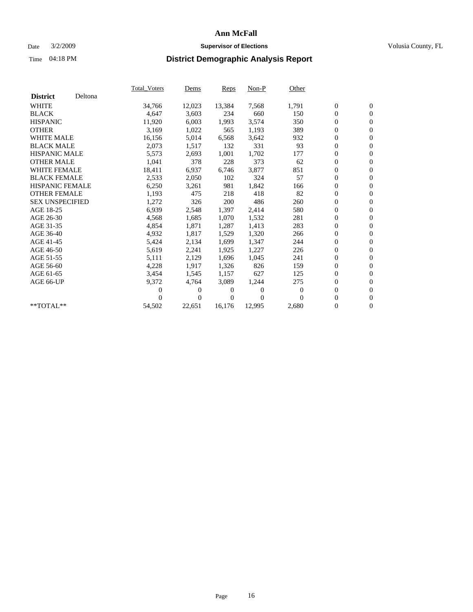## Date  $3/2/2009$  **Supervisor of Elections Supervisor of Elections** Volusia County, FL

|                        |         | <b>Total Voters</b> | Dems           | Reps     | $Non-P$  | Other    |                  |                  |  |
|------------------------|---------|---------------------|----------------|----------|----------|----------|------------------|------------------|--|
| <b>District</b>        | Deltona |                     |                |          |          |          |                  |                  |  |
| <b>WHITE</b>           |         | 34,766              | 12,023         | 13,384   | 7,568    | 1,791    | $\boldsymbol{0}$ | $\boldsymbol{0}$ |  |
| <b>BLACK</b>           |         | 4,647               | 3,603          | 234      | 660      | 150      | 0                | $\mathbf{0}$     |  |
| <b>HISPANIC</b>        |         | 11,920              | 6,003          | 1,993    | 3,574    | 350      | 0                | $\mathbf{0}$     |  |
| <b>OTHER</b>           |         | 3,169               | 1,022          | 565      | 1,193    | 389      | 0                | $\mathbf{0}$     |  |
| <b>WHITE MALE</b>      |         | 16,156              | 5,014          | 6,568    | 3,642    | 932      | 0                | $\mathbf{0}$     |  |
| <b>BLACK MALE</b>      |         | 2,073               | 1,517          | 132      | 331      | 93       | 0                | $\mathbf{0}$     |  |
| <b>HISPANIC MALE</b>   |         | 5,573               | 2,693          | 1,001    | 1,702    | 177      | 0                | $\mathbf{0}$     |  |
| <b>OTHER MALE</b>      |         | 1,041               | 378            | 228      | 373      | 62       | 0                | $\mathbf{0}$     |  |
| <b>WHITE FEMALE</b>    |         | 18,411              | 6,937          | 6,746    | 3,877    | 851      | $\boldsymbol{0}$ | $\mathbf{0}$     |  |
| <b>BLACK FEMALE</b>    |         | 2,533               | 2,050          | 102      | 324      | 57       | 0                | $\mathbf{0}$     |  |
| <b>HISPANIC FEMALE</b> |         | 6,250               | 3,261          | 981      | 1,842    | 166      | 0                | $\mathbf{0}$     |  |
| <b>OTHER FEMALE</b>    |         | 1,193               | 475            | 218      | 418      | 82       | 0                | $\mathbf{0}$     |  |
| <b>SEX UNSPECIFIED</b> |         | 1,272               | 326            | 200      | 486      | 260      | 0                | $\mathbf{0}$     |  |
| AGE 18-25              |         | 6,939               | 2,548          | 1,397    | 2,414    | 580      | 0                | $\mathbf{0}$     |  |
| AGE 26-30              |         | 4,568               | 1,685          | 1,070    | 1,532    | 281      | 0                | $\mathbf{0}$     |  |
| AGE 31-35              |         | 4,854               | 1,871          | 1,287    | 1,413    | 283      | 0                | $\mathbf{0}$     |  |
| AGE 36-40              |         | 4,932               | 1,817          | 1,529    | 1,320    | 266      | 0                | $\mathbf{0}$     |  |
| AGE 41-45              |         | 5,424               | 2,134          | 1,699    | 1,347    | 244      | 0                | $\mathbf{0}$     |  |
| AGE 46-50              |         | 5,619               | 2,241          | 1,925    | 1,227    | 226      | 0                | $\mathbf{0}$     |  |
| AGE 51-55              |         | 5,111               | 2,129          | 1,696    | 1,045    | 241      | $\boldsymbol{0}$ | $\mathbf{0}$     |  |
| AGE 56-60              |         | 4,228               | 1,917          | 1,326    | 826      | 159      | 0                | $\mathbf{0}$     |  |
| AGE 61-65              |         | 3,454               | 1,545          | 1,157    | 627      | 125      | 0                | $\mathbf{0}$     |  |
| AGE 66-UP              |         | 9,372               | 4,764          | 3,089    | 1,244    | 275      | $\boldsymbol{0}$ | $\mathbf{0}$     |  |
|                        |         | 0                   | 0              | $\Omega$ | $\theta$ | $\theta$ | $\overline{0}$   | $\mathbf{0}$     |  |
|                        |         | 0                   | $\overline{0}$ | 0        | $\Omega$ | $\Omega$ | 0                | $\mathbf{0}$     |  |
| **TOTAL**              |         | 54,502              | 22,651         | 16,176   | 12,995   | 2,680    | 0                | $\boldsymbol{0}$ |  |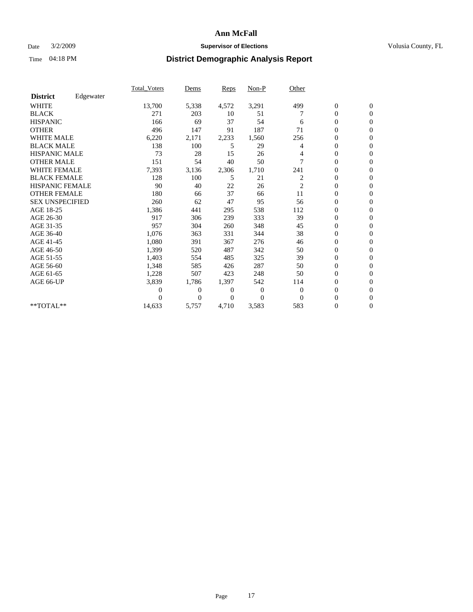## Date  $3/2/2009$  **Supervisor of Elections Supervisor of Elections** Volusia County, FL

|                        |           | <b>Total_Voters</b> | Dems           | Reps     | $Non-P$        | Other                   |                  |                  |  |
|------------------------|-----------|---------------------|----------------|----------|----------------|-------------------------|------------------|------------------|--|
| <b>District</b>        | Edgewater |                     |                |          |                |                         |                  |                  |  |
| <b>WHITE</b>           |           | 13,700              | 5,338          | 4,572    | 3,291          | 499                     | $\boldsymbol{0}$ | $\boldsymbol{0}$ |  |
| <b>BLACK</b>           |           | 271                 | 203            | 10       | 51             |                         | 0                | $\mathbf{0}$     |  |
| <b>HISPANIC</b>        |           | 166                 | 69             | 37       | 54             | 6                       | $\mathbf{0}$     | $\mathbf{0}$     |  |
| <b>OTHER</b>           |           | 496                 | 147            | 91       | 187            | 71                      | 0                | $\Omega$         |  |
| <b>WHITE MALE</b>      |           | 6,220               | 2,171          | 2,233    | 1,560          | 256                     | 0                | $\mathbf{0}$     |  |
| <b>BLACK MALE</b>      |           | 138                 | 100            | 5        | 29             | 4                       | $\overline{0}$   | $\mathbf{0}$     |  |
| <b>HISPANIC MALE</b>   |           | 73                  | 28             | 15       | 26             | 4                       | 0                | $\mathbf{0}$     |  |
| <b>OTHER MALE</b>      |           | 151                 | 54             | 40       | 50             | 7                       | 0                | $\mathbf{0}$     |  |
| <b>WHITE FEMALE</b>    |           | 7,393               | 3,136          | 2,306    | 1,710          | 241                     | 0                | $\mathbf{0}$     |  |
| <b>BLACK FEMALE</b>    |           | 128                 | 100            | 5        | 21             | 2                       | 0                | $\mathbf{0}$     |  |
| <b>HISPANIC FEMALE</b> |           | 90                  | 40             | 22       | 26             | $\overline{\mathbf{c}}$ | 0                | $\mathbf{0}$     |  |
| <b>OTHER FEMALE</b>    |           | 180                 | 66             | 37       | 66             | 11                      | 0                | $\mathbf{0}$     |  |
| <b>SEX UNSPECIFIED</b> |           | 260                 | 62             | 47       | 95             | 56                      | 0                | $\mathbf{0}$     |  |
| AGE 18-25              |           | 1,386               | 441            | 295      | 538            | 112                     | 0                | $\mathbf{0}$     |  |
| AGE 26-30              |           | 917                 | 306            | 239      | 333            | 39                      | 0                | $\mathbf{0}$     |  |
| AGE 31-35              |           | 957                 | 304            | 260      | 348            | 45                      | 0                | $\mathbf{0}$     |  |
| AGE 36-40              |           | 1,076               | 363            | 331      | 344            | 38                      | 0                | $\mathbf{0}$     |  |
| AGE 41-45              |           | 1,080               | 391            | 367      | 276            | 46                      | 0                | $\mathbf{0}$     |  |
| AGE 46-50              |           | 1,399               | 520            | 487      | 342            | 50                      | 0                | $\mathbf{0}$     |  |
| AGE 51-55              |           | 1,403               | 554            | 485      | 325            | 39                      | 0                | $\mathbf{0}$     |  |
| AGE 56-60              |           | 1,348               | 585            | 426      | 287            | 50                      | $\overline{0}$   | $\Omega$         |  |
| AGE 61-65              |           | 1,228               | 507            | 423      | 248            | 50                      | 0                | $\mathbf{0}$     |  |
| AGE 66-UP              |           | 3,839               | 1,786          | 1,397    | 542            | 114                     | 0                | $\mathbf{0}$     |  |
|                        |           | 0                   | 0              | 0        | $\overline{0}$ | $\theta$                | 0                | $\mathbf{0}$     |  |
|                        |           | 0                   | $\overline{0}$ | $\Omega$ | $\Omega$       | $\Omega$                | $\overline{0}$   | $\mathbf{0}$     |  |
| **TOTAL**              |           | 14,633              | 5,757          | 4,710    | 3,583          | 583                     | 0                | $\overline{0}$   |  |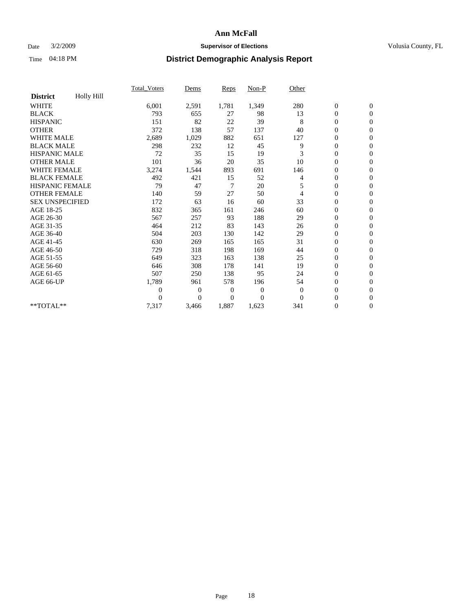## Date  $3/2/2009$  **Supervisor of Elections Supervisor of Elections** Volusia County, FL

|                        |            | <b>Total_Voters</b> | Dems           | Reps           | $Non-P$          | Other    |                  |                  |  |
|------------------------|------------|---------------------|----------------|----------------|------------------|----------|------------------|------------------|--|
| <b>District</b>        | Holly Hill |                     |                |                |                  |          |                  |                  |  |
| <b>WHITE</b>           |            | 6,001               | 2,591          | 1,781          | 1,349            | 280      | $\boldsymbol{0}$ | $\boldsymbol{0}$ |  |
| <b>BLACK</b>           |            | 793                 | 655            | 27             | 98               | 13       | $\overline{0}$   | $\mathbf{0}$     |  |
| <b>HISPANIC</b>        |            | 151                 | 82             | 22             | 39               | 8        | $\overline{0}$   | $\mathbf{0}$     |  |
| <b>OTHER</b>           |            | 372                 | 138            | 57             | 137              | 40       | 0                | $\mathbf{0}$     |  |
| <b>WHITE MALE</b>      |            | 2,689               | 1,029          | 882            | 651              | 127      | $\boldsymbol{0}$ | $\mathbf{0}$     |  |
| <b>BLACK MALE</b>      |            | 298                 | 232            | 12             | 45               | 9        | $\boldsymbol{0}$ | $\Omega$         |  |
| <b>HISPANIC MALE</b>   |            | 72                  | 35             | 15             | 19               | 3        | 0                | $\mathbf{0}$     |  |
| <b>OTHER MALE</b>      |            | 101                 | 36             | 20             | 35               | 10       | $\boldsymbol{0}$ | $\mathbf{0}$     |  |
| WHITE FEMALE           |            | 3,274               | 1,544          | 893            | 691              | 146      | 0                | $\mathbf{0}$     |  |
| <b>BLACK FEMALE</b>    |            | 492                 | 421            | 15             | 52               | 4        | 0                | $\Omega$         |  |
| <b>HISPANIC FEMALE</b> |            | 79                  | 47             | 7              | 20               | 5        | $\boldsymbol{0}$ | $\mathbf{0}$     |  |
| <b>OTHER FEMALE</b>    |            | 140                 | 59             | 27             | 50               | 4        | 0                | $\mathbf{0}$     |  |
| <b>SEX UNSPECIFIED</b> |            | 172                 | 63             | 16             | 60               | 33       | 0                | $\Omega$         |  |
| AGE 18-25              |            | 832                 | 365            | 161            | 246              | 60       | $\boldsymbol{0}$ | $\mathbf{0}$     |  |
| AGE 26-30              |            | 567                 | 257            | 93             | 188              | 29       | 0                | $\mathbf{0}$     |  |
| AGE 31-35              |            | 464                 | 212            | 83             | 143              | 26       | 0                | $\mathbf{0}$     |  |
| AGE 36-40              |            | 504                 | 203            | 130            | 142              | 29       | $\overline{0}$   | $\mathbf{0}$     |  |
| AGE 41-45              |            | 630                 | 269            | 165            | 165              | 31       | $\boldsymbol{0}$ | $\mathbf{0}$     |  |
| AGE 46-50              |            | 729                 | 318            | 198            | 169              | 44       | 0                | $\Omega$         |  |
| AGE 51-55              |            | 649                 | 323            | 163            | 138              | 25       | $\boldsymbol{0}$ | $\mathbf{0}$     |  |
| AGE 56-60              |            | 646                 | 308            | 178            | 141              | 19       | $\overline{0}$   | $\mathbf{0}$     |  |
| AGE 61-65              |            | 507                 | 250            | 138            | 95               | 24       | 0                | $\Omega$         |  |
| AGE 66-UP              |            | 1,789               | 961            | 578            | 196              | 54       | $\overline{0}$   | $\mathbf{0}$     |  |
|                        |            | 0                   | $\overline{0}$ | $\overline{0}$ | $\boldsymbol{0}$ | $\theta$ | $\boldsymbol{0}$ | $\mathbf{0}$     |  |
|                        |            | 0                   | $\mathbf{0}$   | 0              | $\Omega$         | $\Omega$ | 0                | $\mathbf{0}$     |  |
| **TOTAL**              |            | 7,317               | 3,466          | 1,887          | 1,623            | 341      | $\overline{0}$   | $\boldsymbol{0}$ |  |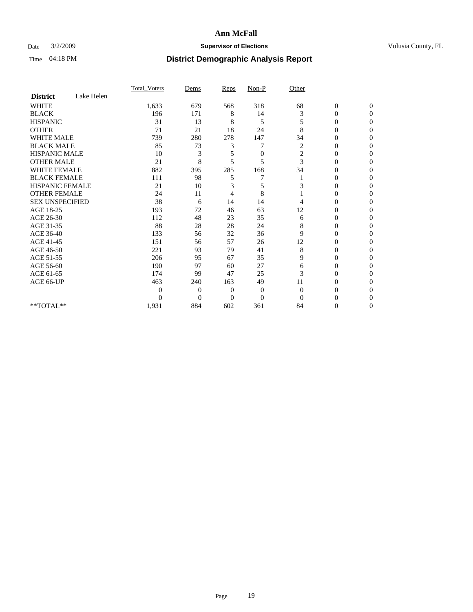## Date  $3/2/2009$  **Supervisor of Elections Supervisor of Elections** Volusia County, FL

|                        |            | Total Voters | Dems           | <b>Reps</b>  | $Non-P$        | Other            |                  |              |  |
|------------------------|------------|--------------|----------------|--------------|----------------|------------------|------------------|--------------|--|
| <b>District</b>        | Lake Helen |              |                |              |                |                  |                  |              |  |
| <b>WHITE</b>           |            | 1,633        | 679            | 568          | 318            | 68               | $\boldsymbol{0}$ | $\mathbf{0}$ |  |
| <b>BLACK</b>           |            | 196          | 171            | 8            | 14             | 3                | $\overline{0}$   | $\Omega$     |  |
| <b>HISPANIC</b>        |            | 31           | 13             | 8            | 5              | 5                | 0                | $\Omega$     |  |
| <b>OTHER</b>           |            | 71           | 21             | 18           | 24             | 8                | 0                | $\Omega$     |  |
| <b>WHITE MALE</b>      |            | 739          | 280            | 278          | 147            | 34               | 0                | 0            |  |
| <b>BLACK MALE</b>      |            | 85           | 73             | 3            |                | 2                | $\mathbf{0}$     | $\Omega$     |  |
| HISPANIC MALE          |            | 10           | 3              | 5            | $\mathbf{0}$   | $\boldsymbol{2}$ | 0                | $\Omega$     |  |
| <b>OTHER MALE</b>      |            | 21           | 8              | 5            | 5              | 3                | 0                | 0            |  |
| <b>WHITE FEMALE</b>    |            | 882          | 395            | 285          | 168            | 34               | 0                | $\Omega$     |  |
| <b>BLACK FEMALE</b>    |            | 111          | 98             | 5            | 7              |                  | 0                | $\Omega$     |  |
| <b>HISPANIC FEMALE</b> |            | 21           | 10             | 3            | 5              | 3                | 0                | 0            |  |
| <b>OTHER FEMALE</b>    |            | 24           | 11             | 4            | 8              |                  | 0                | 0            |  |
| <b>SEX UNSPECIFIED</b> |            | 38           | 6              | 14           | 14             | 4                | 0                | $\Omega$     |  |
| AGE 18-25              |            | 193          | 72             | 46           | 63             | 12               | 0                | $\Omega$     |  |
| AGE 26-30              |            | 112          | 48             | 23           | 35             | 6                | 0                | $\Omega$     |  |
| AGE 31-35              |            | 88           | 28             | 28           | 24             | 8                | 0                | $\Omega$     |  |
| AGE 36-40              |            | 133          | 56             | 32           | 36             | 9                | 0                | 0            |  |
| AGE 41-45              |            | 151          | 56             | 57           | 26             | 12               | 0                | $\Omega$     |  |
| AGE 46-50              |            | 221          | 93             | 79           | 41             | 8                | 0                | $\Omega$     |  |
| AGE 51-55              |            | 206          | 95             | 67           | 35             | 9                | 0                | 0            |  |
| AGE 56-60              |            | 190          | 97             | 60           | 27             | 6                | 0                | $\Omega$     |  |
| AGE 61-65              |            | 174          | 99             | 47           | 25             | 3                | $\overline{0}$   | $\Omega$     |  |
| AGE 66-UP              |            | 463          | 240            | 163          | 49             | 11               | 0                | 0            |  |
|                        |            | 0            | $\overline{0}$ | $\mathbf{0}$ | $\mathbf{0}$   | $\Omega$         | 0                | $\Omega$     |  |
|                        |            | $\theta$     | $\overline{0}$ | $\Omega$     | $\overline{0}$ | $\Omega$         | 0                | 0            |  |
| **TOTAL**              |            | 1,931        | 884            | 602          | 361            | 84               | 0                | 0            |  |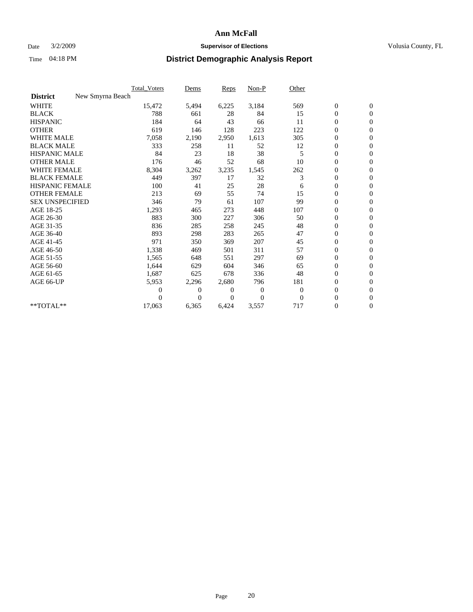## Date  $3/2/2009$  **Supervisor of Elections Supervisor of Elections** Volusia County, FL

|                        |                  | Total Voters | Dems           | <b>Reps</b>  | Non-P        | Other        |                  |                  |  |
|------------------------|------------------|--------------|----------------|--------------|--------------|--------------|------------------|------------------|--|
| <b>District</b>        | New Smyrna Beach |              |                |              |              |              |                  |                  |  |
| <b>WHITE</b>           |                  | 15,472       | 5,494          | 6,225        | 3,184        | 569          | $\boldsymbol{0}$ | $\boldsymbol{0}$ |  |
| <b>BLACK</b>           |                  | 788          | 661            | 28           | 84           | 15           | $\boldsymbol{0}$ | $\mathbf{0}$     |  |
| <b>HISPANIC</b>        |                  | 184          | 64             | 43           | 66           | 11           | $\overline{0}$   | $\mathbf{0}$     |  |
| <b>OTHER</b>           |                  | 619          | 146            | 128          | 223          | 122          | $\boldsymbol{0}$ | $\mathbf{0}$     |  |
| <b>WHITE MALE</b>      |                  | 7,058        | 2,190          | 2,950        | 1,613        | 305          | $\boldsymbol{0}$ | $\mathbf{0}$     |  |
| <b>BLACK MALE</b>      |                  | 333          | 258            | 11           | 52           | 12           | $\overline{0}$   | $\mathbf{0}$     |  |
| <b>HISPANIC MALE</b>   |                  | 84           | 23             | 18           | 38           | 5            | $\boldsymbol{0}$ | $\Omega$         |  |
| <b>OTHER MALE</b>      |                  | 176          | 46             | 52           | 68           | 10           | $\overline{0}$   | $\mathbf{0}$     |  |
| <b>WHITE FEMALE</b>    |                  | 8,304        | 3,262          | 3,235        | 1,545        | 262          | $\boldsymbol{0}$ | $\mathbf{0}$     |  |
| <b>BLACK FEMALE</b>    |                  | 449          | 397            | 17           | 32           | 3            | $\boldsymbol{0}$ | $\mathbf{0}$     |  |
| <b>HISPANIC FEMALE</b> |                  | 100          | 41             | 25           | 28           | 6            | $\boldsymbol{0}$ | $\mathbf{0}$     |  |
| <b>OTHER FEMALE</b>    |                  | 213          | 69             | 55           | 74           | 15           | $\mathbf{0}$     | $\mathbf{0}$     |  |
| <b>SEX UNSPECIFIED</b> |                  | 346          | 79             | 61           | 107          | 99           | $\boldsymbol{0}$ | $\Omega$         |  |
| AGE 18-25              |                  | 1,293        | 465            | 273          | 448          | 107          | $\boldsymbol{0}$ | $\mathbf{0}$     |  |
| AGE 26-30              |                  | 883          | 300            | 227          | 306          | 50           | $\overline{0}$   | $\mathbf{0}$     |  |
| AGE 31-35              |                  | 836          | 285            | 258          | 245          | 48           | $\boldsymbol{0}$ | $\mathbf{0}$     |  |
| AGE 36-40              |                  | 893          | 298            | 283          | 265          | 47           | $\boldsymbol{0}$ | $\mathbf{0}$     |  |
| AGE 41-45              |                  | 971          | 350            | 369          | 207          | 45           | $\boldsymbol{0}$ | $\mathbf{0}$     |  |
| AGE 46-50              |                  | 1,338        | 469            | 501          | 311          | 57           | $\boldsymbol{0}$ | $\Omega$         |  |
| AGE 51-55              |                  | 1,565        | 648            | 551          | 297          | 69           | $\overline{0}$   | $\mathbf{0}$     |  |
| AGE 56-60              |                  | 1,644        | 629            | 604          | 346          | 65           | $\overline{0}$   | $\mathbf{0}$     |  |
| AGE 61-65              |                  | 1,687        | 625            | 678          | 336          | 48           | $\overline{0}$   | $\mathbf{0}$     |  |
| AGE 66-UP              |                  | 5,953        | 2,296          | 2,680        | 796          | 181          | $\boldsymbol{0}$ | $\mathbf{0}$     |  |
|                        |                  | 0            | $\overline{0}$ | 0            | $\mathbf{0}$ | $\mathbf{0}$ | $\mathbf{0}$     | $\mathbf{0}$     |  |
|                        |                  | 0            | $\overline{0}$ | $\mathbf{0}$ | $\Omega$     | $\mathbf{0}$ | $\boldsymbol{0}$ | $\mathbf{0}$     |  |
| **TOTAL**              |                  | 17,063       | 6,365          | 6,424        | 3,557        | 717          | 0                | $\boldsymbol{0}$ |  |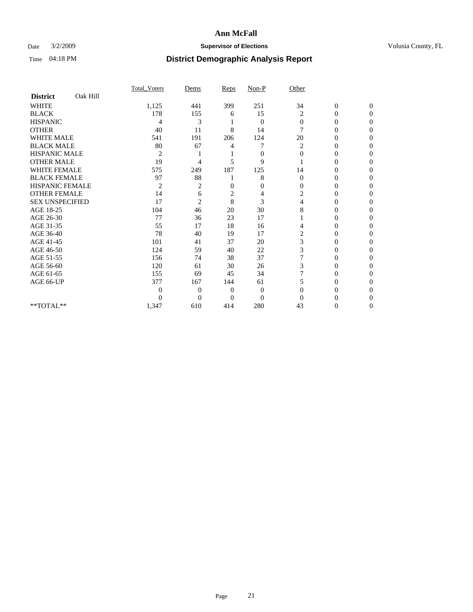## Date  $3/2/2009$  **Supervisor of Elections Supervisor of Elections** Volusia County, FL

|                        |          | Total Voters   | Dems           | Reps         | $Non-P$        | Other          |                  |              |  |
|------------------------|----------|----------------|----------------|--------------|----------------|----------------|------------------|--------------|--|
| <b>District</b>        | Oak Hill |                |                |              |                |                |                  |              |  |
| <b>WHITE</b>           |          | 1,125          | 441            | 399          | 251            | 34             | $\boldsymbol{0}$ | $\mathbf{0}$ |  |
| <b>BLACK</b>           |          | 178            | 155            | 6            | 15             | 2              | $\overline{0}$   | $\Omega$     |  |
| <b>HISPANIC</b>        |          | 4              | 3              |              | $\mathbf{0}$   | $\mathbf{0}$   | 0                | $\Omega$     |  |
| <b>OTHER</b>           |          | 40             | 11             | 8            | 14             | 7              | 0                | $\Omega$     |  |
| <b>WHITE MALE</b>      |          | 541            | 191            | 206          | 124            | 20             | 0                | 0            |  |
| <b>BLACK MALE</b>      |          | 80             | 67             | 4            |                | 2              | 0                | $\Omega$     |  |
| HISPANIC MALE          |          | $\overline{2}$ |                |              | $\overline{0}$ | $\Omega$       | 0                | $\Omega$     |  |
| <b>OTHER MALE</b>      |          | 19             | 4              | 5            | 9              |                | 0                | 0            |  |
| <b>WHITE FEMALE</b>    |          | 575            | 249            | 187          | 125            | 14             | 0                | $\Omega$     |  |
| <b>BLACK FEMALE</b>    |          | 97             | 88             |              | 8              | $\mathbf{0}$   | 0                | 0            |  |
| <b>HISPANIC FEMALE</b> |          | 2              | $\overline{c}$ | 0            | $\mathbf{0}$   | $\Omega$       | 0                | 0            |  |
| <b>OTHER FEMALE</b>    |          | 14             | 6              | 2            | 4              | 2              | 0                | 0            |  |
| <b>SEX UNSPECIFIED</b> |          | 17             | $\overline{2}$ | 8            | 3              | 4              | 0                | $\Omega$     |  |
| AGE 18-25              |          | 104            | 46             | 20           | 30             | 8              | 0                | $\Omega$     |  |
| AGE 26-30              |          | 77             | 36             | 23           | 17             |                | 0                | 0            |  |
| AGE 31-35              |          | 55             | 17             | 18           | 16             | 4              | 0                | 0            |  |
| AGE 36-40              |          | 78             | 40             | 19           | 17             | $\overline{c}$ | 0                | 0            |  |
| AGE 41-45              |          | 101            | 41             | 37           | 20             | 3              | 0                | $\Omega$     |  |
| AGE 46-50              |          | 124            | 59             | 40           | 22             | 3              | 0                | $\Omega$     |  |
| AGE 51-55              |          | 156            | 74             | 38           | 37             | 7              | 0                | 0            |  |
| AGE 56-60              |          | 120            | 61             | 30           | 26             | 3              | 0                | 0            |  |
| AGE 61-65              |          | 155            | 69             | 45           | 34             |                | $\overline{0}$   | 0            |  |
| AGE 66-UP              |          | 377            | 167            | 144          | 61             | 5              | 0                | 0            |  |
|                        |          | 0              | $\overline{0}$ | $\mathbf{0}$ | $\mathbf{0}$   | $\Omega$       | 0                | 0            |  |
|                        |          | $\theta$       | $\overline{0}$ | $\Omega$     | $\overline{0}$ | $\Omega$       |                  | 0            |  |
| **TOTAL**              |          | 1,347          | 610            | 414          | 280            | 43             | 0                | 0            |  |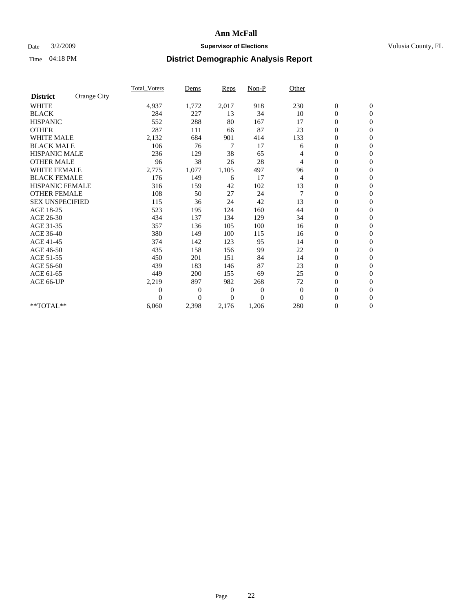## Date  $3/2/2009$  **Supervisor of Elections Supervisor of Elections** Volusia County, FL

|                        |             | Total Voters     | Dems           | <b>Reps</b> | $Non-P$      | Other          |                  |                  |  |
|------------------------|-------------|------------------|----------------|-------------|--------------|----------------|------------------|------------------|--|
| <b>District</b>        | Orange City |                  |                |             |              |                |                  |                  |  |
| <b>WHITE</b>           |             | 4,937            | 1,772          | 2,017       | 918          | 230            | $\boldsymbol{0}$ | $\boldsymbol{0}$ |  |
| <b>BLACK</b>           |             | 284              | 227            | 13          | 34           | 10             | $\boldsymbol{0}$ | $\mathbf{0}$     |  |
| <b>HISPANIC</b>        |             | 552              | 288            | 80          | 167          | 17             | $\overline{0}$   | $\mathbf{0}$     |  |
| <b>OTHER</b>           |             | 287              | 111            | 66          | 87           | 23             | $\boldsymbol{0}$ | $\mathbf{0}$     |  |
| <b>WHITE MALE</b>      |             | 2,132            | 684            | 901         | 414          | 133            | $\boldsymbol{0}$ | $\mathbf{0}$     |  |
| <b>BLACK MALE</b>      |             | 106              | 76             | 7           | 17           | 6              | $\boldsymbol{0}$ | $\mathbf{0}$     |  |
| <b>HISPANIC MALE</b>   |             | 236              | 129            | 38          | 65           | 4              | $\boldsymbol{0}$ | $\mathbf{0}$     |  |
| <b>OTHER MALE</b>      |             | 96               | 38             | 26          | 28           | 4              | $\boldsymbol{0}$ | $\mathbf{0}$     |  |
| <b>WHITE FEMALE</b>    |             | 2,775            | 1,077          | 1,105       | 497          | 96             | $\overline{0}$   | $\mathbf{0}$     |  |
| <b>BLACK FEMALE</b>    |             | 176              | 149            | 6           | 17           | 4              | $\boldsymbol{0}$ | $\mathbf{0}$     |  |
| <b>HISPANIC FEMALE</b> |             | 316              | 159            | 42          | 102          | 13             | $\boldsymbol{0}$ | $\mathbf{0}$     |  |
| <b>OTHER FEMALE</b>    |             | 108              | 50             | 27          | 24           | $\overline{7}$ | $\mathbf{0}$     | $\mathbf{0}$     |  |
| <b>SEX UNSPECIFIED</b> |             | 115              | 36             | 24          | 42           | 13             | $\boldsymbol{0}$ | $\mathbf{0}$     |  |
| AGE 18-25              |             | 523              | 195            | 124         | 160          | 44             | $\overline{0}$   | $\mathbf{0}$     |  |
| AGE 26-30              |             | 434              | 137            | 134         | 129          | 34             | $\overline{0}$   | $\mathbf{0}$     |  |
| AGE 31-35              |             | 357              | 136            | 105         | 100          | 16             | $\boldsymbol{0}$ | $\mathbf{0}$     |  |
| AGE 36-40              |             | 380              | 149            | 100         | 115          | 16             | $\boldsymbol{0}$ | $\mathbf{0}$     |  |
| AGE 41-45              |             | 374              | 142            | 123         | 95           | 14             | $\overline{0}$   | $\mathbf{0}$     |  |
| AGE 46-50              |             | 435              | 158            | 156         | 99           | 22             | $\boldsymbol{0}$ | $\mathbf{0}$     |  |
| AGE 51-55              |             | 450              | 201            | 151         | 84           | 14             | $\boldsymbol{0}$ | $\mathbf{0}$     |  |
| AGE 56-60              |             | 439              | 183            | 146         | 87           | 23             | $\overline{0}$   | $\Omega$         |  |
| AGE 61-65              |             | 449              | 200            | 155         | 69           | 25             | $\mathbf{0}$     | $\mathbf{0}$     |  |
| AGE 66-UP              |             | 2,219            | 897            | 982         | 268          | 72             | $\boldsymbol{0}$ | $\mathbf{0}$     |  |
|                        |             | $\boldsymbol{0}$ | $\overline{0}$ | 0           | $\mathbf{0}$ | $\theta$       | $\overline{0}$   | $\mathbf{0}$     |  |
|                        |             | $\theta$         | $\theta$       | $\Omega$    | $\theta$     | $\Omega$       | $\boldsymbol{0}$ | $\mathbf{0}$     |  |
| **TOTAL**              |             | 6,060            | 2,398          | 2,176       | 1,206        | 280            | $\overline{0}$   | $\mathbf{0}$     |  |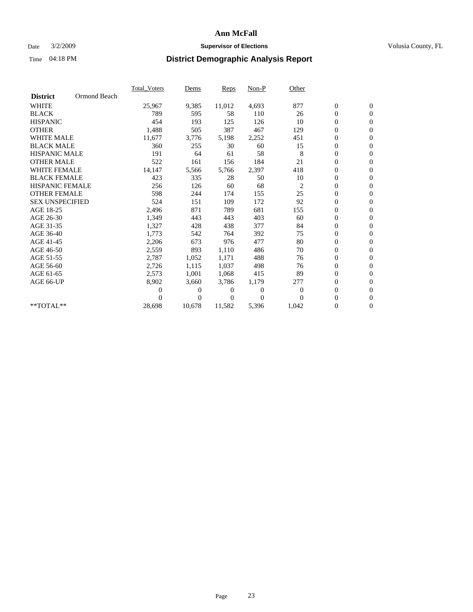### Date  $3/2/2009$  **Supervisor of Elections Supervisor of Elections** Volusia County, FL

|                        |              | Total Voters   | Dems           | <b>Reps</b> | $Non-P$      | Other          |                  |                  |  |
|------------------------|--------------|----------------|----------------|-------------|--------------|----------------|------------------|------------------|--|
| <b>District</b>        | Ormond Beach |                |                |             |              |                |                  |                  |  |
| <b>WHITE</b>           |              | 25,967         | 9,385          | 11,012      | 4,693        | 877            | $\boldsymbol{0}$ | $\boldsymbol{0}$ |  |
| <b>BLACK</b>           |              | 789            | 595            | 58          | 110          | 26             | $\boldsymbol{0}$ | $\mathbf{0}$     |  |
| <b>HISPANIC</b>        |              | 454            | 193            | 125         | 126          | 10             | $\overline{0}$   | $\mathbf{0}$     |  |
| <b>OTHER</b>           |              | 1,488          | 505            | 387         | 467          | 129            | 0                | $\mathbf{0}$     |  |
| <b>WHITE MALE</b>      |              | 11,677         | 3,776          | 5,198       | 2,252        | 451            | $\boldsymbol{0}$ | $\mathbf{0}$     |  |
| <b>BLACK MALE</b>      |              | 360            | 255            | 30          | 60           | 15             | $\overline{0}$   | $\mathbf{0}$     |  |
| <b>HISPANIC MALE</b>   |              | 191            | 64             | 61          | 58           | 8              | $\boldsymbol{0}$ | $\Omega$         |  |
| <b>OTHER MALE</b>      |              | 522            | 161            | 156         | 184          | 21             | $\overline{0}$   | $\mathbf{0}$     |  |
| <b>WHITE FEMALE</b>    |              | 14,147         | 5,566          | 5,766       | 2,397        | 418            | $\boldsymbol{0}$ | $\mathbf{0}$     |  |
| <b>BLACK FEMALE</b>    |              | 423            | 335            | 28          | 50           | 10             | $\boldsymbol{0}$ | $\mathbf{0}$     |  |
| <b>HISPANIC FEMALE</b> |              | 256            | 126            | 60          | 68           | 2              | 0                | $\mathbf{0}$     |  |
| <b>OTHER FEMALE</b>    |              | 598            | 244            | 174         | 155          | 25             | $\mathbf{0}$     | $\mathbf{0}$     |  |
| <b>SEX UNSPECIFIED</b> |              | 524            | 151            | 109         | 172          | 92             | $\boldsymbol{0}$ | $\mathbf{0}$     |  |
| AGE 18-25              |              | 2,496          | 871            | 789         | 681          | 155            | $\boldsymbol{0}$ | $\mathbf{0}$     |  |
| AGE 26-30              |              | 1,349          | 443            | 443         | 403          | 60             | $\overline{0}$   | $\mathbf{0}$     |  |
| AGE 31-35              |              | 1,327          | 428            | 438         | 377          | 84             | $\boldsymbol{0}$ | $\mathbf{0}$     |  |
| AGE 36-40              |              | 1,773          | 542            | 764         | 392          | 75             | $\boldsymbol{0}$ | $\mathbf{0}$     |  |
| AGE 41-45              |              | 2,206          | 673            | 976         | 477          | 80             | $\boldsymbol{0}$ | $\mathbf{0}$     |  |
| AGE 46-50              |              | 2,559          | 893            | 1,110       | 486          | 70             | $\boldsymbol{0}$ | $\Omega$         |  |
| AGE 51-55              |              | 2,787          | 1,052          | 1,171       | 488          | 76             | $\boldsymbol{0}$ | $\mathbf{0}$     |  |
| AGE 56-60              |              | 2,726          | 1,115          | 1.037       | 498          | 76             | $\overline{0}$   | $\mathbf{0}$     |  |
| AGE 61-65              |              | 2,573          | 1,001          | 1.068       | 415          | 89             | 0                | $\mathbf{0}$     |  |
| AGE 66-UP              |              | 8,902          | 3,660          | 3,786       | 1,179        | 277            | $\overline{0}$   | $\mathbf{0}$     |  |
|                        |              | $\overline{0}$ | 0              | $\theta$    | $\mathbf{0}$ | $\overline{0}$ | $\mathbf{0}$     | $\mathbf{0}$     |  |
|                        |              | 0              | $\overline{0}$ | 0           | $\Omega$     | $\Omega$       | 0                | $\mathbf{0}$     |  |
| **TOTAL**              |              | 28,698         | 10,678         | 11,582      | 5,396        | 1,042          | 0                | $\boldsymbol{0}$ |  |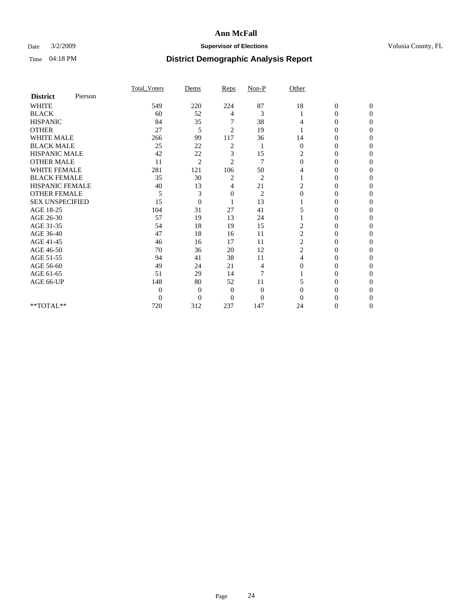## Date  $3/2/2009$  **Supervisor of Elections Supervisor of Elections** Volusia County, FL

|                        |         | Total Voters   | Dems           | Reps           | $Non-P$        | Other          |                  |              |  |
|------------------------|---------|----------------|----------------|----------------|----------------|----------------|------------------|--------------|--|
| <b>District</b>        | Pierson |                |                |                |                |                |                  |              |  |
| <b>WHITE</b>           |         | 549            | 220            | 224            | 87             | 18             | $\boldsymbol{0}$ | $\mathbf{0}$ |  |
| <b>BLACK</b>           |         | 60             | 52             | 4              | 3              |                | $\overline{0}$   | $\Omega$     |  |
| <b>HISPANIC</b>        |         | 84             | 35             |                | 38             | 4              | 0                | $\Omega$     |  |
| <b>OTHER</b>           |         | 27             | 5              | $\overline{2}$ | 19             |                | 0                | $\Omega$     |  |
| <b>WHITE MALE</b>      |         | 266            | 99             | 117            | 36             | 14             | $\theta$         | 0            |  |
| <b>BLACK MALE</b>      |         | 25             | 22             | 2              |                | $\mathbf{0}$   | 0                | $\Omega$     |  |
| HISPANIC MALE          |         | 42             | 22             | 3              | 15             | 2              | $\overline{0}$   | $\Omega$     |  |
| <b>OTHER MALE</b>      |         | 11             | $\overline{2}$ | $\overline{2}$ | 7              | $\Omega$       | 0                | 0            |  |
| <b>WHITE FEMALE</b>    |         | 281            | 121            | 106            | 50             | 4              | 0                | $\Omega$     |  |
| <b>BLACK FEMALE</b>    |         | 35             | 30             | $\overline{c}$ | $\overline{c}$ |                | $\overline{0}$   | 0            |  |
| <b>HISPANIC FEMALE</b> |         | 40             | 13             | 4              | 21             | 2              | 0                | 0            |  |
| <b>OTHER FEMALE</b>    |         | 5              | 3              | 0              | $\overline{c}$ | $\Omega$       | 0                | 0            |  |
| <b>SEX UNSPECIFIED</b> |         | 15             | $\overline{0}$ |                | 13             |                | 0                | $\Omega$     |  |
| AGE 18-25              |         | 104            | 31             | 27             | 41             | 5              | 0                | $\Omega$     |  |
| AGE 26-30              |         | 57             | 19             | 13             | 24             |                | 0                | 0            |  |
| AGE 31-35              |         | 54             | 18             | 19             | 15             | 2              | 0                | 0            |  |
| AGE 36-40              |         | 47             | 18             | 16             | 11             | $\overline{c}$ | 0                | 0            |  |
| AGE 41-45              |         | 46             | 16             | 17             | 11             | 2              | 0                | $\Omega$     |  |
| AGE 46-50              |         | 70             | 36             | 20             | 12             | 2              | 0                | $\Omega$     |  |
| AGE 51-55              |         | 94             | 41             | 38             | 11             | 4              | 0                | 0            |  |
| AGE 56-60              |         | 49             | 24             | 21             | 4              | $\Omega$       | 0                | 0            |  |
| AGE 61-65              |         | 51             | 29             | 14             | $\overline{7}$ |                | 0                | 0            |  |
| AGE 66-UP              |         | 148            | 80             | 52             | 11             | 5              | 0                | 0            |  |
|                        |         | $\theta$       | $\overline{0}$ | $\mathbf{0}$   | $\mathbf{0}$   | $\Omega$       | 0                | 0            |  |
|                        |         | $\overline{0}$ | $\overline{0}$ | $\overline{0}$ | $\overline{0}$ | $\Omega$       |                  | 0            |  |
| **TOTAL**              |         | 720            | 312            | 237            | 147            | 24             | 0                | 0            |  |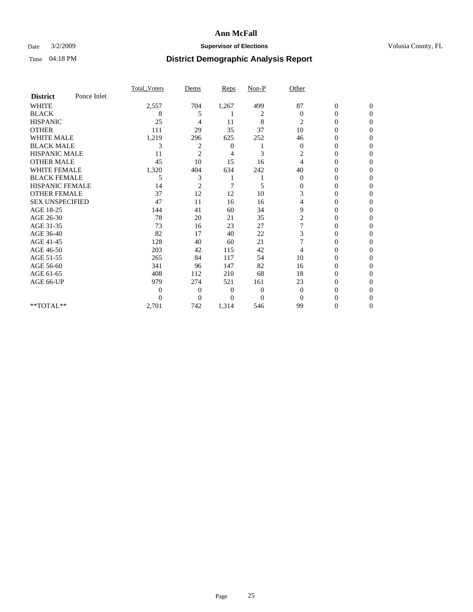## Date  $3/2/2009$  **Supervisor of Elections Supervisor of Elections** Volusia County, FL

|                        |             | <b>Total_Voters</b> | Dems           | Reps           | $Non-P$        | Other          |                  |              |  |
|------------------------|-------------|---------------------|----------------|----------------|----------------|----------------|------------------|--------------|--|
| <b>District</b>        | Ponce Inlet |                     |                |                |                |                |                  |              |  |
| <b>WHITE</b>           |             | 2,557               | 704            | 1,267          | 499            | 87             | $\boldsymbol{0}$ | $\mathbf{0}$ |  |
| <b>BLACK</b>           |             | 8                   | 5              |                | 2              | $\Omega$       | 0                | $\Omega$     |  |
| <b>HISPANIC</b>        |             | 25                  | 4              | 11             | 8              | 2              | 0                | $\Omega$     |  |
| <b>OTHER</b>           |             | 111                 | 29             | 35             | 37             | 10             | 0                | $\Omega$     |  |
| <b>WHITE MALE</b>      |             | 1,219               | 296            | 625            | 252            | 46             | 0                | 0            |  |
| <b>BLACK MALE</b>      |             | 3                   | 2              | $\overline{0}$ |                | $\theta$       | 0                | $\Omega$     |  |
| HISPANIC MALE          |             | 11                  | $\overline{2}$ | 4              | 3              | 2              | $\overline{0}$   | $\Omega$     |  |
| <b>OTHER MALE</b>      |             | 45                  | 10             | 15             | 16             | 4              | 0                | 0            |  |
| <b>WHITE FEMALE</b>    |             | 1,320               | 404            | 634            | 242            | 40             | 0                | $\Omega$     |  |
| <b>BLACK FEMALE</b>    |             | 5                   | 3              |                |                | $\overline{0}$ | $\overline{0}$   | 0            |  |
| <b>HISPANIC FEMALE</b> |             | 14                  | $\overline{2}$ | 7              | 5              | $\Omega$       | 0                | 0            |  |
| <b>OTHER FEMALE</b>    |             | 37                  | 12             | 12             | 10             | 3              | 0                | 0            |  |
| <b>SEX UNSPECIFIED</b> |             | 47                  | 11             | 16             | 16             | 4              | 0                | $\Omega$     |  |
| AGE 18-25              |             | 144                 | 41             | 60             | 34             | 9              | 0                | $\Omega$     |  |
| AGE 26-30              |             | 78                  | 20             | 21             | 35             | 2              | 0                | 0            |  |
| AGE 31-35              |             | 73                  | 16             | 23             | 27             |                | 0                | $\Omega$     |  |
| AGE 36-40              |             | 82                  | 17             | 40             | 22             | 3              | 0                | 0            |  |
| AGE 41-45              |             | 128                 | 40             | 60             | 21             |                | 0                | $\Omega$     |  |
| AGE 46-50              |             | 203                 | 42             | 115            | 42             | 4              | 0                | $\Omega$     |  |
| AGE 51-55              |             | 265                 | 84             | 117            | 54             | 10             | 0                | 0            |  |
| AGE 56-60              |             | 341                 | 96             | 147            | 82             | 16             | 0                | $\Omega$     |  |
| AGE 61-65              |             | 408                 | 112            | 210            | 68             | 18             | 0                | $\Omega$     |  |
| AGE 66-UP              |             | 979                 | 274            | 521            | 161            | 23             | 0                | 0            |  |
|                        |             | $\Omega$            | $\overline{0}$ | $\theta$       | $\theta$       | $\Omega$       | 0                | $\Omega$     |  |
|                        |             | 0                   | $\Omega$       | 0              | $\overline{0}$ | $\Omega$       |                  | 0            |  |
| **TOTAL**              |             | 2,701               | 742            | 1,314          | 546            | 99             | 0                | 0            |  |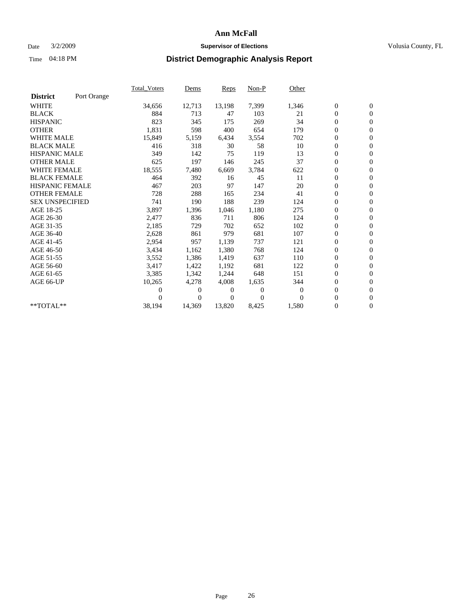### Date  $3/2/2009$  **Supervisor of Elections Supervisor of Elections** Volusia County, FL

|                        |             | Total Voters | Dems           | <b>Reps</b> | $Non-P$        | Other    |                  |                  |  |
|------------------------|-------------|--------------|----------------|-------------|----------------|----------|------------------|------------------|--|
| <b>District</b>        | Port Orange |              |                |             |                |          |                  |                  |  |
| <b>WHITE</b>           |             | 34,656       | 12,713         | 13,198      | 7,399          | 1,346    | $\boldsymbol{0}$ | $\boldsymbol{0}$ |  |
| <b>BLACK</b>           |             | 884          | 713            | 47          | 103            | 21       | $\overline{0}$   | $\mathbf{0}$     |  |
| <b>HISPANIC</b>        |             | 823          | 345            | 175         | 269            | 34       | $\overline{0}$   | $\mathbf{0}$     |  |
| <b>OTHER</b>           |             | 1,831        | 598            | 400         | 654            | 179      | $\overline{0}$   | $\mathbf{0}$     |  |
| <b>WHITE MALE</b>      |             | 15,849       | 5,159          | 6,434       | 3,554          | 702      | $\boldsymbol{0}$ | $\mathbf{0}$     |  |
| <b>BLACK MALE</b>      |             | 416          | 318            | 30          | 58             | 10       | $\boldsymbol{0}$ | $\mathbf{0}$     |  |
| <b>HISPANIC MALE</b>   |             | 349          | 142            | 75          | 119            | 13       | $\boldsymbol{0}$ | $\mathbf{0}$     |  |
| <b>OTHER MALE</b>      |             | 625          | 197            | 146         | 245            | 37       | $\boldsymbol{0}$ | $\mathbf{0}$     |  |
| <b>WHITE FEMALE</b>    |             | 18,555       | 7,480          | 6.669       | 3,784          | 622      | $\mathbf{0}$     | $\mathbf{0}$     |  |
| <b>BLACK FEMALE</b>    |             | 464          | 392            | 16          | 45             | 11       | $\boldsymbol{0}$ | $\Omega$         |  |
| <b>HISPANIC FEMALE</b> |             | 467          | 203            | 97          | 147            | 20       | $\boldsymbol{0}$ | $\mathbf{0}$     |  |
| <b>OTHER FEMALE</b>    |             | 728          | 288            | 165         | 234            | 41       | $\mathbf{0}$     | $\mathbf{0}$     |  |
| <b>SEX UNSPECIFIED</b> |             | 741          | 190            | 188         | 239            | 124      | $\boldsymbol{0}$ | $\mathbf{0}$     |  |
| AGE 18-25              |             | 3,897        | 1,396          | 1,046       | 1,180          | 275      | $\overline{0}$   | $\mathbf{0}$     |  |
| AGE 26-30              |             | 2,477        | 836            | 711         | 806            | 124      | $\overline{0}$   | $\mathbf{0}$     |  |
| AGE 31-35              |             | 2,185        | 729            | 702         | 652            | 102      | $\boldsymbol{0}$ | $\mathbf{0}$     |  |
| AGE 36-40              |             | 2,628        | 861            | 979         | 681            | 107      | $\boldsymbol{0}$ | $\mathbf{0}$     |  |
| AGE 41-45              |             | 2,954        | 957            | 1,139       | 737            | 121      | $\boldsymbol{0}$ | $\mathbf{0}$     |  |
| AGE 46-50              |             | 3,434        | 1,162          | 1,380       | 768            | 124      | $\boldsymbol{0}$ | $\Omega$         |  |
| AGE 51-55              |             | 3,552        | 1,386          | 1,419       | 637            | 110      | $\boldsymbol{0}$ | $\mathbf{0}$     |  |
| AGE 56-60              |             | 3,417        | 1,422          | 1,192       | 681            | 122      | $\mathbf{0}$     | $\mathbf{0}$     |  |
| AGE 61-65              |             | 3,385        | 1,342          | 1,244       | 648            | 151      | $\boldsymbol{0}$ | $\mathbf{0}$     |  |
| AGE 66-UP              |             | 10,265       | 4,278          | 4,008       | 1,635          | 344      | $\mathbf{0}$     | $\mathbf{0}$     |  |
|                        |             | 0            | 0              | 0           | $\overline{0}$ | $\bf{0}$ | $\boldsymbol{0}$ | $\mathbf{0}$     |  |
|                        |             | 0            | $\overline{0}$ | 0           | $\Omega$       | $\Omega$ | $\boldsymbol{0}$ | $\mathbf{0}$     |  |
| **TOTAL**              |             | 38,194       | 14,369         | 13,820      | 8,425          | 1,580    | $\boldsymbol{0}$ | $\boldsymbol{0}$ |  |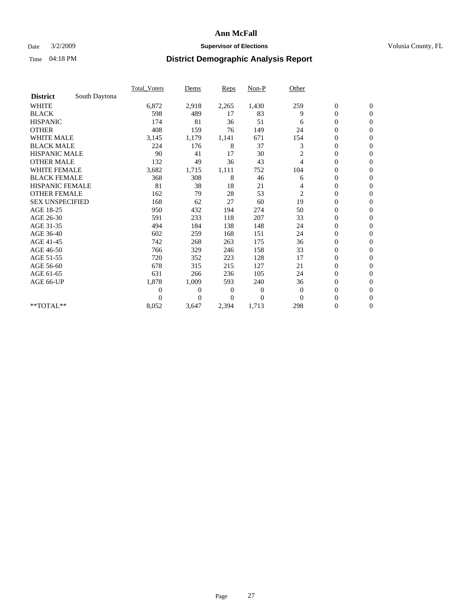## Date  $3/2/2009$  **Supervisor of Elections Supervisor of Elections** Volusia County, FL

|                        |               | Total Voters   | Dems           | <b>Reps</b> | $Non-P$      | Other          |                  |                  |  |
|------------------------|---------------|----------------|----------------|-------------|--------------|----------------|------------------|------------------|--|
| <b>District</b>        | South Daytona |                |                |             |              |                |                  |                  |  |
| <b>WHITE</b>           |               | 6,872          | 2,918          | 2,265       | 1,430        | 259            | $\boldsymbol{0}$ | $\boldsymbol{0}$ |  |
| <b>BLACK</b>           |               | 598            | 489            | 17          | 83           | 9              | $\boldsymbol{0}$ | $\mathbf{0}$     |  |
| <b>HISPANIC</b>        |               | 174            | 81             | 36          | 51           | 6              | $\overline{0}$   | $\mathbf{0}$     |  |
| <b>OTHER</b>           |               | 408            | 159            | 76          | 149          | 24             | $\boldsymbol{0}$ | $\Omega$         |  |
| <b>WHITE MALE</b>      |               | 3,145          | 1,179          | 1,141       | 671          | 154            | $\overline{0}$   | $\mathbf{0}$     |  |
| <b>BLACK MALE</b>      |               | 224            | 176            | 8           | 37           | 3              | $\boldsymbol{0}$ | $\mathbf{0}$     |  |
| <b>HISPANIC MALE</b>   |               | 90             | 41             | 17          | 30           | 2              | $\overline{0}$   | $\overline{0}$   |  |
| <b>OTHER MALE</b>      |               | 132            | 49             | 36          | 43           | 4              | $\boldsymbol{0}$ | $\mathbf{0}$     |  |
| WHITE FEMALE           |               | 3,682          | 1,715          | 1,111       | 752          | 104            | $\overline{0}$   | $\mathbf{0}$     |  |
| <b>BLACK FEMALE</b>    |               | 368            | 308            | 8           | 46           | 6              | $\boldsymbol{0}$ | $\mathbf{0}$     |  |
| <b>HISPANIC FEMALE</b> |               | 81             | 38             | 18          | 21           | 4              | $\boldsymbol{0}$ | $\mathbf{0}$     |  |
| <b>OTHER FEMALE</b>    |               | 162            | 79             | 28          | 53           | $\overline{c}$ | $\mathbf{0}$     | $\mathbf{0}$     |  |
| <b>SEX UNSPECIFIED</b> |               | 168            | 62             | 27          | 60           | 19             | $\boldsymbol{0}$ | $\mathbf{0}$     |  |
| AGE 18-25              |               | 950            | 432            | 194         | 274          | 50             | $\overline{0}$   | $\mathbf{0}$     |  |
| AGE 26-30              |               | 591            | 233            | 118         | 207          | 33             | $\overline{0}$   | $\mathbf{0}$     |  |
| AGE 31-35              |               | 494            | 184            | 138         | 148          | 24             | $\boldsymbol{0}$ | $\mathbf{0}$     |  |
| AGE 36-40              |               | 602            | 259            | 168         | 151          | 24             | 0                | $\mathbf{0}$     |  |
| AGE 41-45              |               | 742            | 268            | 263         | 175          | 36             | $\overline{0}$   | $\mathbf{0}$     |  |
| AGE 46-50              |               | 766            | 329            | 246         | 158          | 33             | $\boldsymbol{0}$ | $\mathbf{0}$     |  |
| AGE 51-55              |               | 720            | 352            | 223         | 128          | 17             | $\boldsymbol{0}$ | $\mathbf{0}$     |  |
| AGE 56-60              |               | 678            | 315            | 215         | 127          | 21             | $\overline{0}$   | $\Omega$         |  |
| AGE 61-65              |               | 631            | 266            | 236         | 105          | 24             | $\mathbf{0}$     | $\mathbf{0}$     |  |
| AGE 66-UP              |               | 1,878          | 1,009          | 593         | 240          | 36             | $\boldsymbol{0}$ | $\mathbf{0}$     |  |
|                        |               | $\overline{0}$ | $\overline{0}$ | 0           | $\mathbf{0}$ | $\mathbf{0}$   | $\overline{0}$   | $\mathbf{0}$     |  |
|                        |               | $\Omega$       | $\overline{0}$ | $\Omega$    | $\theta$     | $\Omega$       | $\boldsymbol{0}$ | $\mathbf{0}$     |  |
| **TOTAL**              |               | 8,052          | 3,647          | 2,394       | 1,713        | 298            | 0                | $\mathbf{0}$     |  |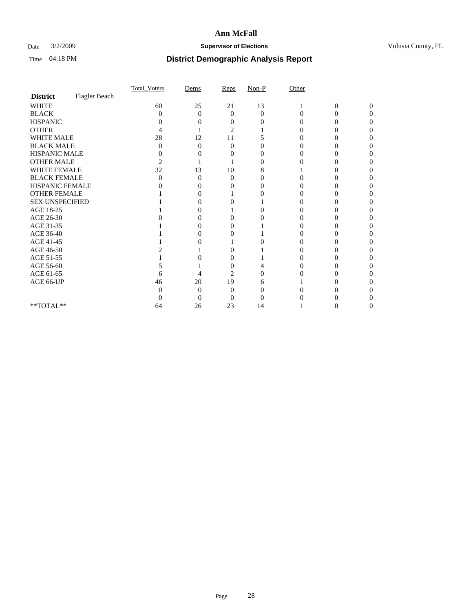## Date  $3/2/2009$  **Supervisor of Elections Supervisor of Elections** Volusia County, FL

|                        |               | Total Voters   | Dems              | Reps     | $Non-P$           | Other    |                |              |  |
|------------------------|---------------|----------------|-------------------|----------|-------------------|----------|----------------|--------------|--|
| <b>District</b>        | Flagler Beach |                |                   |          |                   |          |                |              |  |
| <b>WHITE</b>           |               | 60             | 25                | 21       | 13                |          | $\overline{0}$ | $\mathbf{0}$ |  |
| <b>BLACK</b>           |               | 0              | $\theta$          | $\Omega$ | $\Omega$          | $\Omega$ | 0              | 0            |  |
| <b>HISPANIC</b>        |               |                |                   |          |                   |          |                |              |  |
| <b>OTHER</b>           |               |                |                   | 2        |                   |          |                |              |  |
| WHITE MALE             |               | 28             | 12                | 11       |                   |          |                |              |  |
| <b>BLACK MALE</b>      |               | 0              | 0                 | $\Omega$ |                   |          |                |              |  |
| HISPANIC MALE          |               | 0              |                   |          |                   |          |                |              |  |
| <b>OTHER MALE</b>      |               | $\overline{c}$ |                   |          | $\mathbf{\Omega}$ |          |                |              |  |
| WHITE FEMALE           |               | 32             | 13                | 10       | 8                 |          |                |              |  |
| <b>BLACK FEMALE</b>    |               | 0              | 0                 | $\theta$ |                   |          |                |              |  |
| HISPANIC FEMALE        |               |                |                   |          |                   |          |                |              |  |
| <b>OTHER FEMALE</b>    |               |                |                   |          |                   |          |                |              |  |
| <b>SEX UNSPECIFIED</b> |               |                |                   |          |                   |          |                |              |  |
| AGE 18-25              |               |                |                   |          | 0                 |          |                |              |  |
| AGE 26-30              |               |                | $\mathbf{\Omega}$ | 0        |                   |          |                |              |  |
| AGE 31-35              |               |                |                   |          |                   |          |                |              |  |
| AGE 36-40              |               |                |                   |          |                   |          |                |              |  |
| AGE 41-45              |               |                |                   |          |                   |          |                |              |  |
| AGE 46-50              |               |                |                   |          |                   |          |                |              |  |
| AGE 51-55              |               |                |                   | 0        |                   |          |                |              |  |
| AGE 56-60              |               |                |                   |          |                   |          |                |              |  |
| AGE 61-65              |               | 6              |                   | 2        |                   |          |                |              |  |
| AGE 66-UP              |               | 46             | 20                | 19       | h                 |          |                |              |  |
|                        |               |                | $\Omega$          | 0        |                   |          |                |              |  |
|                        |               |                | 0                 | 0        |                   |          |                |              |  |
| **TOTAL**              |               | 64             | 26                | 23       | 14                |          |                |              |  |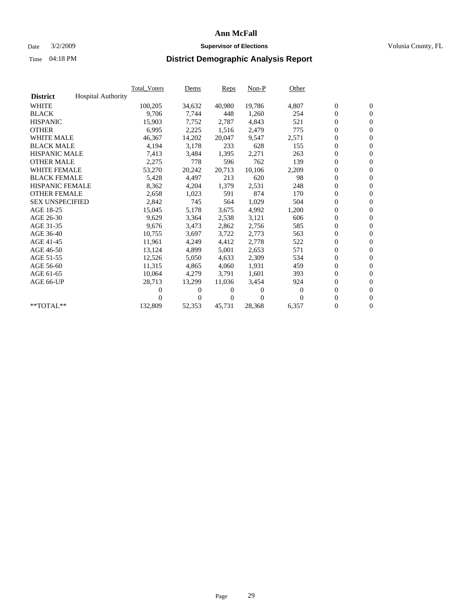## Date  $3/2/2009$  **Supervisor of Elections Supervisor of Elections** Volusia County, FL

|                        |                           | Total_Voters | Dems   | Reps   | Non-P    | Other    |                  |                  |  |
|------------------------|---------------------------|--------------|--------|--------|----------|----------|------------------|------------------|--|
| <b>District</b>        | <b>Hospital Authority</b> |              |        |        |          |          |                  |                  |  |
| <b>WHITE</b>           |                           | 100,205      | 34,632 | 40,980 | 19,786   | 4,807    | $\boldsymbol{0}$ | $\boldsymbol{0}$ |  |
| <b>BLACK</b>           |                           | 9,706        | 7,744  | 448    | 1,260    | 254      | $\boldsymbol{0}$ | $\mathbf{0}$     |  |
| <b>HISPANIC</b>        |                           | 15,903       | 7,752  | 2,787  | 4,843    | 521      | $\boldsymbol{0}$ | $\mathbf{0}$     |  |
| <b>OTHER</b>           |                           | 6,995        | 2,225  | 1,516  | 2,479    | 775      | 0                | $\mathbf{0}$     |  |
| <b>WHITE MALE</b>      |                           | 46,367       | 14,202 | 20,047 | 9,547    | 2,571    | 0                | $\mathbf{0}$     |  |
| <b>BLACK MALE</b>      |                           | 4,194        | 3,178  | 233    | 628      | 155      | $\overline{0}$   | $\mathbf{0}$     |  |
| <b>HISPANIC MALE</b>   |                           | 7,413        | 3,484  | 1,395  | 2,271    | 263      | 0                | $\mathbf{0}$     |  |
| <b>OTHER MALE</b>      |                           | 2,275        | 778    | 596    | 762      | 139      | 0                | $\mathbf{0}$     |  |
| <b>WHITE FEMALE</b>    |                           | 53,270       | 20,242 | 20,713 | 10,106   | 2,209    | $\boldsymbol{0}$ | $\mathbf{0}$     |  |
| <b>BLACK FEMALE</b>    |                           | 5,428        | 4,497  | 213    | 620      | 98       | 0                | $\mathbf{0}$     |  |
| <b>HISPANIC FEMALE</b> |                           | 8,362        | 4,204  | 1,379  | 2,531    | 248      | 0                | $\mathbf{0}$     |  |
| <b>OTHER FEMALE</b>    |                           | 2,658        | 1,023  | 591    | 874      | 170      | 0                | $\mathbf{0}$     |  |
| <b>SEX UNSPECIFIED</b> |                           | 2,842        | 745    | 564    | 1,029    | 504      | 0                | $\mathbf{0}$     |  |
| AGE 18-25              |                           | 15,045       | 5,178  | 3,675  | 4,992    | 1,200    | 0                | $\mathbf{0}$     |  |
| AGE 26-30              |                           | 9,629        | 3,364  | 2,538  | 3,121    | 606      | 0                | $\mathbf{0}$     |  |
| AGE 31-35              |                           | 9,676        | 3,473  | 2,862  | 2,756    | 585      | 0                | $\mathbf{0}$     |  |
| AGE 36-40              |                           | 10,755       | 3,697  | 3,722  | 2,773    | 563      | 0                | $\mathbf{0}$     |  |
| AGE 41-45              |                           | 11,961       | 4,249  | 4,412  | 2,778    | 522      | 0                | $\mathbf{0}$     |  |
| AGE 46-50              |                           | 13,124       | 4,899  | 5,001  | 2,653    | 571      | 0                | $\mathbf{0}$     |  |
| AGE 51-55              |                           | 12,526       | 5,050  | 4,633  | 2,309    | 534      | 0                | $\mathbf{0}$     |  |
| AGE 56-60              |                           | 11,315       | 4,865  | 4.060  | 1,931    | 459      | 0                | $\mathbf{0}$     |  |
| AGE 61-65              |                           | 10,064       | 4,279  | 3,791  | 1,601    | 393      | 0                | $\mathbf{0}$     |  |
| AGE 66-UP              |                           | 28,713       | 13,299 | 11,036 | 3,454    | 924      | 0                | $\mathbf{0}$     |  |
|                        |                           | 0            | 0      | 0      | $\theta$ | $\bf{0}$ | 0                | $\mathbf{0}$     |  |
|                        |                           | 0            | 0      | 0      | $\Omega$ | $\Omega$ | 0                | $\mathbf{0}$     |  |
| **TOTAL**              |                           | 132,809      | 52,353 | 45,731 | 28,368   | 6,357    | 0                | $\boldsymbol{0}$ |  |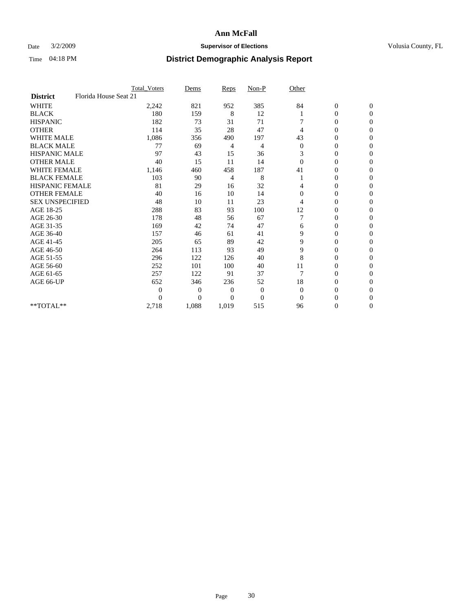## Date  $3/2/2009$  **Supervisor of Elections Supervisor of Elections** Volusia County, FL

|                        |                       | <b>Total_Voters</b> | Dems           | <b>Reps</b> | $Non-P$      | Other        |                  |                  |  |
|------------------------|-----------------------|---------------------|----------------|-------------|--------------|--------------|------------------|------------------|--|
| <b>District</b>        | Florida House Seat 21 |                     |                |             |              |              |                  |                  |  |
| <b>WHITE</b>           |                       | 2,242               | 821            | 952         | 385          | 84           | $\boldsymbol{0}$ | $\boldsymbol{0}$ |  |
| <b>BLACK</b>           |                       | 180                 | 159            | 8           | 12           |              | $\boldsymbol{0}$ | $\Omega$         |  |
| <b>HISPANIC</b>        |                       | 182                 | 73             | 31          | 71           |              | $\mathbf{0}$     | $\Omega$         |  |
| <b>OTHER</b>           |                       | 114                 | 35             | 28          | 47           | 4            | 0                | $\Omega$         |  |
| <b>WHITE MALE</b>      |                       | 1,086               | 356            | 490         | 197          | 43           | $\overline{0}$   | $\mathbf{0}$     |  |
| <b>BLACK MALE</b>      |                       | 77                  | 69             | 4           | 4            | $\mathbf{0}$ | $\overline{0}$   | $\Omega$         |  |
| <b>HISPANIC MALE</b>   |                       | 97                  | 43             | 15          | 36           | 3            | 0                | $\Omega$         |  |
| <b>OTHER MALE</b>      |                       | 40                  | 15             | 11          | 14           | $\Omega$     | 0                | 0                |  |
| WHITE FEMALE           |                       | 1,146               | 460            | 458         | 187          | 41           | 0                | $\mathbf{0}$     |  |
| <b>BLACK FEMALE</b>    |                       | 103                 | 90             | 4           | 8            |              | 0                | $\Omega$         |  |
| <b>HISPANIC FEMALE</b> |                       | 81                  | 29             | 16          | 32           | 4            | 0                | $\mathbf{0}$     |  |
| <b>OTHER FEMALE</b>    |                       | 40                  | 16             | 10          | 14           | $\Omega$     | 0                | $\Omega$         |  |
| <b>SEX UNSPECIFIED</b> |                       | 48                  | 10             | 11          | 23           | 4            | $\overline{0}$   | $\mathbf{0}$     |  |
| AGE 18-25              |                       | 288                 | 83             | 93          | 100          | 12           | 0                | $\Omega$         |  |
| AGE 26-30              |                       | 178                 | 48             | 56          | 67           |              | 0                | $\Omega$         |  |
| AGE 31-35              |                       | 169                 | 42             | 74          | 47           | 6            | $\boldsymbol{0}$ | $\Omega$         |  |
| AGE 36-40              |                       | 157                 | 46             | 61          | 41           | 9            | 0                | 0                |  |
| AGE 41-45              |                       | 205                 | 65             | 89          | 42           | 9            | 0                | $\Omega$         |  |
| AGE 46-50              |                       | 264                 | 113            | 93          | 49           | 9            | 0                | $\Omega$         |  |
| AGE 51-55              |                       | 296                 | 122            | 126         | 40           | 8            | 0                | $\mathbf{0}$     |  |
| AGE 56-60              |                       | 252                 | 101            | 100         | 40           | 11           | 0                | 0                |  |
| AGE 61-65              |                       | 257                 | 122            | 91          | 37           | 7            | 0                | $\Omega$         |  |
| AGE 66-UP              |                       | 652                 | 346            | 236         | 52           | 18           | 0                | 0                |  |
|                        |                       | $\overline{0}$      | $\overline{0}$ | 0           | $\mathbf{0}$ | $\mathbf{0}$ | 0                | $\Omega$         |  |
|                        |                       | $\theta$            | $\overline{0}$ | $\Omega$    | $\Omega$     | $\Omega$     | 0                | $\Omega$         |  |
| **TOTAL**              |                       | 2,718               | 1,088          | 1,019       | 515          | 96           | 0                | $\mathbf{0}$     |  |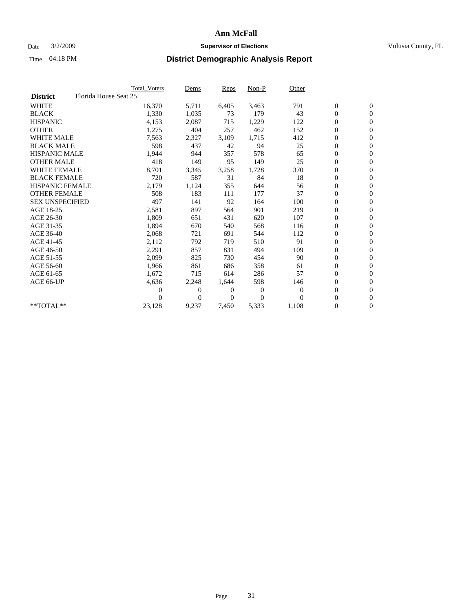## Date  $3/2/2009$  **Supervisor of Elections Supervisor of Elections** Volusia County, FL

|                        |                       | Total Voters   | Dems           | <b>Reps</b> | $Non-P$      | Other        |                  |                  |  |
|------------------------|-----------------------|----------------|----------------|-------------|--------------|--------------|------------------|------------------|--|
| <b>District</b>        | Florida House Seat 25 |                |                |             |              |              |                  |                  |  |
| <b>WHITE</b>           |                       | 16,370         | 5,711          | 6,405       | 3,463        | 791          | $\boldsymbol{0}$ | $\boldsymbol{0}$ |  |
| <b>BLACK</b>           |                       | 1,330          | 1,035          | 73          | 179          | 43           | $\boldsymbol{0}$ | $\mathbf{0}$     |  |
| <b>HISPANIC</b>        |                       | 4,153          | 2,087          | 715         | 1,229        | 122          | $\overline{0}$   | $\mathbf{0}$     |  |
| <b>OTHER</b>           |                       | 1,275          | 404            | 257         | 462          | 152          | $\boldsymbol{0}$ | $\mathbf{0}$     |  |
| <b>WHITE MALE</b>      |                       | 7,563          | 2,327          | 3,109       | 1,715        | 412          | $\boldsymbol{0}$ | $\mathbf{0}$     |  |
| <b>BLACK MALE</b>      |                       | 598            | 437            | 42          | 94           | 25           | $\overline{0}$   | $\mathbf{0}$     |  |
| <b>HISPANIC MALE</b>   |                       | 1,944          | 944            | 357         | 578          | 65           | $\boldsymbol{0}$ | $\Omega$         |  |
| <b>OTHER MALE</b>      |                       | 418            | 149            | 95          | 149          | 25           | $\boldsymbol{0}$ | $\mathbf{0}$     |  |
| <b>WHITE FEMALE</b>    |                       | 8,701          | 3,345          | 3,258       | 1,728        | 370          | $\boldsymbol{0}$ | $\mathbf{0}$     |  |
| <b>BLACK FEMALE</b>    |                       | 720            | 587            | 31          | 84           | 18           | $\boldsymbol{0}$ | $\mathbf{0}$     |  |
| <b>HISPANIC FEMALE</b> |                       | 2,179          | 1,124          | 355         | 644          | 56           | $\boldsymbol{0}$ | $\mathbf{0}$     |  |
| <b>OTHER FEMALE</b>    |                       | 508            | 183            | 111         | 177          | 37           | $\mathbf{0}$     | $\mathbf{0}$     |  |
| <b>SEX UNSPECIFIED</b> |                       | 497            | 141            | 92          | 164          | 100          | $\boldsymbol{0}$ | $\mathbf{0}$     |  |
| AGE 18-25              |                       | 2,581          | 897            | 564         | 901          | 219          | $\boldsymbol{0}$ | $\mathbf{0}$     |  |
| AGE 26-30              |                       | 1,809          | 651            | 431         | 620          | 107          | $\overline{0}$   | $\mathbf{0}$     |  |
| AGE 31-35              |                       | 1,894          | 670            | 540         | 568          | 116          | $\boldsymbol{0}$ | $\mathbf{0}$     |  |
| AGE 36-40              |                       | 2,068          | 721            | 691         | 544          | 112          | $\boldsymbol{0}$ | $\mathbf{0}$     |  |
| AGE 41-45              |                       | 2,112          | 792            | 719         | 510          | 91           | $\boldsymbol{0}$ | $\mathbf{0}$     |  |
| AGE 46-50              |                       | 2,291          | 857            | 831         | 494          | 109          | $\boldsymbol{0}$ | $\Omega$         |  |
| AGE 51-55              |                       | 2,099          | 825            | 730         | 454          | 90           | $\boldsymbol{0}$ | $\mathbf{0}$     |  |
| AGE 56-60              |                       | 1,966          | 861            | 686         | 358          | 61           | $\boldsymbol{0}$ | $\mathbf{0}$     |  |
| AGE 61-65              |                       | 1,672          | 715            | 614         | 286          | 57           | $\overline{0}$   | $\mathbf{0}$     |  |
| AGE 66-UP              |                       | 4,636          | 2,248          | 1,644       | 598          | 146          | $\boldsymbol{0}$ | $\mathbf{0}$     |  |
|                        |                       | $\overline{0}$ | $\overline{0}$ | 0           | $\mathbf{0}$ | $\mathbf{0}$ | $\mathbf{0}$     | $\mathbf{0}$     |  |
|                        |                       | 0              | $\overline{0}$ | 0           | $\Omega$     | $\Omega$     | 0                | $\mathbf{0}$     |  |
| **TOTAL**              |                       | 23,128         | 9,237          | 7,450       | 5,333        | 1,108        | 0                | $\boldsymbol{0}$ |  |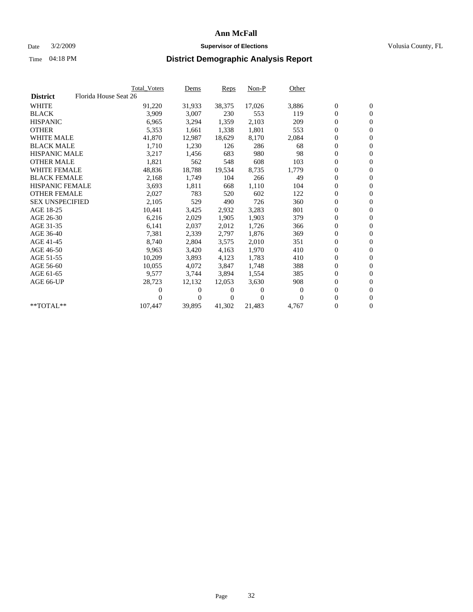## Date  $3/2/2009$  **Supervisor of Elections Supervisor of Elections** Volusia County, FL

|                        |                       | <b>Total Voters</b> | Dems           | Reps   | $Non-P$  | Other    |                  |                  |  |
|------------------------|-----------------------|---------------------|----------------|--------|----------|----------|------------------|------------------|--|
| <b>District</b>        | Florida House Seat 26 |                     |                |        |          |          |                  |                  |  |
| <b>WHITE</b>           |                       | 91,220              | 31,933         | 38,375 | 17,026   | 3,886    | $\boldsymbol{0}$ | $\boldsymbol{0}$ |  |
| <b>BLACK</b>           |                       | 3,909               | 3,007          | 230    | 553      | 119      | $\overline{0}$   | $\mathbf{0}$     |  |
| <b>HISPANIC</b>        |                       | 6,965               | 3,294          | 1,359  | 2,103    | 209      | $\overline{0}$   | $\mathbf{0}$     |  |
| <b>OTHER</b>           |                       | 5,353               | 1,661          | 1,338  | 1,801    | 553      | 0                | $\mathbf{0}$     |  |
| <b>WHITE MALE</b>      |                       | 41,870              | 12,987         | 18,629 | 8,170    | 2,084    | 0                | $\mathbf{0}$     |  |
| <b>BLACK MALE</b>      |                       | 1,710               | 1,230          | 126    | 286      | 68       | $\boldsymbol{0}$ | $\mathbf{0}$     |  |
| <b>HISPANIC MALE</b>   |                       | 3,217               | 1,456          | 683    | 980      | 98       | 0                | $\mathbf{0}$     |  |
| <b>OTHER MALE</b>      |                       | 1,821               | 562            | 548    | 608      | 103      | 0                | $\mathbf{0}$     |  |
| <b>WHITE FEMALE</b>    |                       | 48,836              | 18,788         | 19,534 | 8,735    | 1,779    | 0                | $\mathbf{0}$     |  |
| <b>BLACK FEMALE</b>    |                       | 2,168               | 1,749          | 104    | 266      | 49       | 0                | $\Omega$         |  |
| HISPANIC FEMALE        |                       | 3,693               | 1,811          | 668    | 1,110    | 104      | $\boldsymbol{0}$ | $\mathbf{0}$     |  |
| <b>OTHER FEMALE</b>    |                       | 2,027               | 783            | 520    | 602      | 122      | 0                | $\mathbf{0}$     |  |
| <b>SEX UNSPECIFIED</b> |                       | 2,105               | 529            | 490    | 726      | 360      | 0                | $\mathbf{0}$     |  |
| AGE 18-25              |                       | 10,441              | 3,425          | 2,932  | 3,283    | 801      | $\overline{0}$   | $\mathbf{0}$     |  |
| AGE 26-30              |                       | 6,216               | 2,029          | 1,905  | 1,903    | 379      | 0                | $\mathbf{0}$     |  |
| AGE 31-35              |                       | 6,141               | 2,037          | 2,012  | 1,726    | 366      | 0                | $\mathbf{0}$     |  |
| AGE 36-40              |                       | 7,381               | 2,339          | 2,797  | 1,876    | 369      | 0                | $\mathbf{0}$     |  |
| AGE 41-45              |                       | 8,740               | 2,804          | 3,575  | 2,010    | 351      | 0                | $\mathbf{0}$     |  |
| AGE 46-50              |                       | 9,963               | 3,420          | 4,163  | 1,970    | 410      | 0                | $\Omega$         |  |
| AGE 51-55              |                       | 10,209              | 3,893          | 4,123  | 1,783    | 410      | $\boldsymbol{0}$ | $\mathbf{0}$     |  |
| AGE 56-60              |                       | 10,055              | 4.072          | 3.847  | 1.748    | 388      | 0                | $\mathbf{0}$     |  |
| AGE 61-65              |                       | 9,577               | 3,744          | 3,894  | 1,554    | 385      | 0                | $\mathbf{0}$     |  |
| AGE 66-UP              |                       | 28,723              | 12,132         | 12,053 | 3,630    | 908      | $\overline{0}$   | $\mathbf{0}$     |  |
|                        |                       | 0                   | 0              | 0      | $\theta$ | $\Omega$ | 0                | $\mathbf{0}$     |  |
|                        |                       | 0                   | $\overline{0}$ | 0      | $\Omega$ | $\Omega$ | 0                | $\mathbf{0}$     |  |
| $*$ TOTAL $**$         |                       | 107,447             | 39,895         | 41,302 | 21,483   | 4,767    | 0                | $\boldsymbol{0}$ |  |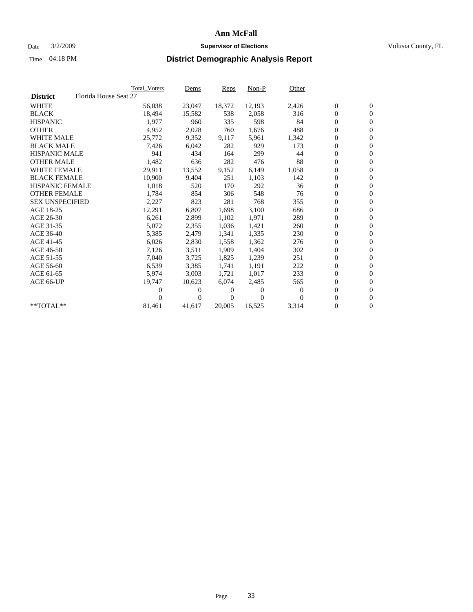## Date  $3/2/2009$  **Supervisor of Elections Supervisor of Elections** Volusia County, FL

|                        |                       | <b>Total Voters</b> | Dems   | Reps   | $Non-P$  | Other    |                  |                  |  |
|------------------------|-----------------------|---------------------|--------|--------|----------|----------|------------------|------------------|--|
| <b>District</b>        | Florida House Seat 27 |                     |        |        |          |          |                  |                  |  |
| <b>WHITE</b>           |                       | 56,038              | 23,047 | 18,372 | 12,193   | 2,426    | $\boldsymbol{0}$ | $\boldsymbol{0}$ |  |
| <b>BLACK</b>           |                       | 18,494              | 15,582 | 538    | 2,058    | 316      | $\overline{0}$   | $\mathbf{0}$     |  |
| <b>HISPANIC</b>        |                       | 1,977               | 960    | 335    | 598      | 84       | $\overline{0}$   | $\mathbf{0}$     |  |
| <b>OTHER</b>           |                       | 4,952               | 2,028  | 760    | 1,676    | 488      | 0                | $\mathbf{0}$     |  |
| <b>WHITE MALE</b>      |                       | 25,772              | 9,352  | 9,117  | 5,961    | 1,342    | 0                | $\mathbf{0}$     |  |
| <b>BLACK MALE</b>      |                       | 7,426               | 6,042  | 282    | 929      | 173      | $\boldsymbol{0}$ | $\mathbf{0}$     |  |
| <b>HISPANIC MALE</b>   |                       | 941                 | 434    | 164    | 299      | 44       | 0                | $\mathbf{0}$     |  |
| <b>OTHER MALE</b>      |                       | 1,482               | 636    | 282    | 476      | 88       | $\boldsymbol{0}$ | $\mathbf{0}$     |  |
| <b>WHITE FEMALE</b>    |                       | 29,911              | 13,552 | 9,152  | 6,149    | 1,058    | 0                | $\mathbf{0}$     |  |
| <b>BLACK FEMALE</b>    |                       | 10,900              | 9,404  | 251    | 1,103    | 142      | 0                | $\Omega$         |  |
| HISPANIC FEMALE        |                       | 1,018               | 520    | 170    | 292      | 36       | $\boldsymbol{0}$ | $\mathbf{0}$     |  |
| <b>OTHER FEMALE</b>    |                       | 1,784               | 854    | 306    | 548      | 76       | 0                | $\mathbf{0}$     |  |
| <b>SEX UNSPECIFIED</b> |                       | 2,227               | 823    | 281    | 768      | 355      | 0                | $\mathbf{0}$     |  |
| AGE 18-25              |                       | 12,291              | 6,807  | 1,698  | 3,100    | 686      | $\overline{0}$   | $\mathbf{0}$     |  |
| AGE 26-30              |                       | 6,261               | 2,899  | 1,102  | 1,971    | 289      | 0                | $\mathbf{0}$     |  |
| AGE 31-35              |                       | 5,072               | 2,355  | 1,036  | 1,421    | 260      | 0                | $\mathbf{0}$     |  |
| AGE 36-40              |                       | 5,385               | 2,479  | 1,341  | 1,335    | 230      | $\overline{0}$   | $\mathbf{0}$     |  |
| AGE 41-45              |                       | 6,026               | 2,830  | 1,558  | 1,362    | 276      | 0                | $\mathbf{0}$     |  |
| AGE 46-50              |                       | 7,126               | 3,511  | 1,909  | 1,404    | 302      | 0                | $\Omega$         |  |
| AGE 51-55              |                       | 7,040               | 3,725  | 1,825  | 1,239    | 251      | $\boldsymbol{0}$ | $\mathbf{0}$     |  |
| AGE 56-60              |                       | 6,539               | 3,385  | 1,741  | 1,191    | 222      | 0                | $\mathbf{0}$     |  |
| AGE 61-65              |                       | 5,974               | 3,003  | 1,721  | 1,017    | 233      | 0                | $\mathbf{0}$     |  |
| AGE 66-UP              |                       | 19,747              | 10,623 | 6.074  | 2,485    | 565      | $\overline{0}$   | $\mathbf{0}$     |  |
|                        |                       | 0                   | 0      | 0      | $\theta$ | $\Omega$ | 0                | $\mathbf{0}$     |  |
|                        |                       | 0                   | 0      | 0      | $\Omega$ | $\Omega$ | 0                | $\mathbf{0}$     |  |
| $*$ TOTAL $**$         |                       | 81,461              | 41,617 | 20,005 | 16,525   | 3,314    | 0                | $\boldsymbol{0}$ |  |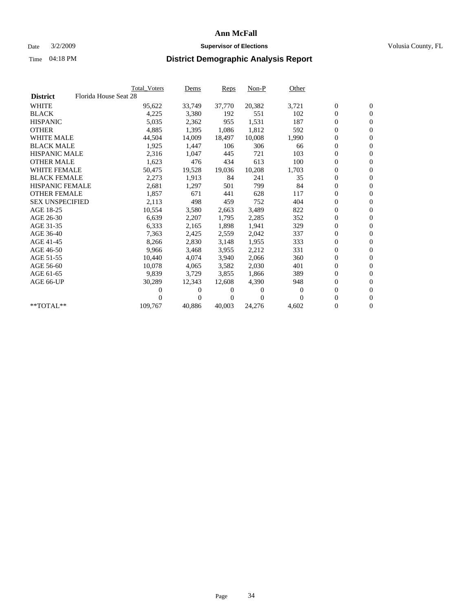## Date  $3/2/2009$  **Supervisor of Elections Supervisor of Elections** Volusia County, FL

|                        | <b>Total Voters</b>   | <u>Dems</u>    | <b>Reps</b>  | $Non-P$      | Other |                  |                  |  |
|------------------------|-----------------------|----------------|--------------|--------------|-------|------------------|------------------|--|
| <b>District</b>        | Florida House Seat 28 |                |              |              |       |                  |                  |  |
| <b>WHITE</b>           | 95,622                | 33,749         | 37,770       | 20,382       | 3,721 | $\boldsymbol{0}$ | $\boldsymbol{0}$ |  |
| <b>BLACK</b>           | 4,225                 | 3,380          | 192          | 551          | 102   | $\boldsymbol{0}$ | $\mathbf{0}$     |  |
| <b>HISPANIC</b>        | 5,035                 | 2,362          | 955          | 1,531        | 187   | $\boldsymbol{0}$ | $\mathbf{0}$     |  |
| <b>OTHER</b>           | 4,885                 | 1,395          | 1,086        | 1,812        | 592   | 0                | $\mathbf{0}$     |  |
| <b>WHITE MALE</b>      | 44,504                | 14,009         | 18,497       | 10,008       | 1,990 | $\boldsymbol{0}$ | $\mathbf{0}$     |  |
| <b>BLACK MALE</b>      | 1,925                 | 1,447          | 106          | 306          | 66    | $\overline{0}$   | $\mathbf{0}$     |  |
| <b>HISPANIC MALE</b>   | 2,316                 | 1,047          | 445          | 721          | 103   | 0                | $\mathbf{0}$     |  |
| <b>OTHER MALE</b>      | 1,623                 | 476            | 434          | 613          | 100   | 0                | $\mathbf{0}$     |  |
| <b>WHITE FEMALE</b>    | 50,475                | 19,528         | 19,036       | 10,208       | 1,703 | $\boldsymbol{0}$ | $\mathbf{0}$     |  |
| <b>BLACK FEMALE</b>    | 2,273                 | 1,913          | 84           | 241          | 35    | $\boldsymbol{0}$ | $\mathbf{0}$     |  |
| <b>HISPANIC FEMALE</b> | 2,681                 | 1,297          | 501          | 799          | 84    | 0                | $\mathbf{0}$     |  |
| <b>OTHER FEMALE</b>    | 1,857                 | 671            | 441          | 628          | 117   | $\overline{0}$   | $\mathbf{0}$     |  |
| <b>SEX UNSPECIFIED</b> | 2,113                 | 498            | 459          | 752          | 404   | $\boldsymbol{0}$ | $\mathbf{0}$     |  |
| AGE 18-25              | 10,554                | 3,580          | 2,663        | 3,489        | 822   | $\boldsymbol{0}$ | $\mathbf{0}$     |  |
| AGE 26-30              | 6,639                 | 2,207          | 1,795        | 2,285        | 352   | 0                | $\mathbf{0}$     |  |
| AGE 31-35              | 6,333                 | 2,165          | 1,898        | 1,941        | 329   | $\boldsymbol{0}$ | $\mathbf{0}$     |  |
| AGE 36-40              | 7,363                 | 2,425          | 2,559        | 2,042        | 337   | $\boldsymbol{0}$ | $\mathbf{0}$     |  |
| AGE 41-45              | 8,266                 | 2,830          | 3,148        | 1,955        | 333   | 0                | $\mathbf{0}$     |  |
| AGE 46-50              | 9,966                 | 3,468          | 3,955        | 2,212        | 331   | 0                | $\Omega$         |  |
| AGE 51-55              | 10,440                | 4,074          | 3,940        | 2,066        | 360   | $\boldsymbol{0}$ | $\mathbf{0}$     |  |
| AGE 56-60              | 10.078                | 4,065          | 3,582        | 2,030        | 401   | 0                | $\mathbf{0}$     |  |
| AGE 61-65              | 9,839                 | 3,729          | 3,855        | 1,866        | 389   | 0                | $\mathbf{0}$     |  |
| AGE 66-UP              | 30,289                | 12,343         | 12,608       | 4,390        | 948   | 0                | $\mathbf{0}$     |  |
|                        | 0                     | 0              | $\theta$     | $\mathbf{0}$ | 0     | $\mathbf{0}$     | $\mathbf{0}$     |  |
|                        | 0                     | $\overline{0}$ | $\mathbf{0}$ | $\Omega$     | 0     | 0                | $\mathbf{0}$     |  |
| **TOTAL**              | 109,767               | 40,886         | 40,003       | 24,276       | 4,602 | 0                | $\boldsymbol{0}$ |  |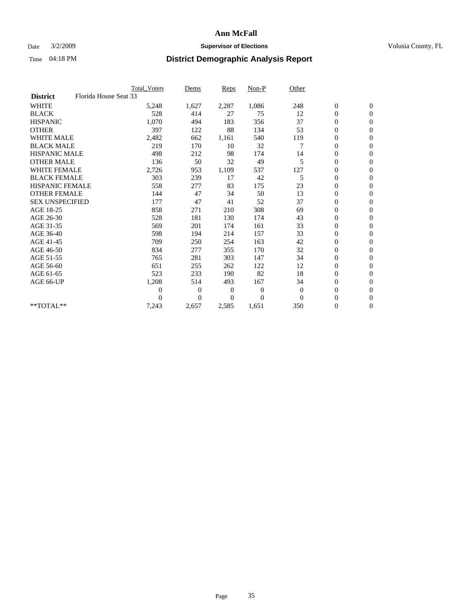## Date  $3/2/2009$  **Supervisor of Elections Supervisor of Elections** Volusia County, FL

|                        |                       | Total Voters   | Dems           | <b>Reps</b> | Non-P        | Other    |                  |                  |  |
|------------------------|-----------------------|----------------|----------------|-------------|--------------|----------|------------------|------------------|--|
| <b>District</b>        | Florida House Seat 33 |                |                |             |              |          |                  |                  |  |
| <b>WHITE</b>           |                       | 5,248          | 1,627          | 2,287       | 1,086        | 248      | $\boldsymbol{0}$ | $\boldsymbol{0}$ |  |
| <b>BLACK</b>           |                       | 528            | 414            | 27          | 75           | 12       | $\boldsymbol{0}$ | $\mathbf{0}$     |  |
| <b>HISPANIC</b>        |                       | 1,070          | 494            | 183         | 356          | 37       | $\overline{0}$   | $\mathbf{0}$     |  |
| <b>OTHER</b>           |                       | 397            | 122            | 88          | 134          | 53       | $\boldsymbol{0}$ | $\mathbf{0}$     |  |
| <b>WHITE MALE</b>      |                       | 2,482          | 662            | 1,161       | 540          | 119      | $\boldsymbol{0}$ | $\mathbf{0}$     |  |
| <b>BLACK MALE</b>      |                       | 219            | 170            | 10          | 32           |          | $\overline{0}$   | $\mathbf{0}$     |  |
| <b>HISPANIC MALE</b>   |                       | 498            | 212            | 98          | 174          | 14       | $\boldsymbol{0}$ | $\mathbf{0}$     |  |
| <b>OTHER MALE</b>      |                       | 136            | 50             | 32          | 49           | 5        | $\boldsymbol{0}$ | $\mathbf{0}$     |  |
| <b>WHITE FEMALE</b>    |                       | 2,726          | 953            | 1,109       | 537          | 127      | $\overline{0}$   | $\mathbf{0}$     |  |
| <b>BLACK FEMALE</b>    |                       | 303            | 239            | 17          | 42           | 5        | $\boldsymbol{0}$ | $\mathbf{0}$     |  |
| <b>HISPANIC FEMALE</b> |                       | 558            | 277            | 83          | 175          | 23       | $\boldsymbol{0}$ | $\mathbf{0}$     |  |
| <b>OTHER FEMALE</b>    |                       | 144            | 47             | 34          | 50           | 13       | $\mathbf{0}$     | $\mathbf{0}$     |  |
| <b>SEX UNSPECIFIED</b> |                       | 177            | 47             | 41          | 52           | 37       | $\boldsymbol{0}$ | $\mathbf{0}$     |  |
| AGE 18-25              |                       | 858            | 271            | 210         | 308          | 69       | $\overline{0}$   | $\mathbf{0}$     |  |
| AGE 26-30              |                       | 528            | 181            | 130         | 174          | 43       | $\overline{0}$   | $\mathbf{0}$     |  |
| AGE 31-35              |                       | 569            | 201            | 174         | 161          | 33       | $\boldsymbol{0}$ | $\mathbf{0}$     |  |
| AGE 36-40              |                       | 598            | 194            | 214         | 157          | 33       | 0                | $\mathbf{0}$     |  |
| AGE 41-45              |                       | 709            | 250            | 254         | 163          | 42       | $\overline{0}$   | $\mathbf{0}$     |  |
| AGE 46-50              |                       | 834            | 277            | 355         | 170          | 32       | $\boldsymbol{0}$ | $\mathbf{0}$     |  |
| AGE 51-55              |                       | 765            | 281            | 303         | 147          | 34       | $\boldsymbol{0}$ | $\mathbf{0}$     |  |
| AGE 56-60              |                       | 651            | 255            | 262         | 122          | 12       | $\boldsymbol{0}$ | $\Omega$         |  |
| AGE 61-65              |                       | 523            | 233            | 190         | 82           | 18       | $\mathbf{0}$     | $\mathbf{0}$     |  |
| AGE 66-UP              |                       | 1,208          | 514            | 493         | 167          | 34       | $\boldsymbol{0}$ | $\mathbf{0}$     |  |
|                        |                       | $\overline{0}$ | $\overline{0}$ | 0           | $\mathbf{0}$ | $\theta$ | $\overline{0}$   | $\mathbf{0}$     |  |
|                        |                       | $\theta$       | $\overline{0}$ | $\Omega$    | $\theta$     | $\Omega$ | $\boldsymbol{0}$ | $\mathbf{0}$     |  |
| **TOTAL**              |                       | 7,243          | 2,657          | 2,585       | 1,651        | 350      | 0                | $\mathbf{0}$     |  |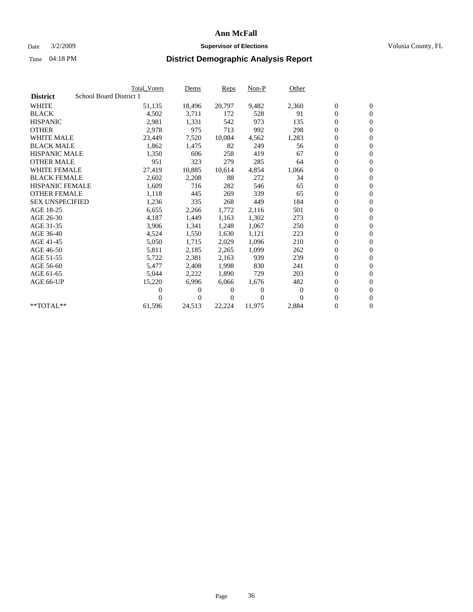### Date  $3/2/2009$  **Supervisor of Elections Supervisor of Elections** Volusia County, FL

|                        |                         | <b>Total Voters</b> | Dems           | Reps   | $Non-P$  | Other    |                  |                  |  |
|------------------------|-------------------------|---------------------|----------------|--------|----------|----------|------------------|------------------|--|
| <b>District</b>        | School Board District 1 |                     |                |        |          |          |                  |                  |  |
| <b>WHITE</b>           |                         | 51,135              | 18,496         | 20,797 | 9,482    | 2,360    | $\boldsymbol{0}$ | $\mathbf{0}$     |  |
| <b>BLACK</b>           |                         | 4,502               | 3,711          | 172    | 528      | 91       | $\overline{0}$   | $\mathbf{0}$     |  |
| <b>HISPANIC</b>        |                         | 2,981               | 1,331          | 542    | 973      | 135      | $\overline{0}$   | $\mathbf{0}$     |  |
| <b>OTHER</b>           |                         | 2,978               | 975            | 713    | 992      | 298      | 0                | $\mathbf{0}$     |  |
| <b>WHITE MALE</b>      |                         | 23,449              | 7,520          | 10,084 | 4,562    | 1,283    | 0                | $\mathbf{0}$     |  |
| <b>BLACK MALE</b>      |                         | 1,862               | 1,475          | 82     | 249      | 56       | $\boldsymbol{0}$ | $\mathbf{0}$     |  |
| <b>HISPANIC MALE</b>   |                         | 1,350               | 606            | 258    | 419      | 67       | 0                | $\mathbf{0}$     |  |
| <b>OTHER MALE</b>      |                         | 951                 | 323            | 279    | 285      | 64       | 0                | $\mathbf{0}$     |  |
| <b>WHITE FEMALE</b>    |                         | 27,419              | 10,885         | 10,614 | 4,854    | 1,066    | 0                | $\mathbf{0}$     |  |
| <b>BLACK FEMALE</b>    |                         | 2,602               | 2,208          | 88     | 272      | 34       | 0                | $\Omega$         |  |
| HISPANIC FEMALE        |                         | 1,609               | 716            | 282    | 546      | 65       | $\boldsymbol{0}$ | $\mathbf{0}$     |  |
| <b>OTHER FEMALE</b>    |                         | 1,118               | 445            | 269    | 339      | 65       | 0                | $\mathbf{0}$     |  |
| <b>SEX UNSPECIFIED</b> |                         | 1,236               | 335            | 268    | 449      | 184      | 0                | $\Omega$         |  |
| AGE 18-25              |                         | 6,655               | 2,266          | 1,772  | 2,116    | 501      | $\overline{0}$   | $\mathbf{0}$     |  |
| AGE 26-30              |                         | 4,187               | 1,449          | 1,163  | 1,302    | 273      | 0                | $\mathbf{0}$     |  |
| AGE 31-35              |                         | 3,906               | 1,341          | 1,248  | 1,067    | 250      | 0                | $\mathbf{0}$     |  |
| AGE 36-40              |                         | 4,524               | 1,550          | 1,630  | 1,121    | 223      | $\overline{0}$   | $\mathbf{0}$     |  |
| AGE 41-45              |                         | 5,050               | 1,715          | 2,029  | 1,096    | 210      | 0                | $\mathbf{0}$     |  |
| AGE 46-50              |                         | 5,811               | 2,185          | 2,265  | 1,099    | 262      | 0                | $\Omega$         |  |
| AGE 51-55              |                         | 5,722               | 2,381          | 2,163  | 939      | 239      | $\boldsymbol{0}$ | $\mathbf{0}$     |  |
| AGE 56-60              |                         | 5,477               | 2.408          | 1.998  | 830      | 241      | 0                | $\mathbf{0}$     |  |
| AGE 61-65              |                         | 5,044               | 2,222          | 1,890  | 729      | 203      | 0                | $\Omega$         |  |
| AGE 66-UP              |                         | 15,220              | 6,996          | 6,066  | 1,676    | 482      | $\overline{0}$   | $\mathbf{0}$     |  |
|                        |                         | 0                   | 0              | 0      | $\theta$ | $\Omega$ | 0                | $\mathbf{0}$     |  |
|                        |                         | 0                   | $\overline{0}$ | 0      | $\Omega$ | $\Omega$ | 0                | $\mathbf{0}$     |  |
| $*$ TOTAL $**$         |                         | 61,596              | 24,513         | 22,224 | 11,975   | 2,884    | 0                | $\boldsymbol{0}$ |  |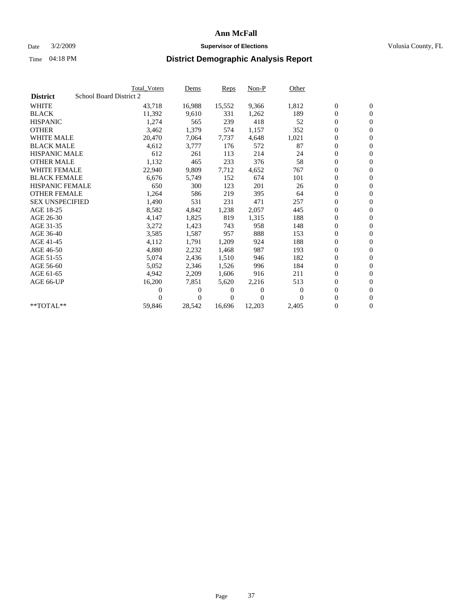## Date  $3/2/2009$  **Supervisor of Elections Supervisor of Elections** Volusia County, FL

|                        |                         | <b>Total Voters</b> | Dems   | <b>Reps</b> | Non-P    | Other    |                  |                  |  |
|------------------------|-------------------------|---------------------|--------|-------------|----------|----------|------------------|------------------|--|
| <b>District</b>        | School Board District 2 |                     |        |             |          |          |                  |                  |  |
| <b>WHITE</b>           |                         | 43,718              | 16,988 | 15,552      | 9,366    | 1,812    | $\boldsymbol{0}$ | $\boldsymbol{0}$ |  |
| <b>BLACK</b>           |                         | 11,392              | 9,610  | 331         | 1,262    | 189      | $\overline{0}$   | $\mathbf{0}$     |  |
| <b>HISPANIC</b>        |                         | 1,274               | 565    | 239         | 418      | 52       | $\overline{0}$   | $\mathbf{0}$     |  |
| <b>OTHER</b>           |                         | 3,462               | 1,379  | 574         | 1,157    | 352      | 0                | $\mathbf{0}$     |  |
| <b>WHITE MALE</b>      |                         | 20,470              | 7,064  | 7,737       | 4,648    | 1,021    | 0                | $\mathbf{0}$     |  |
| <b>BLACK MALE</b>      |                         | 4,612               | 3,777  | 176         | 572      | 87       | $\overline{0}$   | $\mathbf{0}$     |  |
| <b>HISPANIC MALE</b>   |                         | 612                 | 261    | 113         | 214      | 24       | 0                | $\mathbf{0}$     |  |
| <b>OTHER MALE</b>      |                         | 1,132               | 465    | 233         | 376      | 58       | 0                | $\mathbf{0}$     |  |
| <b>WHITE FEMALE</b>    |                         | 22,940              | 9,809  | 7,712       | 4,652    | 767      | 0                | $\mathbf{0}$     |  |
| <b>BLACK FEMALE</b>    |                         | 6,676               | 5,749  | 152         | 674      | 101      | 0                | $\mathbf{0}$     |  |
| <b>HISPANIC FEMALE</b> |                         | 650                 | 300    | 123         | 201      | 26       | 0                | $\mathbf{0}$     |  |
| <b>OTHER FEMALE</b>    |                         | 1,264               | 586    | 219         | 395      | 64       | 0                | $\mathbf{0}$     |  |
| <b>SEX UNSPECIFIED</b> |                         | 1,490               | 531    | 231         | 471      | 257      | 0                | $\mathbf{0}$     |  |
| AGE 18-25              |                         | 8,582               | 4,842  | 1,238       | 2,057    | 445      | 0                | $\mathbf{0}$     |  |
| AGE 26-30              |                         | 4,147               | 1,825  | 819         | 1,315    | 188      | 0                | $\mathbf{0}$     |  |
| AGE 31-35              |                         | 3,272               | 1,423  | 743         | 958      | 148      | 0                | $\mathbf{0}$     |  |
| AGE 36-40              |                         | 3,585               | 1,587  | 957         | 888      | 153      | 0                | $\mathbf{0}$     |  |
| AGE 41-45              |                         | 4,112               | 1,791  | 1,209       | 924      | 188      | 0                | $\mathbf{0}$     |  |
| AGE 46-50              |                         | 4,880               | 2,232  | 1,468       | 987      | 193      | 0                | $\mathbf{0}$     |  |
| AGE 51-55              |                         | 5,074               | 2,436  | 1,510       | 946      | 182      | 0                | $\mathbf{0}$     |  |
| AGE 56-60              |                         | 5,052               | 2,346  | 1,526       | 996      | 184      | 0                | $\mathbf{0}$     |  |
| AGE 61-65              |                         | 4,942               | 2,209  | 1,606       | 916      | 211      | 0                | $\mathbf{0}$     |  |
| AGE 66-UP              |                         | 16,200              | 7,851  | 5,620       | 2,216    | 513      | 0                | $\mathbf{0}$     |  |
|                        |                         | 0                   | 0      | 0           | $\theta$ | $\theta$ | 0                | $\mathbf{0}$     |  |
|                        |                         | 0                   | 0      | 0           | $\theta$ | $\Omega$ | 0                | $\mathbf{0}$     |  |
| **TOTAL**              |                         | 59,846              | 28,542 | 16,696      | 12,203   | 2,405    | 0                | $\boldsymbol{0}$ |  |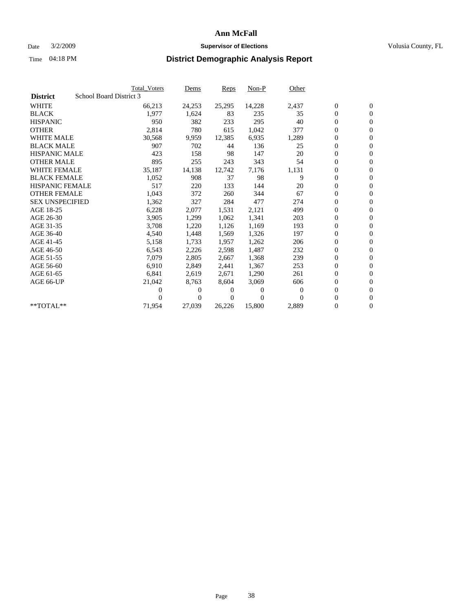## Date  $3/2/2009$  **Supervisor of Elections Supervisor of Elections** Volusia County, FL

|                        |                         | <b>Total Voters</b> | Dems           | <b>Reps</b> | $Non-P$  | Other    |                  |                  |  |
|------------------------|-------------------------|---------------------|----------------|-------------|----------|----------|------------------|------------------|--|
| <b>District</b>        | School Board District 3 |                     |                |             |          |          |                  |                  |  |
| <b>WHITE</b>           |                         | 66,213              | 24,253         | 25,295      | 14,228   | 2,437    | $\boldsymbol{0}$ | $\mathbf{0}$     |  |
| <b>BLACK</b>           |                         | 1,977               | 1,624          | 83          | 235      | 35       | $\overline{0}$   | $\mathbf{0}$     |  |
| <b>HISPANIC</b>        |                         | 950                 | 382            | 233         | 295      | 40       | $\overline{0}$   | $\mathbf{0}$     |  |
| <b>OTHER</b>           |                         | 2,814               | 780            | 615         | 1,042    | 377      | 0                | $\mathbf{0}$     |  |
| <b>WHITE MALE</b>      |                         | 30,568              | 9,959          | 12,385      | 6,935    | 1,289    | 0                | $\mathbf{0}$     |  |
| <b>BLACK MALE</b>      |                         | 907                 | 702            | 44          | 136      | 25       | $\overline{0}$   | $\mathbf{0}$     |  |
| <b>HISPANIC MALE</b>   |                         | 423                 | 158            | 98          | 147      | 20       | 0                | $\mathbf{0}$     |  |
| <b>OTHER MALE</b>      |                         | 895                 | 255            | 243         | 343      | 54       | 0                | $\mathbf{0}$     |  |
| <b>WHITE FEMALE</b>    |                         | 35,187              | 14,138         | 12,742      | 7,176    | 1,131    | 0                | $\mathbf{0}$     |  |
| <b>BLACK FEMALE</b>    |                         | 1,052               | 908            | 37          | 98       | 9        | 0                | $\Omega$         |  |
| <b>HISPANIC FEMALE</b> |                         | 517                 | 220            | 133         | 144      | 20       | $\boldsymbol{0}$ | $\mathbf{0}$     |  |
| <b>OTHER FEMALE</b>    |                         | 1,043               | 372            | 260         | 344      | 67       | 0                | $\mathbf{0}$     |  |
| <b>SEX UNSPECIFIED</b> |                         | 1,362               | 327            | 284         | 477      | 274      | 0                | $\Omega$         |  |
| AGE 18-25              |                         | 6,228               | 2,077          | 1,531       | 2,121    | 499      | $\overline{0}$   | $\mathbf{0}$     |  |
| AGE 26-30              |                         | 3,905               | 1,299          | 1,062       | 1,341    | 203      | 0                | $\mathbf{0}$     |  |
| AGE 31-35              |                         | 3,708               | 1,220          | 1,126       | 1,169    | 193      | 0                | $\mathbf{0}$     |  |
| AGE 36-40              |                         | 4,540               | 1,448          | 1,569       | 1,326    | 197      | $\overline{0}$   | $\mathbf{0}$     |  |
| AGE 41-45              |                         | 5,158               | 1,733          | 1,957       | 1,262    | 206      | 0                | $\mathbf{0}$     |  |
| AGE 46-50              |                         | 6,543               | 2,226          | 2,598       | 1,487    | 232      | 0                | $\Omega$         |  |
| AGE 51-55              |                         | 7,079               | 2,805          | 2,667       | 1,368    | 239      | $\boldsymbol{0}$ | $\mathbf{0}$     |  |
| AGE 56-60              |                         | 6.910               | 2.849          | 2.441       | 1.367    | 253      | 0                | $\mathbf{0}$     |  |
| AGE 61-65              |                         | 6,841               | 2,619          | 2,671       | 1,290    | 261      | 0                | $\Omega$         |  |
| AGE 66-UP              |                         | 21,042              | 8,763          | 8,604       | 3,069    | 606      | 0                | $\mathbf{0}$     |  |
|                        |                         | 0                   | 0              | 0           | $\theta$ | $\Omega$ | 0                | $\mathbf{0}$     |  |
|                        |                         | 0                   | $\overline{0}$ | 0           | $\Omega$ | $\Omega$ | 0                | $\mathbf{0}$     |  |
| $*$ TOTAL $**$         |                         | 71,954              | 27,039         | 26,226      | 15,800   | 2,889    | 0                | $\boldsymbol{0}$ |  |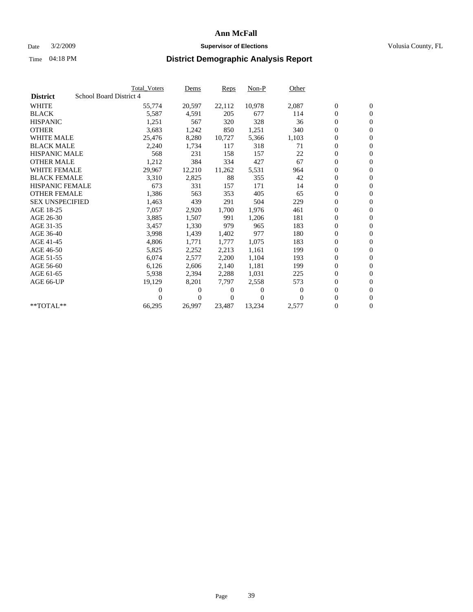## Date  $3/2/2009$  **Supervisor of Elections Supervisor of Elections** Volusia County, FL

|                        | <b>Total Voters</b>     | Dems           | <b>Reps</b> | $Non-P$  | Other        |                  |                  |  |
|------------------------|-------------------------|----------------|-------------|----------|--------------|------------------|------------------|--|
| <b>District</b>        | School Board District 4 |                |             |          |              |                  |                  |  |
| <b>WHITE</b>           | 55,774                  | 20,597         | 22,112      | 10,978   | 2,087        | $\boldsymbol{0}$ | $\mathbf{0}$     |  |
| <b>BLACK</b>           | 5,587                   | 4,591          | 205         | 677      | 114          | $\overline{0}$   | $\mathbf{0}$     |  |
| <b>HISPANIC</b>        | 1,251                   | 567            | 320         | 328      | 36           | $\overline{0}$   | $\mathbf{0}$     |  |
| <b>OTHER</b>           | 3,683                   | 1,242          | 850         | 1,251    | 340          | 0                | $\mathbf{0}$     |  |
| <b>WHITE MALE</b>      | 25,476                  | 8,280          | 10,727      | 5,366    | 1,103        | $\boldsymbol{0}$ | $\mathbf{0}$     |  |
| <b>BLACK MALE</b>      | 2,240                   | 1,734          | 117         | 318      | 71           | $\boldsymbol{0}$ | $\mathbf{0}$     |  |
| <b>HISPANIC MALE</b>   | 568                     | 231            | 158         | 157      | 22           | 0                | $\mathbf{0}$     |  |
| <b>OTHER MALE</b>      | 1,212                   | 384            | 334         | 427      | 67           | $\boldsymbol{0}$ | $\mathbf{0}$     |  |
| <b>WHITE FEMALE</b>    | 29,967                  | 12,210         | 11,262      | 5,531    | 964          | $\mathbf{0}$     | $\mathbf{0}$     |  |
| <b>BLACK FEMALE</b>    | 3,310                   | 2,825          | 88          | 355      | 42           | $\boldsymbol{0}$ | $\Omega$         |  |
| HISPANIC FEMALE        | 673                     | 331            | 157         | 171      | 14           | $\boldsymbol{0}$ | $\mathbf{0}$     |  |
| <b>OTHER FEMALE</b>    | 1,386                   | 563            | 353         | 405      | 65           | $\overline{0}$   | $\mathbf{0}$     |  |
| <b>SEX UNSPECIFIED</b> | 1,463                   | 439            | 291         | 504      | 229          | $\boldsymbol{0}$ | $\mathbf{0}$     |  |
| AGE 18-25              | 7,057                   | 2,920          | 1,700       | 1,976    | 461          | $\boldsymbol{0}$ | $\mathbf{0}$     |  |
| AGE 26-30              | 3,885                   | 1,507          | 991         | 1,206    | 181          | $\overline{0}$   | $\mathbf{0}$     |  |
| AGE 31-35              | 3,457                   | 1,330          | 979         | 965      | 183          | $\boldsymbol{0}$ | $\mathbf{0}$     |  |
| AGE 36-40              | 3,998                   | 1,439          | 1,402       | 977      | 180          | $\boldsymbol{0}$ | $\mathbf{0}$     |  |
| AGE 41-45              | 4,806                   | 1,771          | 1,777       | 1,075    | 183          | $\boldsymbol{0}$ | $\mathbf{0}$     |  |
| AGE 46-50              | 5,825                   | 2,252          | 2,213       | 1,161    | 199          | 0                | $\Omega$         |  |
| AGE 51-55              | 6,074                   | 2,577          | 2,200       | 1,104    | 193          | $\boldsymbol{0}$ | $\mathbf{0}$     |  |
| AGE 56-60              | 6,126                   | 2,606          | 2.140       | 1,181    | 199          | $\mathbf{0}$     | $\mathbf{0}$     |  |
| AGE 61-65              | 5,938                   | 2,394          | 2,288       | 1,031    | 225          | 0                | $\Omega$         |  |
| AGE 66-UP              | 19,129                  | 8,201          | 7,797       | 2,558    | 573          | $\mathbf{0}$     | $\mathbf{0}$     |  |
|                        | 0                       | 0              | 0           | 0        | $\mathbf{0}$ | $\overline{0}$   | $\mathbf{0}$     |  |
|                        | 0                       | $\overline{0}$ | 0           | $\Omega$ | $\Omega$     | 0                | $\mathbf{0}$     |  |
| $*$ TOTAL $**$         | 66,295                  | 26,997         | 23,487      | 13,234   | 2,577        | 0                | $\boldsymbol{0}$ |  |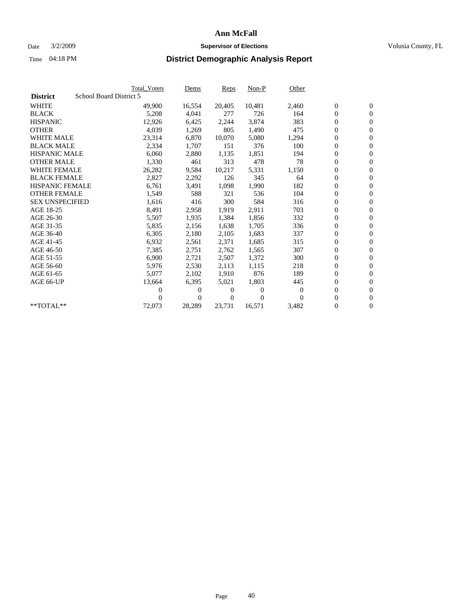## Date  $3/2/2009$  **Supervisor of Elections Supervisor of Elections** Volusia County, FL

|                        |                         | <b>Total Voters</b> | Dems         | <b>Reps</b> | $Non-P$  | Other    |                  |                  |  |
|------------------------|-------------------------|---------------------|--------------|-------------|----------|----------|------------------|------------------|--|
| <b>District</b>        | School Board District 5 |                     |              |             |          |          |                  |                  |  |
| <b>WHITE</b>           |                         | 49,900              | 16,554       | 20,405      | 10,481   | 2,460    | $\boldsymbol{0}$ | $\boldsymbol{0}$ |  |
| <b>BLACK</b>           |                         | 5,208               | 4,041        | 277         | 726      | 164      | $\overline{0}$   | $\mathbf{0}$     |  |
| <b>HISPANIC</b>        |                         | 12,926              | 6,425        | 2,244       | 3,874    | 383      | $\overline{0}$   | $\mathbf{0}$     |  |
| <b>OTHER</b>           |                         | 4,039               | 1,269        | 805         | 1,490    | 475      | 0                | $\mathbf{0}$     |  |
| <b>WHITE MALE</b>      |                         | 23,314              | 6,870        | 10,070      | 5,080    | 1,294    | 0                | $\mathbf{0}$     |  |
| <b>BLACK MALE</b>      |                         | 2,334               | 1,707        | 151         | 376      | 100      | $\boldsymbol{0}$ | $\mathbf{0}$     |  |
| <b>HISPANIC MALE</b>   |                         | 6,060               | 2,880        | 1,135       | 1,851    | 194      | 0                | $\mathbf{0}$     |  |
| <b>OTHER MALE</b>      |                         | 1,330               | 461          | 313         | 478      | 78       | $\boldsymbol{0}$ | $\mathbf{0}$     |  |
| <b>WHITE FEMALE</b>    |                         | 26,282              | 9,584        | 10,217      | 5,331    | 1,150    | 0                | $\mathbf{0}$     |  |
| <b>BLACK FEMALE</b>    |                         | 2,827               | 2,292        | 126         | 345      | 64       | 0                | $\Omega$         |  |
| HISPANIC FEMALE        |                         | 6,761               | 3,491        | 1,098       | 1,990    | 182      | $\boldsymbol{0}$ | $\mathbf{0}$     |  |
| <b>OTHER FEMALE</b>    |                         | 1,549               | 588          | 321         | 536      | 104      | 0                | $\mathbf{0}$     |  |
| <b>SEX UNSPECIFIED</b> |                         | 1,616               | 416          | 300         | 584      | 316      | 0                | $\mathbf{0}$     |  |
| AGE 18-25              |                         | 8,491               | 2,958        | 1,919       | 2,911    | 703      | $\overline{0}$   | $\mathbf{0}$     |  |
| AGE 26-30              |                         | 5,507               | 1,935        | 1,384       | 1,856    | 332      | 0                | $\mathbf{0}$     |  |
| AGE 31-35              |                         | 5,835               | 2,156        | 1,638       | 1,705    | 336      | 0                | $\mathbf{0}$     |  |
| AGE 36-40              |                         | 6,305               | 2,180        | 2,105       | 1,683    | 337      | $\overline{0}$   | $\mathbf{0}$     |  |
| AGE 41-45              |                         | 6,932               | 2,561        | 2,371       | 1,685    | 315      | $\boldsymbol{0}$ | $\mathbf{0}$     |  |
| AGE 46-50              |                         | 7,385               | 2,751        | 2,762       | 1,565    | 307      | 0                | $\Omega$         |  |
| AGE 51-55              |                         | 6,900               | 2,721        | 2,507       | 1,372    | 300      | $\boldsymbol{0}$ | $\mathbf{0}$     |  |
| AGE 56-60              |                         | 5,976               | 2,530        | 2.113       | 1,115    | 218      | 0                | $\mathbf{0}$     |  |
| AGE 61-65              |                         | 5,077               | 2,102        | 1,910       | 876      | 189      | 0                | $\mathbf{0}$     |  |
| AGE 66-UP              |                         | 13,664              | 6,395        | 5,021       | 1,803    | 445      | $\overline{0}$   | $\mathbf{0}$     |  |
|                        |                         | 0                   | 0            | 0           | $\theta$ | $\bf{0}$ | 0                | $\mathbf{0}$     |  |
|                        |                         | 0                   | $\mathbf{0}$ | 0           | $\Omega$ | $\Omega$ | 0                | $\mathbf{0}$     |  |
| $*$ TOTAL $**$         |                         | 72,073              | 28,289       | 23,731      | 16,571   | 3,482    | 0                | $\boldsymbol{0}$ |  |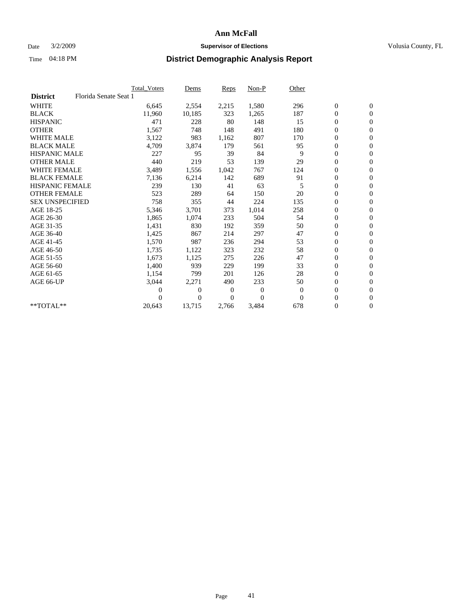## Date  $3/2/2009$  **Supervisor of Elections Supervisor of Elections** Volusia County, FL

|                        |                       | Total Voters | Dems     | <b>Reps</b> | $Non-P$  | Other        |                  |                  |  |
|------------------------|-----------------------|--------------|----------|-------------|----------|--------------|------------------|------------------|--|
| <b>District</b>        | Florida Senate Seat 1 |              |          |             |          |              |                  |                  |  |
| <b>WHITE</b>           |                       | 6,645        | 2,554    | 2,215       | 1,580    | 296          | $\boldsymbol{0}$ | $\boldsymbol{0}$ |  |
| <b>BLACK</b>           |                       | 11,960       | 10,185   | 323         | 1,265    | 187          | $\boldsymbol{0}$ | $\mathbf{0}$     |  |
| <b>HISPANIC</b>        |                       | 471          | 228      | 80          | 148      | 15           | $\overline{0}$   | $\mathbf{0}$     |  |
| <b>OTHER</b>           |                       | 1,567        | 748      | 148         | 491      | 180          | $\boldsymbol{0}$ | $\mathbf{0}$     |  |
| <b>WHITE MALE</b>      |                       | 3,122        | 983      | 1,162       | 807      | 170          | $\boldsymbol{0}$ | $\mathbf{0}$     |  |
| <b>BLACK MALE</b>      |                       | 4,709        | 3,874    | 179         | 561      | 95           | $\boldsymbol{0}$ | $\mathbf{0}$     |  |
| <b>HISPANIC MALE</b>   |                       | 227          | 95       | 39          | 84       | 9            | $\boldsymbol{0}$ | $\mathbf{0}$     |  |
| <b>OTHER MALE</b>      |                       | 440          | 219      | 53          | 139      | 29           | $\boldsymbol{0}$ | $\mathbf{0}$     |  |
| <b>WHITE FEMALE</b>    |                       | 3,489        | 1,556    | 1,042       | 767      | 124          | $\overline{0}$   | $\mathbf{0}$     |  |
| <b>BLACK FEMALE</b>    |                       | 7,136        | 6,214    | 142         | 689      | 91           | $\boldsymbol{0}$ | $\mathbf{0}$     |  |
| <b>HISPANIC FEMALE</b> |                       | 239          | 130      | 41          | 63       | 5            | $\boldsymbol{0}$ | $\mathbf{0}$     |  |
| <b>OTHER FEMALE</b>    |                       | 523          | 289      | 64          | 150      | 20           | $\mathbf{0}$     | $\mathbf{0}$     |  |
| <b>SEX UNSPECIFIED</b> |                       | 758          | 355      | 44          | 224      | 135          | $\boldsymbol{0}$ | $\mathbf{0}$     |  |
| AGE 18-25              |                       | 5,346        | 3,701    | 373         | 1,014    | 258          | $\boldsymbol{0}$ | $\mathbf{0}$     |  |
| AGE 26-30              |                       | 1,865        | 1,074    | 233         | 504      | 54           | $\overline{0}$   | $\mathbf{0}$     |  |
| AGE 31-35              |                       | 1,431        | 830      | 192         | 359      | 50           | $\boldsymbol{0}$ | $\mathbf{0}$     |  |
| AGE 36-40              |                       | 1,425        | 867      | 214         | 297      | 47           | $\boldsymbol{0}$ | $\mathbf{0}$     |  |
| AGE 41-45              |                       | 1,570        | 987      | 236         | 294      | 53           | $\overline{0}$   | $\mathbf{0}$     |  |
| AGE 46-50              |                       | 1,735        | 1,122    | 323         | 232      | 58           | $\boldsymbol{0}$ | $\mathbf{0}$     |  |
| AGE 51-55              |                       | 1,673        | 1,125    | 275         | 226      | 47           | $\boldsymbol{0}$ | $\mathbf{0}$     |  |
| AGE 56-60              |                       | 1,400        | 939      | 229         | 199      | 33           | $\overline{0}$   | $\Omega$         |  |
| AGE 61-65              |                       | 1,154        | 799      | 201         | 126      | 28           | $\mathbf{0}$     | $\mathbf{0}$     |  |
| AGE 66-UP              |                       | 3,044        | 2,271    | 490         | 233      | 50           | $\boldsymbol{0}$ | $\mathbf{0}$     |  |
|                        |                       | 0            | 0        | 0           | 0        | $\mathbf{0}$ | $\overline{0}$   | $\mathbf{0}$     |  |
|                        |                       | 0            | $\Omega$ | $\Omega$    | $\theta$ | $\Omega$     | $\boldsymbol{0}$ | $\mathbf{0}$     |  |
| $*$ TOTAL $**$         |                       | 20,643       | 13,715   | 2,766       | 3,484    | 678          | 0                | $\mathbf{0}$     |  |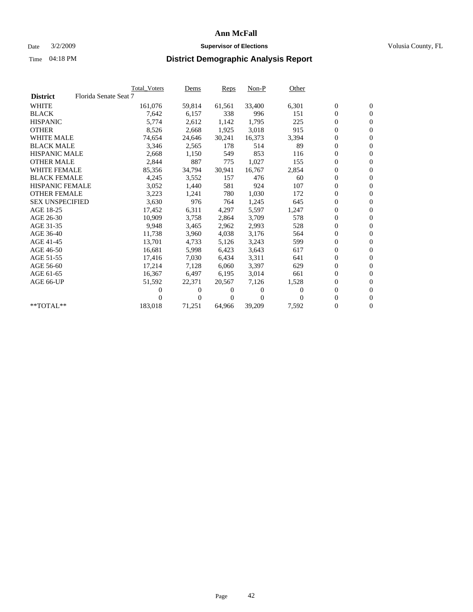## Date  $3/2/2009$  **Supervisor of Elections Supervisor of Elections** Volusia County, FL

|                        |                       | <b>Total Voters</b> | Dems   | <b>Reps</b> | $Non-P$        | Other    |                  |                  |  |
|------------------------|-----------------------|---------------------|--------|-------------|----------------|----------|------------------|------------------|--|
| <b>District</b>        | Florida Senate Seat 7 |                     |        |             |                |          |                  |                  |  |
| <b>WHITE</b>           |                       | 161,076             | 59,814 | 61,561      | 33,400         | 6,301    | $\boldsymbol{0}$ | $\boldsymbol{0}$ |  |
| <b>BLACK</b>           |                       | 7,642               | 6,157  | 338         | 996            | 151      | $\overline{0}$   | $\mathbf{0}$     |  |
| <b>HISPANIC</b>        |                       | 5,774               | 2,612  | 1,142       | 1,795          | 225      | 0                | $\mathbf{0}$     |  |
| <b>OTHER</b>           |                       | 8,526               | 2,668  | 1,925       | 3,018          | 915      | 0                | $\mathbf{0}$     |  |
| <b>WHITE MALE</b>      |                       | 74,654              | 24,646 | 30,241      | 16,373         | 3,394    | 0                | $\mathbf{0}$     |  |
| <b>BLACK MALE</b>      |                       | 3,346               | 2,565  | 178         | 514            | 89       | $\overline{0}$   | $\mathbf{0}$     |  |
| <b>HISPANIC MALE</b>   |                       | 2,668               | 1,150  | 549         | 853            | 116      | 0                | $\mathbf{0}$     |  |
| <b>OTHER MALE</b>      |                       | 2,844               | 887    | 775         | 1,027          | 155      | 0                | $\mathbf{0}$     |  |
| <b>WHITE FEMALE</b>    |                       | 85,356              | 34,794 | 30,941      | 16,767         | 2,854    | 0                | $\mathbf{0}$     |  |
| <b>BLACK FEMALE</b>    |                       | 4,245               | 3,552  | 157         | 476            | 60       | 0                | $\Omega$         |  |
| <b>HISPANIC FEMALE</b> |                       | 3,052               | 1,440  | 581         | 924            | 107      | 0                | $\mathbf{0}$     |  |
| <b>OTHER FEMALE</b>    |                       | 3,223               | 1,241  | 780         | 1,030          | 172      | 0                | $\mathbf{0}$     |  |
| <b>SEX UNSPECIFIED</b> |                       | 3,630               | 976    | 764         | 1,245          | 645      | 0                | $\mathbf{0}$     |  |
| AGE 18-25              |                       | 17,452              | 6,311  | 4,297       | 5,597          | 1,247    | $\overline{0}$   | $\mathbf{0}$     |  |
| AGE 26-30              |                       | 10,909              | 3,758  | 2,864       | 3,709          | 578      | 0                | $\mathbf{0}$     |  |
| AGE 31-35              |                       | 9,948               | 3,465  | 2,962       | 2,993          | 528      | 0                | $\mathbf{0}$     |  |
| AGE 36-40              |                       | 11,738              | 3,960  | 4,038       | 3,176          | 564      | 0                | $\mathbf{0}$     |  |
| AGE 41-45              |                       | 13,701              | 4,733  | 5,126       | 3,243          | 599      | 0                | $\mathbf{0}$     |  |
| AGE 46-50              |                       | 16,681              | 5,998  | 6,423       | 3,643          | 617      | 0                | $\Omega$         |  |
| AGE 51-55              |                       | 17,416              | 7,030  | 6,434       | 3,311          | 641      | $\boldsymbol{0}$ | $\mathbf{0}$     |  |
| AGE 56-60              |                       | 17.214              | 7,128  | 6.060       | 3,397          | 629      | 0                | $\mathbf{0}$     |  |
| AGE 61-65              |                       | 16,367              | 6,497  | 6,195       | 3,014          | 661      | 0                | $\Omega$         |  |
| AGE 66-UP              |                       | 51,592              | 22,371 | 20,567      | 7,126          | 1,528    | 0                | $\mathbf{0}$     |  |
|                        |                       | 0                   | 0      | 0           | $\overline{0}$ | $\Omega$ | 0                | $\mathbf{0}$     |  |
|                        |                       | 0                   | 0      | 0           | $\Omega$       |          | 0                | $\mathbf{0}$     |  |
| $*$ TOTAL $**$         |                       | 183,018             | 71,251 | 64,966      | 39,209         | 7,592    | 0                | $\boldsymbol{0}$ |  |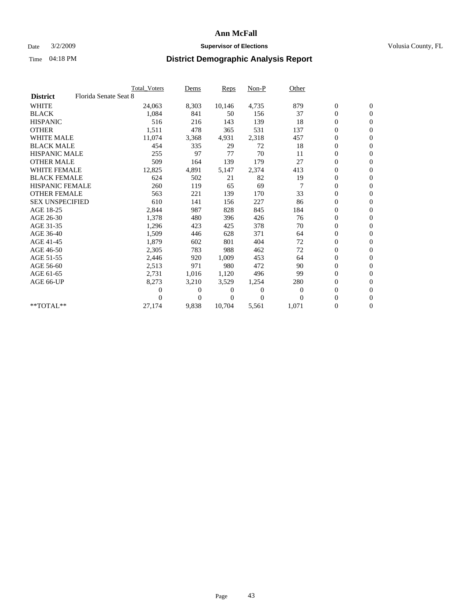## Date  $3/2/2009$  **Supervisor of Elections Supervisor of Elections** Volusia County, FL

|                        |                       | Total Voters | Dems           | <b>Reps</b> | $Non-P$      | Other        |                  |                  |  |
|------------------------|-----------------------|--------------|----------------|-------------|--------------|--------------|------------------|------------------|--|
| <b>District</b>        | Florida Senate Seat 8 |              |                |             |              |              |                  |                  |  |
| <b>WHITE</b>           |                       | 24,063       | 8,303          | 10,146      | 4,735        | 879          | $\boldsymbol{0}$ | $\boldsymbol{0}$ |  |
| <b>BLACK</b>           |                       | 1,084        | 841            | 50          | 156          | 37           | $\boldsymbol{0}$ | $\mathbf{0}$     |  |
| <b>HISPANIC</b>        |                       | 516          | 216            | 143         | 139          | 18           | $\boldsymbol{0}$ | $\mathbf{0}$     |  |
| <b>OTHER</b>           |                       | 1,511        | 478            | 365         | 531          | 137          | 0                | $\mathbf{0}$     |  |
| <b>WHITE MALE</b>      |                       | 11,074       | 3,368          | 4,931       | 2,318        | 457          | $\boldsymbol{0}$ | $\mathbf{0}$     |  |
| <b>BLACK MALE</b>      |                       | 454          | 335            | 29          | 72           | 18           | $\overline{0}$   | $\mathbf{0}$     |  |
| <b>HISPANIC MALE</b>   |                       | 255          | 97             | 77          | 70           | 11           | $\boldsymbol{0}$ | $\Omega$         |  |
| <b>OTHER MALE</b>      |                       | 509          | 164            | 139         | 179          | 27           | $\overline{0}$   | $\mathbf{0}$     |  |
| <b>WHITE FEMALE</b>    |                       | 12,825       | 4,891          | 5,147       | 2,374        | 413          | $\boldsymbol{0}$ | $\mathbf{0}$     |  |
| <b>BLACK FEMALE</b>    |                       | 624          | 502            | 21          | 82           | 19           | $\boldsymbol{0}$ | $\mathbf{0}$     |  |
| <b>HISPANIC FEMALE</b> |                       | 260          | 119            | 65          | 69           |              | $\boldsymbol{0}$ | $\mathbf{0}$     |  |
| <b>OTHER FEMALE</b>    |                       | 563          | 221            | 139         | 170          | 33           | $\mathbf{0}$     | $\mathbf{0}$     |  |
| <b>SEX UNSPECIFIED</b> |                       | 610          | 141            | 156         | 227          | 86           | $\boldsymbol{0}$ | $\mathbf{0}$     |  |
| AGE 18-25              |                       | 2,844        | 987            | 828         | 845          | 184          | $\boldsymbol{0}$ | $\mathbf{0}$     |  |
| AGE 26-30              |                       | 1,378        | 480            | 396         | 426          | 76           | $\overline{0}$   | $\mathbf{0}$     |  |
| AGE 31-35              |                       | 1,296        | 423            | 425         | 378          | 70           | $\boldsymbol{0}$ | $\mathbf{0}$     |  |
| AGE 36-40              |                       | 1,509        | 446            | 628         | 371          | 64           | $\boldsymbol{0}$ | $\mathbf{0}$     |  |
| AGE 41-45              |                       | 1,879        | 602            | 801         | 404          | 72           | $\boldsymbol{0}$ | $\mathbf{0}$     |  |
| AGE 46-50              |                       | 2,305        | 783            | 988         | 462          | 72           | $\boldsymbol{0}$ | $\Omega$         |  |
| AGE 51-55              |                       | 2,446        | 920            | 1,009       | 453          | 64           | $\boldsymbol{0}$ | $\mathbf{0}$     |  |
| AGE 56-60              |                       | 2,513        | 971            | 980         | 472          | 90           | $\overline{0}$   | $\mathbf{0}$     |  |
| AGE 61-65              |                       | 2,731        | 1,016          | 1,120       | 496          | 99           | 0                | $\mathbf{0}$     |  |
| AGE 66-UP              |                       | 8,273        | 3,210          | 3,529       | 1,254        | 280          | $\boldsymbol{0}$ | $\mathbf{0}$     |  |
|                        |                       | 0            | $\overline{0}$ | 0           | $\mathbf{0}$ | $\mathbf{0}$ | $\mathbf{0}$     | $\mathbf{0}$     |  |
|                        |                       | 0            | $\overline{0}$ | 0           | $\Omega$     | $\Omega$     | 0                | $\mathbf{0}$     |  |
| **TOTAL**              |                       | 27,174       | 9,838          | 10,704      | 5,561        | 1,071        | 0                | $\boldsymbol{0}$ |  |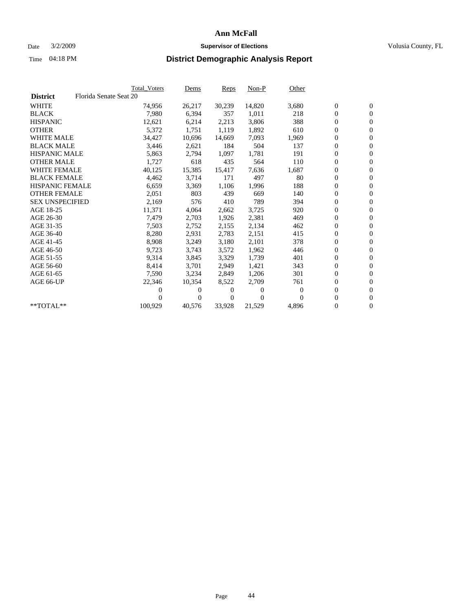## Date  $3/2/2009$  **Supervisor of Elections Supervisor of Elections** Volusia County, FL

|                        |                        | <b>Total Voters</b> | Dems         | <b>Reps</b> | $Non-P$        | Other    |                  |                  |  |
|------------------------|------------------------|---------------------|--------------|-------------|----------------|----------|------------------|------------------|--|
| <b>District</b>        | Florida Senate Seat 20 |                     |              |             |                |          |                  |                  |  |
| <b>WHITE</b>           |                        | 74,956              | 26,217       | 30,239      | 14,820         | 3,680    | $\boldsymbol{0}$ | $\boldsymbol{0}$ |  |
| <b>BLACK</b>           |                        | 7,980               | 6,394        | 357         | 1,011          | 218      | $\overline{0}$   | $\mathbf{0}$     |  |
| <b>HISPANIC</b>        |                        | 12,621              | 6,214        | 2,213       | 3,806          | 388      | $\overline{0}$   | $\mathbf{0}$     |  |
| <b>OTHER</b>           |                        | 5,372               | 1,751        | 1,119       | 1,892          | 610      | 0                | $\mathbf{0}$     |  |
| <b>WHITE MALE</b>      |                        | 34,427              | 10,696       | 14,669      | 7,093          | 1,969    | 0                | $\mathbf{0}$     |  |
| <b>BLACK MALE</b>      |                        | 3,446               | 2,621        | 184         | 504            | 137      | $\boldsymbol{0}$ | $\mathbf{0}$     |  |
| <b>HISPANIC MALE</b>   |                        | 5,863               | 2,794        | 1,097       | 1,781          | 191      | 0                | $\mathbf{0}$     |  |
| <b>OTHER MALE</b>      |                        | 1,727               | 618          | 435         | 564            | 110      | 0                | $\mathbf{0}$     |  |
| <b>WHITE FEMALE</b>    |                        | 40,125              | 15,385       | 15,417      | 7,636          | 1,687    | 0                | $\mathbf{0}$     |  |
| <b>BLACK FEMALE</b>    |                        | 4,462               | 3,714        | 171         | 497            | 80       | 0                | $\Omega$         |  |
| HISPANIC FEMALE        |                        | 6,659               | 3,369        | 1,106       | 1,996          | 188      | $\boldsymbol{0}$ | $\mathbf{0}$     |  |
| <b>OTHER FEMALE</b>    |                        | 2,051               | 803          | 439         | 669            | 140      | 0                | $\mathbf{0}$     |  |
| <b>SEX UNSPECIFIED</b> |                        | 2,169               | 576          | 410         | 789            | 394      | 0                | $\mathbf{0}$     |  |
| AGE 18-25              |                        | 11,371              | 4,064        | 2,662       | 3,725          | 920      | $\overline{0}$   | $\mathbf{0}$     |  |
| AGE 26-30              |                        | 7,479               | 2,703        | 1,926       | 2,381          | 469      | 0                | $\mathbf{0}$     |  |
| AGE 31-35              |                        | 7,503               | 2,752        | 2,155       | 2,134          | 462      | 0                | $\mathbf{0}$     |  |
| AGE 36-40              |                        | 8,280               | 2,931        | 2,783       | 2,151          | 415      | $\overline{0}$   | $\mathbf{0}$     |  |
| AGE 41-45              |                        | 8,908               | 3,249        | 3,180       | 2,101          | 378      | $\boldsymbol{0}$ | $\mathbf{0}$     |  |
| AGE 46-50              |                        | 9,723               | 3,743        | 3,572       | 1,962          | 446      | 0                | $\Omega$         |  |
| AGE 51-55              |                        | 9,314               | 3,845        | 3,329       | 1,739          | 401      | $\boldsymbol{0}$ | $\mathbf{0}$     |  |
| AGE 56-60              |                        | 8,414               | 3.701        | 2.949       | 1.421          | 343      | 0                | $\mathbf{0}$     |  |
| AGE 61-65              |                        | 7,590               | 3,234        | 2,849       | 1,206          | 301      | 0                | $\mathbf{0}$     |  |
| AGE 66-UP              |                        | 22,346              | 10,354       | 8,522       | 2,709          | 761      | $\overline{0}$   | $\mathbf{0}$     |  |
|                        |                        | 0                   | 0            | 0           | $\overline{0}$ | $\theta$ | 0                | $\mathbf{0}$     |  |
|                        |                        | 0                   | $\mathbf{0}$ | 0           | $\Omega$       | $\Omega$ | 0                | $\mathbf{0}$     |  |
| $*$ TOTAL $**$         |                        | 100,929             | 40,576       | 33,928      | 21,529         | 4,896    | 0                | $\boldsymbol{0}$ |  |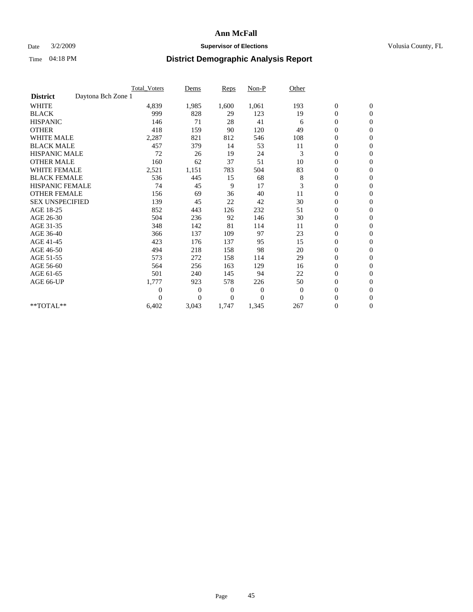## Date  $3/2/2009$  **Supervisor of Elections Supervisor of Elections** Volusia County, FL

|                                       | <b>Total_Voters</b> | Dems           | <b>Reps</b>  | Non-P        | Other        |                  |                  |  |
|---------------------------------------|---------------------|----------------|--------------|--------------|--------------|------------------|------------------|--|
| Daytona Bch Zone 1<br><b>District</b> |                     |                |              |              |              |                  |                  |  |
| <b>WHITE</b>                          | 4,839               | 1,985          | 1,600        | 1,061        | 193          | $\boldsymbol{0}$ | $\boldsymbol{0}$ |  |
| <b>BLACK</b>                          | 999                 | 828            | 29           | 123          | 19           | $\boldsymbol{0}$ | $\mathbf{0}$     |  |
| <b>HISPANIC</b>                       | 146                 | 71             | 28           | 41           | 6            | $\overline{0}$   | $\mathbf{0}$     |  |
| <b>OTHER</b>                          | 418                 | 159            | 90           | 120          | 49           | $\boldsymbol{0}$ | $\mathbf{0}$     |  |
| <b>WHITE MALE</b>                     | 2,287               | 821            | 812          | 546          | 108          | $\overline{0}$   | $\mathbf{0}$     |  |
| <b>BLACK MALE</b>                     | 457                 | 379            | 14           | 53           | 11           | $\boldsymbol{0}$ | $\mathbf{0}$     |  |
| <b>HISPANIC MALE</b>                  | 72                  | 26             | 19           | 24           | 3            | $\boldsymbol{0}$ | $\mathbf{0}$     |  |
| <b>OTHER MALE</b>                     | 160                 | 62             | 37           | 51           | 10           | $\boldsymbol{0}$ | $\mathbf{0}$     |  |
| <b>WHITE FEMALE</b>                   | 2,521               | 1,151          | 783          | 504          | 83           | $\overline{0}$   | $\mathbf{0}$     |  |
| <b>BLACK FEMALE</b>                   | 536                 | 445            | 15           | 68           | 8            | $\boldsymbol{0}$ | $\mathbf{0}$     |  |
| <b>HISPANIC FEMALE</b>                | 74                  | 45             | 9            | 17           | 3            | $\boldsymbol{0}$ | $\mathbf{0}$     |  |
| <b>OTHER FEMALE</b>                   | 156                 | 69             | 36           | 40           | 11           | $\mathbf{0}$     | $\mathbf{0}$     |  |
| <b>SEX UNSPECIFIED</b>                | 139                 | 45             | 22           | 42           | 30           | $\boldsymbol{0}$ | $\mathbf{0}$     |  |
| AGE 18-25                             | 852                 | 443            | 126          | 232          | 51           | $\boldsymbol{0}$ | $\mathbf{0}$     |  |
| AGE 26-30                             | 504                 | 236            | 92           | 146          | 30           | $\boldsymbol{0}$ | $\mathbf{0}$     |  |
| AGE 31-35                             | 348                 | 142            | 81           | 114          | 11           | $\boldsymbol{0}$ | $\mathbf{0}$     |  |
| AGE 36-40                             | 366                 | 137            | 109          | 97           | 23           | $\boldsymbol{0}$ | $\mathbf{0}$     |  |
| AGE 41-45                             | 423                 | 176            | 137          | 95           | 15           | $\overline{0}$   | $\mathbf{0}$     |  |
| AGE 46-50                             | 494                 | 218            | 158          | 98           | 20           | $\boldsymbol{0}$ | $\mathbf{0}$     |  |
| AGE 51-55                             | 573                 | 272            | 158          | 114          | 29           | $\boldsymbol{0}$ | $\mathbf{0}$     |  |
| AGE 56-60                             | 564                 | 256            | 163          | 129          | 16           | $\boldsymbol{0}$ | $\Omega$         |  |
| AGE 61-65                             | 501                 | 240            | 145          | 94           | 22           | $\boldsymbol{0}$ | $\mathbf{0}$     |  |
| AGE 66-UP                             | 1,777               | 923            | 578          | 226          | 50           | $\boldsymbol{0}$ | $\mathbf{0}$     |  |
|                                       | $\overline{0}$      | $\overline{0}$ | 0            | $\mathbf{0}$ | $\theta$     | $\overline{0}$   | $\mathbf{0}$     |  |
|                                       | $\Omega$            | $\overline{0}$ | $\mathbf{0}$ | $\Omega$     | $\mathbf{0}$ | $\boldsymbol{0}$ | $\mathbf{0}$     |  |
| **TOTAL**                             | 6,402               | 3,043          | 1,747        | 1,345        | 267          | 0                | $\mathbf{0}$     |  |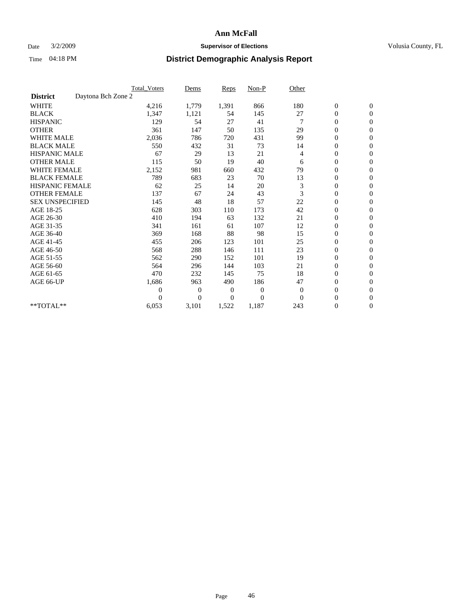## Date  $3/2/2009$  **Supervisor of Elections Supervisor of Elections** Volusia County, FL

|                        |                    | <b>Total Voters</b> | Dems           | <b>Reps</b> | $Non-P$        | Other        |                  |                  |  |
|------------------------|--------------------|---------------------|----------------|-------------|----------------|--------------|------------------|------------------|--|
| <b>District</b>        | Daytona Bch Zone 2 |                     |                |             |                |              |                  |                  |  |
| <b>WHITE</b>           |                    | 4,216               | 1,779          | 1,391       | 866            | 180          | $\boldsymbol{0}$ | $\boldsymbol{0}$ |  |
| <b>BLACK</b>           |                    | 1,347               | 1,121          | 54          | 145            | 27           | $\boldsymbol{0}$ | $\mathbf{0}$     |  |
| <b>HISPANIC</b>        |                    | 129                 | 54             | 27          | 41             |              | $\overline{0}$   | $\mathbf{0}$     |  |
| <b>OTHER</b>           |                    | 361                 | 147            | 50          | 135            | 29           | $\boldsymbol{0}$ | $\Omega$         |  |
| <b>WHITE MALE</b>      |                    | 2,036               | 786            | 720         | 431            | 99           | $\overline{0}$   | $\mathbf{0}$     |  |
| <b>BLACK MALE</b>      |                    | 550                 | 432            | 31          | 73             | 14           | $\boldsymbol{0}$ | $\mathbf{0}$     |  |
| <b>HISPANIC MALE</b>   |                    | 67                  | 29             | 13          | 21             | 4            | $\boldsymbol{0}$ | $\mathbf{0}$     |  |
| <b>OTHER MALE</b>      |                    | 115                 | 50             | 19          | 40             | 6            | $\boldsymbol{0}$ | $\mathbf{0}$     |  |
| <b>WHITE FEMALE</b>    |                    | 2,152               | 981            | 660         | 432            | 79           | $\overline{0}$   | $\mathbf{0}$     |  |
| <b>BLACK FEMALE</b>    |                    | 789                 | 683            | 23          | 70             | 13           | $\boldsymbol{0}$ | $\mathbf{0}$     |  |
| <b>HISPANIC FEMALE</b> |                    | 62                  | 25             | 14          | 20             | 3            | $\boldsymbol{0}$ | $\mathbf{0}$     |  |
| <b>OTHER FEMALE</b>    |                    | 137                 | 67             | 24          | 43             | 3            | $\mathbf{0}$     | $\mathbf{0}$     |  |
| <b>SEX UNSPECIFIED</b> |                    | 145                 | 48             | 18          | 57             | 22           | $\boldsymbol{0}$ | $\mathbf{0}$     |  |
| AGE 18-25              |                    | 628                 | 303            | 110         | 173            | 42           | $\boldsymbol{0}$ | $\mathbf{0}$     |  |
| AGE 26-30              |                    | 410                 | 194            | 63          | 132            | 21           | $\overline{0}$   | $\mathbf{0}$     |  |
| AGE 31-35              |                    | 341                 | 161            | 61          | 107            | 12           | $\boldsymbol{0}$ | $\mathbf{0}$     |  |
| AGE 36-40              |                    | 369                 | 168            | 88          | 98             | 15           | $\boldsymbol{0}$ | $\mathbf{0}$     |  |
| AGE 41-45              |                    | 455                 | 206            | 123         | 101            | 25           | $\overline{0}$   | $\mathbf{0}$     |  |
| AGE 46-50              |                    | 568                 | 288            | 146         | 111            | 23           | $\boldsymbol{0}$ | $\mathbf{0}$     |  |
| AGE 51-55              |                    | 562                 | 290            | 152         | 101            | 19           | $\boldsymbol{0}$ | $\mathbf{0}$     |  |
| AGE 56-60              |                    | 564                 | 296            | 144         | 103            | 21           | $\overline{0}$   | $\Omega$         |  |
| AGE 61-65              |                    | 470                 | 232            | 145         | 75             | 18           | $\overline{0}$   | $\mathbf{0}$     |  |
| AGE 66-UP              |                    | 1,686               | 963            | 490         | 186            | 47           | $\boldsymbol{0}$ | $\mathbf{0}$     |  |
|                        |                    | $\overline{0}$      | $\overline{0}$ | 0           | $\overline{0}$ | $\mathbf{0}$ | $\overline{0}$   | $\mathbf{0}$     |  |
|                        |                    | $\Omega$            | $\theta$       | $\Omega$    | $\theta$       | $\Omega$     | $\boldsymbol{0}$ | $\mathbf{0}$     |  |
| **TOTAL**              |                    | 6,053               | 3,101          | 1,522       | 1,187          | 243          | 0                | $\mathbf{0}$     |  |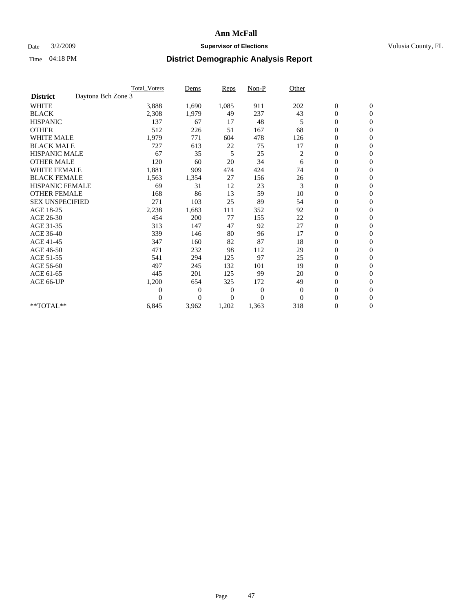## Date  $3/2/2009$  **Supervisor of Elections Supervisor of Elections** Volusia County, FL

|                        |                    | <b>Total Voters</b> | Dems           | <b>Reps</b>  | $Non-P$        | Other        |                  |                |  |
|------------------------|--------------------|---------------------|----------------|--------------|----------------|--------------|------------------|----------------|--|
| <b>District</b>        | Daytona Bch Zone 3 |                     |                |              |                |              |                  |                |  |
| <b>WHITE</b>           |                    | 3,888               | 1,690          | 1,085        | 911            | 202          | $\boldsymbol{0}$ | $\mathbf{0}$   |  |
| <b>BLACK</b>           |                    | 2,308               | 1,979          | 49           | 237            | 43           | $\boldsymbol{0}$ | $\mathbf{0}$   |  |
| <b>HISPANIC</b>        |                    | 137                 | 67             | 17           | 48             | 5            | $\overline{0}$   | $\mathbf{0}$   |  |
| <b>OTHER</b>           |                    | 512                 | 226            | 51           | 167            | 68           | $\overline{0}$   | $\mathbf{0}$   |  |
| <b>WHITE MALE</b>      |                    | 1,979               | 771            | 604          | 478            | 126          | $\boldsymbol{0}$ | $\mathbf{0}$   |  |
| <b>BLACK MALE</b>      |                    | 727                 | 613            | 22           | 75             | 17           | $\boldsymbol{0}$ | $\mathbf{0}$   |  |
| <b>HISPANIC MALE</b>   |                    | 67                  | 35             | 5            | 25             | 2            | $\boldsymbol{0}$ | $\mathbf{0}$   |  |
| <b>OTHER MALE</b>      |                    | 120                 | 60             | 20           | 34             | 6            | $\boldsymbol{0}$ | $\mathbf{0}$   |  |
| <b>WHITE FEMALE</b>    |                    | 1,881               | 909            | 474          | 424            | 74           | $\mathbf{0}$     | $\mathbf{0}$   |  |
| <b>BLACK FEMALE</b>    |                    | 1,563               | 1,354          | 27           | 156            | 26           | $\boldsymbol{0}$ | $\mathbf{0}$   |  |
| <b>HISPANIC FEMALE</b> |                    | 69                  | 31             | 12           | 23             | 3            | $\boldsymbol{0}$ | $\mathbf{0}$   |  |
| <b>OTHER FEMALE</b>    |                    | 168                 | 86             | 13           | 59             | 10           | $\overline{0}$   | $\Omega$       |  |
| <b>SEX UNSPECIFIED</b> |                    | 271                 | 103            | 25           | 89             | 54           | $\overline{0}$   | $\mathbf{0}$   |  |
| AGE 18-25              |                    | 2,238               | 1,683          | 111          | 352            | 92           | $\overline{0}$   | $\mathbf{0}$   |  |
| AGE 26-30              |                    | 454                 | 200            | 77           | 155            | 22           | $\overline{0}$   | $\mathbf{0}$   |  |
| AGE 31-35              |                    | 313                 | 147            | 47           | 92             | 27           | $\boldsymbol{0}$ | $\mathbf{0}$   |  |
| AGE 36-40              |                    | 339                 | 146            | 80           | 96             | 17           | $\boldsymbol{0}$ | $\mathbf{0}$   |  |
| AGE 41-45              |                    | 347                 | 160            | 82           | 87             | 18           | $\overline{0}$   | $\mathbf{0}$   |  |
| AGE 46-50              |                    | 471                 | 232            | 98           | 112            | 29           | $\mathbf{0}$     | $\mathbf{0}$   |  |
| AGE 51-55              |                    | 541                 | 294            | 125          | 97             | 25           | $\boldsymbol{0}$ | $\mathbf{0}$   |  |
| AGE 56-60              |                    | 497                 | 245            | 132          | 101            | 19           | $\boldsymbol{0}$ | $\Omega$       |  |
| AGE 61-65              |                    | 445                 | 201            | 125          | 99             | 20           | $\boldsymbol{0}$ | $\overline{0}$ |  |
| AGE 66-UP              |                    | 1,200               | 654            | 325          | 172            | 49           | $\overline{0}$   | $\mathbf{0}$   |  |
|                        |                    | $\theta$            | $\overline{0}$ | $\mathbf{0}$ | $\mathbf{0}$   | $\mathbf{0}$ | $\overline{0}$   | $\Omega$       |  |
|                        |                    | $\Omega$            | $\overline{0}$ | 0            | $\overline{0}$ | $\Omega$     | $\overline{0}$   | $\overline{0}$ |  |
| **TOTAL**              |                    | 6,845               | 3,962          | 1,202        | 1,363          | 318          | 0                | $\mathbf{0}$   |  |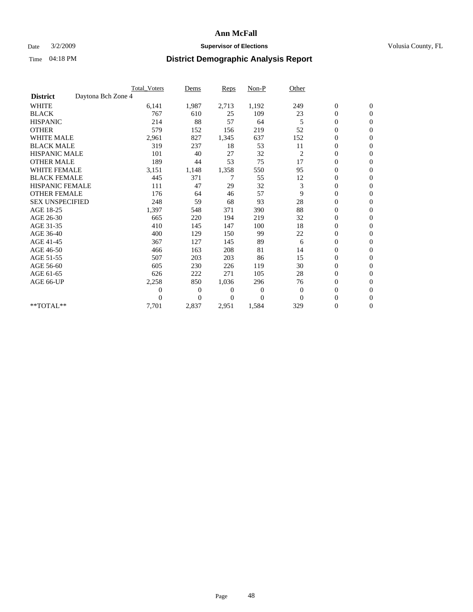## Date  $3/2/2009$  **Supervisor of Elections Supervisor of Elections** Volusia County, FL

|                        | <b>Total Voters</b> | Dems           | <b>Reps</b>  | Non-P        | Other          |                  |                  |  |
|------------------------|---------------------|----------------|--------------|--------------|----------------|------------------|------------------|--|
| <b>District</b>        | Daytona Bch Zone 4  |                |              |              |                |                  |                  |  |
| <b>WHITE</b>           | 6,141               | 1,987          | 2,713        | 1,192        | 249            | $\boldsymbol{0}$ | $\boldsymbol{0}$ |  |
| <b>BLACK</b>           | 767                 | 610            | 25           | 109          | 23             | $\boldsymbol{0}$ | $\mathbf{0}$     |  |
| <b>HISPANIC</b>        | 214                 | 88             | 57           | 64           | 5              | $\overline{0}$   | $\mathbf{0}$     |  |
| <b>OTHER</b>           | 579                 | 152            | 156          | 219          | 52             | $\overline{0}$   | $\mathbf{0}$     |  |
| <b>WHITE MALE</b>      | 2,961               | 827            | 1,345        | 637          | 152            | $\boldsymbol{0}$ | $\mathbf{0}$     |  |
| <b>BLACK MALE</b>      | 319                 | 237            | 18           | 53           | 11             | $\overline{0}$   | $\mathbf{0}$     |  |
| <b>HISPANIC MALE</b>   | 101                 | 40             | 27           | 32           | $\overline{c}$ | $\boldsymbol{0}$ | $\Omega$         |  |
| <b>OTHER MALE</b>      | 189                 | 44             | 53           | 75           | 17             | $\overline{0}$   | $\mathbf{0}$     |  |
| <b>WHITE FEMALE</b>    | 3,151               | 1,148          | 1,358        | 550          | 95             | $\boldsymbol{0}$ | $\mathbf{0}$     |  |
| <b>BLACK FEMALE</b>    | 445                 | 371            | 7            | 55           | 12             | $\boldsymbol{0}$ | $\mathbf{0}$     |  |
| <b>HISPANIC FEMALE</b> | 111                 | 47             | 29           | 32           | 3              | $\boldsymbol{0}$ | $\mathbf{0}$     |  |
| <b>OTHER FEMALE</b>    | 176                 | 64             | 46           | 57           | 9              | $\mathbf{0}$     | $\mathbf{0}$     |  |
| <b>SEX UNSPECIFIED</b> | 248                 | 59             | 68           | 93           | 28             | $\boldsymbol{0}$ | $\Omega$         |  |
| AGE 18-25              | 1,397               | 548            | 371          | 390          | 88             | $\boldsymbol{0}$ | $\mathbf{0}$     |  |
| AGE 26-30              | 665                 | 220            | 194          | 219          | 32             | $\overline{0}$   | $\Omega$         |  |
| AGE 31-35              | 410                 | 145            | 147          | 100          | 18             | $\boldsymbol{0}$ | $\mathbf{0}$     |  |
| AGE 36-40              | 400                 | 129            | 150          | 99           | 22             | $\boldsymbol{0}$ | $\mathbf{0}$     |  |
| AGE 41-45              | 367                 | 127            | 145          | 89           | 6              | $\boldsymbol{0}$ | $\mathbf{0}$     |  |
| AGE 46-50              | 466                 | 163            | 208          | 81           | 14             | $\boldsymbol{0}$ | $\Omega$         |  |
| AGE 51-55              | 507                 | 203            | 203          | 86           | 15             | $\overline{0}$   | $\mathbf{0}$     |  |
| AGE 56-60              | 605                 | 230            | 226          | 119          | 30             | $\overline{0}$   | $\mathbf{0}$     |  |
| AGE 61-65              | 626                 | 222            | 271          | 105          | 28             | $\overline{0}$   | $\mathbf{0}$     |  |
| AGE 66-UP              | 2,258               | 850            | 1,036        | 296          | 76             | $\boldsymbol{0}$ | $\mathbf{0}$     |  |
|                        | $\overline{0}$      | $\overline{0}$ | 0            | $\mathbf{0}$ | $\mathbf{0}$   | $\mathbf{0}$     | $\mathbf{0}$     |  |
|                        | $\Omega$            | $\overline{0}$ | $\mathbf{0}$ | $\mathbf{0}$ | $\mathbf{0}$   | 0                | $\mathbf{0}$     |  |
| **TOTAL**              | 7,701               | 2,837          | 2,951        | 1,584        | 329            | 0                | $\boldsymbol{0}$ |  |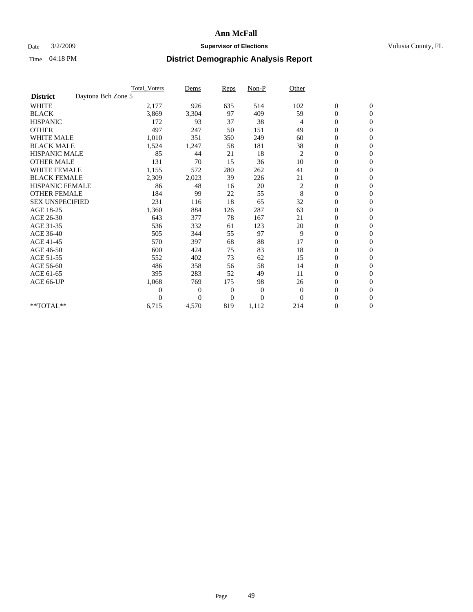## Date  $3/2/2009$  **Supervisor of Elections Supervisor of Elections** Volusia County, FL

|                        |                    | <b>Total_Voters</b> | Dems         | Reps           | $Non-P$  | Other          |                  |                  |  |
|------------------------|--------------------|---------------------|--------------|----------------|----------|----------------|------------------|------------------|--|
| <b>District</b>        | Daytona Bch Zone 5 |                     |              |                |          |                |                  |                  |  |
| <b>WHITE</b>           |                    | 2,177               | 926          | 635            | 514      | 102            | $\boldsymbol{0}$ | $\boldsymbol{0}$ |  |
| <b>BLACK</b>           |                    | 3,869               | 3,304        | 97             | 409      | 59             | 0                | $\mathbf{0}$     |  |
| <b>HISPANIC</b>        |                    | 172                 | 93           | 37             | 38       | $\overline{4}$ | $\mathbf{0}$     | $\mathbf{0}$     |  |
| <b>OTHER</b>           |                    | 497                 | 247          | 50             | 151      | 49             | 0                | $\Omega$         |  |
| <b>WHITE MALE</b>      |                    | 1,010               | 351          | 350            | 249      | 60             | 0                | $\mathbf{0}$     |  |
| <b>BLACK MALE</b>      |                    | 1,524               | 1,247        | 58             | 181      | 38             | $\boldsymbol{0}$ | $\mathbf{0}$     |  |
| <b>HISPANIC MALE</b>   |                    | 85                  | 44           | 21             | 18       | $\overline{c}$ | 0                | $\mathbf{0}$     |  |
| <b>OTHER MALE</b>      |                    | 131                 | 70           | 15             | 36       | 10             | 0                | $\mathbf{0}$     |  |
| <b>WHITE FEMALE</b>    |                    | 1,155               | 572          | 280            | 262      | 41             | 0                | $\mathbf{0}$     |  |
| <b>BLACK FEMALE</b>    |                    | 2,309               | 2,023        | 39             | 226      | 21             | 0                | $\mathbf{0}$     |  |
| <b>HISPANIC FEMALE</b> |                    | 86                  | 48           | 16             | 20       | 2              | 0                | $\mathbf{0}$     |  |
| <b>OTHER FEMALE</b>    |                    | 184                 | 99           | 22             | 55       | 8              | 0                | $\Omega$         |  |
| <b>SEX UNSPECIFIED</b> |                    | 231                 | 116          | 18             | 65       | 32             | 0                | $\mathbf{0}$     |  |
| AGE 18-25              |                    | 1,360               | 884          | 126            | 287      | 63             | 0                | $\mathbf{0}$     |  |
| AGE 26-30              |                    | 643                 | 377          | 78             | 167      | 21             | 0                | $\mathbf{0}$     |  |
| AGE 31-35              |                    | 536                 | 332          | 61             | 123      | 20             | 0                | $\mathbf{0}$     |  |
| AGE 36-40              |                    | 505                 | 344          | 55             | 97       | 9              | 0                | $\mathbf{0}$     |  |
| AGE 41-45              |                    | 570                 | 397          | 68             | 88       | 17             | $\mathbf{0}$     | $\mathbf{0}$     |  |
| AGE 46-50              |                    | 600                 | 424          | 75             | 83       | 18             | 0                | $\mathbf{0}$     |  |
| AGE 51-55              |                    | 552                 | 402          | 73             | 62       | 15             | 0                | $\mathbf{0}$     |  |
| AGE 56-60              |                    | 486                 | 358          | 56             | 58       | 14             | $\overline{0}$   | $\Omega$         |  |
| AGE 61-65              |                    | 395                 | 283          | 52             | 49       | 11             | 0                | $\mathbf{0}$     |  |
| AGE 66-UP              |                    | 1,068               | 769          | 175            | 98       | 26             | 0                | $\mathbf{0}$     |  |
|                        |                    | 0                   | $\mathbf{0}$ | $\overline{0}$ | $\theta$ | $\theta$       | 0                | $\mathbf{0}$     |  |
|                        |                    | 0                   | $\theta$     | $\theta$       | $\theta$ | $\Omega$       | $\overline{0}$   | $\mathbf{0}$     |  |
| **TOTAL**              |                    | 6,715               | 4,570        | 819            | 1,112    | 214            | 0                | $\overline{0}$   |  |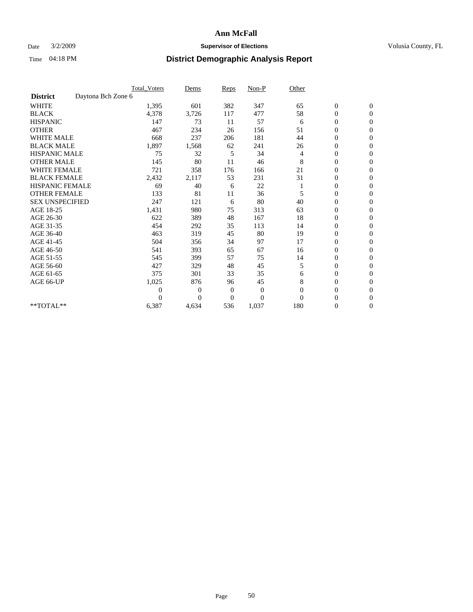## Date  $3/2/2009$  **Supervisor of Elections Supervisor of Elections** Volusia County, FL

|                        |                    | <b>Total_Voters</b> | Dems           | <b>Reps</b>    | $Non-P$        | Other    |                  |                |  |
|------------------------|--------------------|---------------------|----------------|----------------|----------------|----------|------------------|----------------|--|
| <b>District</b>        | Daytona Bch Zone 6 |                     |                |                |                |          |                  |                |  |
| <b>WHITE</b>           |                    | 1,395               | 601            | 382            | 347            | 65       | $\boldsymbol{0}$ | $\mathbf{0}$   |  |
| <b>BLACK</b>           |                    | 4,378               | 3,726          | 117            | 477            | 58       | $\boldsymbol{0}$ | $\mathbf{0}$   |  |
| <b>HISPANIC</b>        |                    | 147                 | 73             | 11             | 57             | 6        | $\mathbf{0}$     | $\mathbf{0}$   |  |
| <b>OTHER</b>           |                    | 467                 | 234            | 26             | 156            | 51       | $\overline{0}$   | $\mathbf{0}$   |  |
| <b>WHITE MALE</b>      |                    | 668                 | 237            | 206            | 181            | 44       | 0                | $\mathbf{0}$   |  |
| <b>BLACK MALE</b>      |                    | 1,897               | 1,568          | 62             | 241            | 26       | $\boldsymbol{0}$ | $\mathbf{0}$   |  |
| <b>HISPANIC MALE</b>   |                    | 75                  | 32             | 5              | 34             | 4        | $\boldsymbol{0}$ | $\Omega$       |  |
| <b>OTHER MALE</b>      |                    | 145                 | 80             | 11             | 46             | 8        | 0                | $\mathbf{0}$   |  |
| <b>WHITE FEMALE</b>    |                    | 721                 | 358            | 176            | 166            | 21       | 0                | $\mathbf{0}$   |  |
| <b>BLACK FEMALE</b>    |                    | 2,432               | 2,117          | 53             | 231            | 31       | $\boldsymbol{0}$ | $\mathbf{0}$   |  |
| <b>HISPANIC FEMALE</b> |                    | 69                  | 40             | 6              | 22             |          | $\boldsymbol{0}$ | $\mathbf{0}$   |  |
| <b>OTHER FEMALE</b>    |                    | 133                 | 81             | 11             | 36             | 5        | $\overline{0}$   | $\Omega$       |  |
| <b>SEX UNSPECIFIED</b> |                    | 247                 | 121            | 6              | 80             | 40       | $\overline{0}$   | $\mathbf{0}$   |  |
| AGE 18-25              |                    | 1,431               | 980            | 75             | 313            | 63       | 0                | $\mathbf{0}$   |  |
| AGE 26-30              |                    | 622                 | 389            | 48             | 167            | 18       | $\overline{0}$   | $\mathbf{0}$   |  |
| AGE 31-35              |                    | 454                 | 292            | 35             | 113            | 14       | $\boldsymbol{0}$ | $\mathbf{0}$   |  |
| AGE 36-40              |                    | 463                 | 319            | 45             | 80             | 19       | $\boldsymbol{0}$ | $\mathbf{0}$   |  |
| AGE 41-45              |                    | 504                 | 356            | 34             | 97             | 17       | $\overline{0}$   | $\mathbf{0}$   |  |
| AGE 46-50              |                    | 541                 | 393            | 65             | 67             | 16       | $\overline{0}$   | $\mathbf{0}$   |  |
| AGE 51-55              |                    | 545                 | 399            | 57             | 75             | 14       | $\boldsymbol{0}$ | $\mathbf{0}$   |  |
| AGE 56-60              |                    | 427                 | 329            | 48             | 45             | 5        | $\overline{0}$   | $\Omega$       |  |
| AGE 61-65              |                    | 375                 | 301            | 33             | 35             | 6        | $\boldsymbol{0}$ | $\mathbf{0}$   |  |
| AGE 66-UP              |                    | 1,025               | 876            | 96             | 45             | 8        | $\mathbf{0}$     | $\mathbf{0}$   |  |
|                        |                    | $\theta$            | $\overline{0}$ | $\mathbf{0}$   | $\mathbf{0}$   | $\Omega$ | 0                | $\Omega$       |  |
|                        |                    | $\Omega$            | $\overline{0}$ | $\overline{0}$ | $\overline{0}$ | $\Omega$ | $\overline{0}$   | $\overline{0}$ |  |
| **TOTAL**              |                    | 6,387               | 4,634          | 536            | 1,037          | 180      | 0                | $\mathbf{0}$   |  |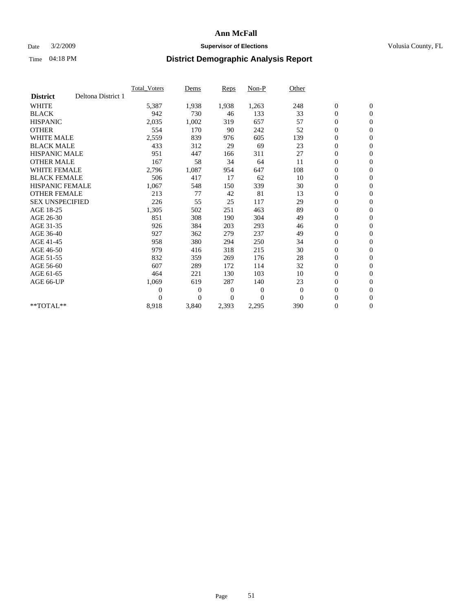## Date  $3/2/2009$  **Supervisor of Elections Supervisor of Elections** Volusia County, FL

|                        |                    | Total Voters   | Dems           | <b>Reps</b> | Non-P        | Other    |                  |                  |  |
|------------------------|--------------------|----------------|----------------|-------------|--------------|----------|------------------|------------------|--|
| <b>District</b>        | Deltona District 1 |                |                |             |              |          |                  |                  |  |
| <b>WHITE</b>           |                    | 5,387          | 1,938          | 1,938       | 1,263        | 248      | $\boldsymbol{0}$ | $\boldsymbol{0}$ |  |
| <b>BLACK</b>           |                    | 942            | 730            | 46          | 133          | 33       | $\boldsymbol{0}$ | $\mathbf{0}$     |  |
| <b>HISPANIC</b>        |                    | 2,035          | 1,002          | 319         | 657          | 57       | $\overline{0}$   | $\mathbf{0}$     |  |
| <b>OTHER</b>           |                    | 554            | 170            | 90          | 242          | 52       | $\boldsymbol{0}$ | $\mathbf{0}$     |  |
| <b>WHITE MALE</b>      |                    | 2,559          | 839            | 976         | 605          | 139      | $\boldsymbol{0}$ | $\mathbf{0}$     |  |
| <b>BLACK MALE</b>      |                    | 433            | 312            | 29          | 69           | 23       | $\boldsymbol{0}$ | $\mathbf{0}$     |  |
| <b>HISPANIC MALE</b>   |                    | 951            | 447            | 166         | 311          | 27       | $\boldsymbol{0}$ | $\mathbf{0}$     |  |
| <b>OTHER MALE</b>      |                    | 167            | 58             | 34          | 64           | 11       | $\boldsymbol{0}$ | $\mathbf{0}$     |  |
| <b>WHITE FEMALE</b>    |                    | 2,796          | 1,087          | 954         | 647          | 108      | $\mathbf{0}$     | $\mathbf{0}$     |  |
| <b>BLACK FEMALE</b>    |                    | 506            | 417            | 17          | 62           | 10       | $\boldsymbol{0}$ | $\mathbf{0}$     |  |
| <b>HISPANIC FEMALE</b> |                    | 1,067          | 548            | 150         | 339          | 30       | $\boldsymbol{0}$ | $\mathbf{0}$     |  |
| <b>OTHER FEMALE</b>    |                    | 213            | 77             | 42          | 81           | 13       | $\mathbf{0}$     | $\mathbf{0}$     |  |
| <b>SEX UNSPECIFIED</b> |                    | 226            | 55             | 25          | 117          | 29       | $\boldsymbol{0}$ | $\mathbf{0}$     |  |
| AGE 18-25              |                    | 1,305          | 502            | 251         | 463          | 89       | $\boldsymbol{0}$ | $\mathbf{0}$     |  |
| AGE 26-30              |                    | 851            | 308            | 190         | 304          | 49       | $\overline{0}$   | $\mathbf{0}$     |  |
| AGE 31-35              |                    | 926            | 384            | 203         | 293          | 46       | $\boldsymbol{0}$ | $\boldsymbol{0}$ |  |
| AGE 36-40              |                    | 927            | 362            | 279         | 237          | 49       | $\boldsymbol{0}$ | $\mathbf{0}$     |  |
| AGE 41-45              |                    | 958            | 380            | 294         | 250          | 34       | $\overline{0}$   | $\mathbf{0}$     |  |
| AGE 46-50              |                    | 979            | 416            | 318         | 215          | 30       | $\boldsymbol{0}$ | $\mathbf{0}$     |  |
| AGE 51-55              |                    | 832            | 359            | 269         | 176          | 28       | $\boldsymbol{0}$ | $\mathbf{0}$     |  |
| AGE 56-60              |                    | 607            | 289            | 172         | 114          | 32       | $\boldsymbol{0}$ | $\mathbf{0}$     |  |
| AGE 61-65              |                    | 464            | 221            | 130         | 103          | 10       | $\boldsymbol{0}$ | $\mathbf{0}$     |  |
| AGE 66-UP              |                    | 1,069          | 619            | 287         | 140          | 23       | $\boldsymbol{0}$ | $\boldsymbol{0}$ |  |
|                        |                    | $\overline{0}$ | $\overline{0}$ | 0           | $\mathbf{0}$ | $\theta$ | $\overline{0}$   | $\mathbf{0}$     |  |
|                        |                    | $\theta$       | $\overline{0}$ | $\Omega$    | $\Omega$     | $\Omega$ | $\boldsymbol{0}$ | $\boldsymbol{0}$ |  |
| $*$ TOTAL $**$         |                    | 8,918          | 3,840          | 2,393       | 2,295        | 390      | 0                | $\mathbf{0}$     |  |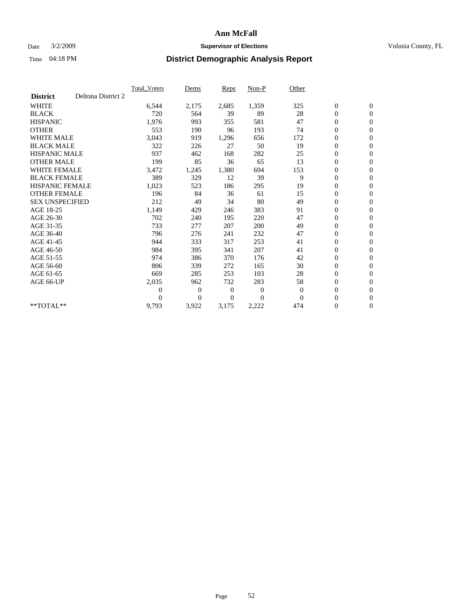### Date  $3/2/2009$  **Supervisor of Elections Supervisor of Elections** Volusia County, FL

|                        |                    | <b>Total Voters</b> | Dems           | <b>Reps</b> | Non-P    | Other    |                  |                  |  |
|------------------------|--------------------|---------------------|----------------|-------------|----------|----------|------------------|------------------|--|
| <b>District</b>        | Deltona District 2 |                     |                |             |          |          |                  |                  |  |
| <b>WHITE</b>           |                    | 6,544               | 2,175          | 2,685       | 1,359    | 325      | $\boldsymbol{0}$ | $\boldsymbol{0}$ |  |
| <b>BLACK</b>           |                    | 720                 | 564            | 39          | 89       | 28       | $\boldsymbol{0}$ | $\mathbf{0}$     |  |
| <b>HISPANIC</b>        |                    | 1,976               | 993            | 355         | 581      | 47       | $\overline{0}$   | $\mathbf{0}$     |  |
| <b>OTHER</b>           |                    | 553                 | 190            | 96          | 193      | 74       | $\boldsymbol{0}$ | $\mathbf{0}$     |  |
| <b>WHITE MALE</b>      |                    | 3,043               | 919            | 1,296       | 656      | 172      | $\boldsymbol{0}$ | $\mathbf{0}$     |  |
| <b>BLACK MALE</b>      |                    | 322                 | 226            | 27          | 50       | 19       | $\boldsymbol{0}$ | $\mathbf{0}$     |  |
| <b>HISPANIC MALE</b>   |                    | 937                 | 462            | 168         | 282      | 25       | $\boldsymbol{0}$ | $\mathbf{0}$     |  |
| <b>OTHER MALE</b>      |                    | 199                 | 85             | 36          | 65       | 13       | $\boldsymbol{0}$ | $\mathbf{0}$     |  |
| <b>WHITE FEMALE</b>    |                    | 3,472               | 1,245          | 1,380       | 694      | 153      | $\overline{0}$   | $\mathbf{0}$     |  |
| <b>BLACK FEMALE</b>    |                    | 389                 | 329            | 12          | 39       | 9        | $\boldsymbol{0}$ | $\mathbf{0}$     |  |
| <b>HISPANIC FEMALE</b> |                    | 1,023               | 523            | 186         | 295      | 19       | $\boldsymbol{0}$ | $\mathbf{0}$     |  |
| <b>OTHER FEMALE</b>    |                    | 196                 | 84             | 36          | 61       | 15       | $\mathbf{0}$     | $\mathbf{0}$     |  |
| <b>SEX UNSPECIFIED</b> |                    | 212                 | 49             | 34          | 80       | 49       | $\boldsymbol{0}$ | $\mathbf{0}$     |  |
| AGE 18-25              |                    | 1,149               | 429            | 246         | 383      | 91       | $\boldsymbol{0}$ | $\mathbf{0}$     |  |
| AGE 26-30              |                    | 702                 | 240            | 195         | 220      | 47       | $\overline{0}$   | $\mathbf{0}$     |  |
| AGE 31-35              |                    | 733                 | 277            | 207         | 200      | 49       | $\boldsymbol{0}$ | $\mathbf{0}$     |  |
| AGE 36-40              |                    | 796                 | 276            | 241         | 232      | 47       | $\boldsymbol{0}$ | $\mathbf{0}$     |  |
| AGE 41-45              |                    | 944                 | 333            | 317         | 253      | 41       | $\overline{0}$   | $\mathbf{0}$     |  |
| AGE 46-50              |                    | 984                 | 395            | 341         | 207      | 41       | $\boldsymbol{0}$ | $\mathbf{0}$     |  |
| AGE 51-55              |                    | 974                 | 386            | 370         | 176      | 42       | $\boldsymbol{0}$ | $\mathbf{0}$     |  |
| AGE 56-60              |                    | 806                 | 339            | 272         | 165      | 30       | $\boldsymbol{0}$ | $\Omega$         |  |
| AGE 61-65              |                    | 669                 | 285            | 253         | 103      | 28       | $\mathbf{0}$     | $\mathbf{0}$     |  |
| AGE 66-UP              |                    | 2,035               | 962            | 732         | 283      | 58       | $\boldsymbol{0}$ | $\mathbf{0}$     |  |
|                        |                    | $\overline{0}$      | $\overline{0}$ | 0           | 0        | $\theta$ | $\overline{0}$   | $\mathbf{0}$     |  |
|                        |                    | $\theta$            | $\overline{0}$ | $\Omega$    | $\Omega$ | $\Omega$ | $\boldsymbol{0}$ | $\mathbf{0}$     |  |
| $*$ TOTAL $**$         |                    | 9,793               | 3,922          | 3,175       | 2,222    | 474      | 0                | $\mathbf{0}$     |  |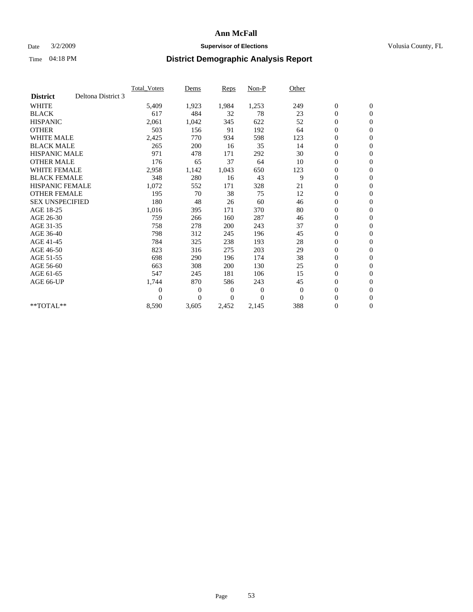## Date  $3/2/2009$  **Supervisor of Elections Supervisor of Elections** Volusia County, FL

|                        |                    | <b>Total Voters</b> | Dems           | <b>Reps</b> | Non-P        | Other        |                  |                  |  |
|------------------------|--------------------|---------------------|----------------|-------------|--------------|--------------|------------------|------------------|--|
| <b>District</b>        | Deltona District 3 |                     |                |             |              |              |                  |                  |  |
| <b>WHITE</b>           |                    | 5,409               | 1,923          | 1,984       | 1,253        | 249          | $\boldsymbol{0}$ | $\boldsymbol{0}$ |  |
| <b>BLACK</b>           |                    | 617                 | 484            | 32          | 78           | 23           | $\boldsymbol{0}$ | $\mathbf{0}$     |  |
| <b>HISPANIC</b>        |                    | 2,061               | 1,042          | 345         | 622          | 52           | $\overline{0}$   | $\mathbf{0}$     |  |
| <b>OTHER</b>           |                    | 503                 | 156            | 91          | 192          | 64           | $\boldsymbol{0}$ | $\mathbf{0}$     |  |
| <b>WHITE MALE</b>      |                    | 2,425               | 770            | 934         | 598          | 123          | $\boldsymbol{0}$ | $\mathbf{0}$     |  |
| <b>BLACK MALE</b>      |                    | 265                 | 200            | 16          | 35           | 14           | $\boldsymbol{0}$ | $\mathbf{0}$     |  |
| <b>HISPANIC MALE</b>   |                    | 971                 | 478            | 171         | 292          | 30           | $\boldsymbol{0}$ | $\mathbf{0}$     |  |
| <b>OTHER MALE</b>      |                    | 176                 | 65             | 37          | 64           | 10           | $\boldsymbol{0}$ | $\mathbf{0}$     |  |
| <b>WHITE FEMALE</b>    |                    | 2,958               | 1,142          | 1,043       | 650          | 123          | $\overline{0}$   | $\mathbf{0}$     |  |
| <b>BLACK FEMALE</b>    |                    | 348                 | 280            | 16          | 43           | 9            | $\boldsymbol{0}$ | $\mathbf{0}$     |  |
| <b>HISPANIC FEMALE</b> |                    | 1,072               | 552            | 171         | 328          | 21           | $\boldsymbol{0}$ | $\mathbf{0}$     |  |
| <b>OTHER FEMALE</b>    |                    | 195                 | 70             | 38          | 75           | 12           | $\mathbf{0}$     | $\mathbf{0}$     |  |
| <b>SEX UNSPECIFIED</b> |                    | 180                 | 48             | 26          | 60           | 46           | $\boldsymbol{0}$ | $\mathbf{0}$     |  |
| AGE 18-25              |                    | 1,016               | 395            | 171         | 370          | 80           | $\overline{0}$   | $\mathbf{0}$     |  |
| AGE 26-30              |                    | 759                 | 266            | 160         | 287          | 46           | $\overline{0}$   | $\mathbf{0}$     |  |
| AGE 31-35              |                    | 758                 | 278            | 200         | 243          | 37           | $\boldsymbol{0}$ | $\mathbf{0}$     |  |
| AGE 36-40              |                    | 798                 | 312            | 245         | 196          | 45           | $\boldsymbol{0}$ | $\mathbf{0}$     |  |
| AGE 41-45              |                    | 784                 | 325            | 238         | 193          | 28           | $\overline{0}$   | $\mathbf{0}$     |  |
| AGE 46-50              |                    | 823                 | 316            | 275         | 203          | 29           | $\boldsymbol{0}$ | $\mathbf{0}$     |  |
| AGE 51-55              |                    | 698                 | 290            | 196         | 174          | 38           | $\boldsymbol{0}$ | $\mathbf{0}$     |  |
| AGE 56-60              |                    | 663                 | 308            | 200         | 130          | 25           | $\overline{0}$   | $\Omega$         |  |
| AGE 61-65              |                    | 547                 | 245            | 181         | 106          | 15           | $\mathbf{0}$     | $\mathbf{0}$     |  |
| AGE 66-UP              |                    | 1,744               | 870            | 586         | 243          | 45           | $\boldsymbol{0}$ | $\mathbf{0}$     |  |
|                        |                    | $\overline{0}$      | $\overline{0}$ | 0           | $\mathbf{0}$ | $\mathbf{0}$ | $\overline{0}$   | $\mathbf{0}$     |  |
|                        |                    | $\theta$            | $\theta$       | $\Omega$    | $\Omega$     | $\Omega$     | $\boldsymbol{0}$ | $\mathbf{0}$     |  |
| $*$ TOTAL $**$         |                    | 8,590               | 3,605          | 2,452       | 2,145        | 388          | 0                | $\mathbf{0}$     |  |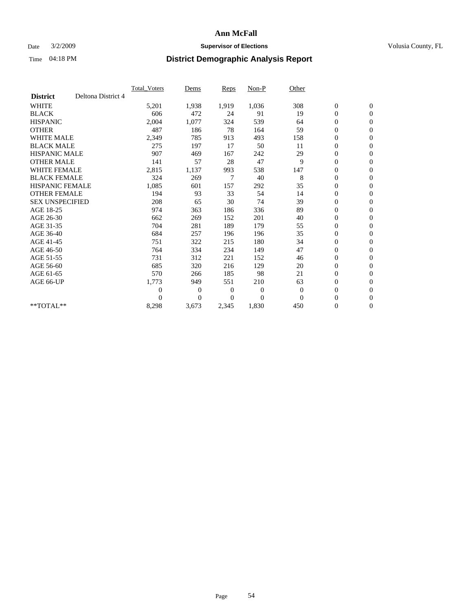## Date  $3/2/2009$  **Supervisor of Elections Supervisor of Elections** Volusia County, FL

|                        |                    | Total Voters   | Dems           | <b>Reps</b> | Non-P        | Other        |                  |                  |  |
|------------------------|--------------------|----------------|----------------|-------------|--------------|--------------|------------------|------------------|--|
| <b>District</b>        | Deltona District 4 |                |                |             |              |              |                  |                  |  |
| <b>WHITE</b>           |                    | 5,201          | 1,938          | 1,919       | 1,036        | 308          | $\boldsymbol{0}$ | $\boldsymbol{0}$ |  |
| <b>BLACK</b>           |                    | 606            | 472            | 24          | 91           | 19           | $\boldsymbol{0}$ | $\mathbf{0}$     |  |
| <b>HISPANIC</b>        |                    | 2,004          | 1,077          | 324         | 539          | 64           | $\overline{0}$   | $\mathbf{0}$     |  |
| <b>OTHER</b>           |                    | 487            | 186            | 78          | 164          | 59           | $\boldsymbol{0}$ | $\mathbf{0}$     |  |
| <b>WHITE MALE</b>      |                    | 2,349          | 785            | 913         | 493          | 158          | $\boldsymbol{0}$ | $\mathbf{0}$     |  |
| <b>BLACK MALE</b>      |                    | 275            | 197            | 17          | 50           | 11           | $\boldsymbol{0}$ | $\mathbf{0}$     |  |
| <b>HISPANIC MALE</b>   |                    | 907            | 469            | 167         | 242          | 29           | $\boldsymbol{0}$ | $\mathbf{0}$     |  |
| <b>OTHER MALE</b>      |                    | 141            | 57             | 28          | 47           | 9            | $\boldsymbol{0}$ | $\mathbf{0}$     |  |
| <b>WHITE FEMALE</b>    |                    | 2,815          | 1,137          | 993         | 538          | 147          | $\overline{0}$   | $\mathbf{0}$     |  |
| <b>BLACK FEMALE</b>    |                    | 324            | 269            | 7           | 40           | 8            | $\boldsymbol{0}$ | $\mathbf{0}$     |  |
| <b>HISPANIC FEMALE</b> |                    | 1,085          | 601            | 157         | 292          | 35           | $\boldsymbol{0}$ | $\mathbf{0}$     |  |
| <b>OTHER FEMALE</b>    |                    | 194            | 93             | 33          | 54           | 14           | $\mathbf{0}$     | $\mathbf{0}$     |  |
| <b>SEX UNSPECIFIED</b> |                    | 208            | 65             | 30          | 74           | 39           | $\boldsymbol{0}$ | $\mathbf{0}$     |  |
| AGE 18-25              |                    | 974            | 363            | 186         | 336          | 89           | $\overline{0}$   | $\mathbf{0}$     |  |
| AGE 26-30              |                    | 662            | 269            | 152         | 201          | 40           | $\overline{0}$   | $\mathbf{0}$     |  |
| AGE 31-35              |                    | 704            | 281            | 189         | 179          | 55           | $\boldsymbol{0}$ | $\mathbf{0}$     |  |
| AGE 36-40              |                    | 684            | 257            | 196         | 196          | 35           | 0                | $\mathbf{0}$     |  |
| AGE 41-45              |                    | 751            | 322            | 215         | 180          | 34           | $\overline{0}$   | $\mathbf{0}$     |  |
| AGE 46-50              |                    | 764            | 334            | 234         | 149          | 47           | $\boldsymbol{0}$ | $\mathbf{0}$     |  |
| AGE 51-55              |                    | 731            | 312            | 221         | 152          | 46           | $\boldsymbol{0}$ | $\mathbf{0}$     |  |
| AGE 56-60              |                    | 685            | 320            | 216         | 129          | 20           | $\boldsymbol{0}$ | $\Omega$         |  |
| AGE 61-65              |                    | 570            | 266            | 185         | 98           | 21           | $\overline{0}$   | $\mathbf{0}$     |  |
| AGE 66-UP              |                    | 1,773          | 949            | 551         | 210          | 63           | $\boldsymbol{0}$ | $\mathbf{0}$     |  |
|                        |                    | $\overline{0}$ | $\overline{0}$ | 0           | $\mathbf{0}$ | $\mathbf{0}$ | $\overline{0}$   | $\mathbf{0}$     |  |
|                        |                    | $\Omega$       | $\theta$       | $\Omega$    | $\theta$     | $\Omega$     | $\boldsymbol{0}$ | $\mathbf{0}$     |  |
| **TOTAL**              |                    | 8,298          | 3,673          | 2,345       | 1,830        | 450          | 0                | $\mathbf{0}$     |  |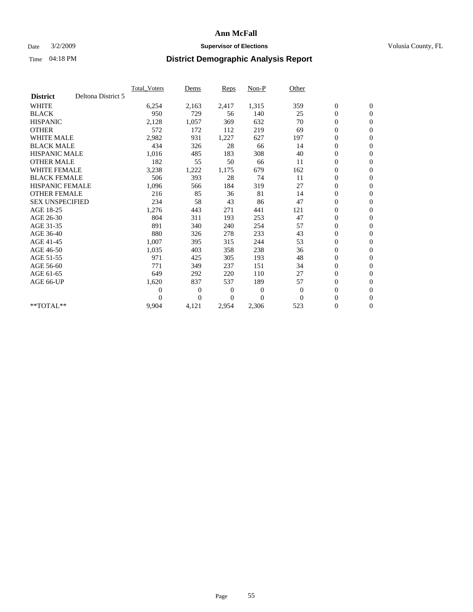## Date  $3/2/2009$  **Supervisor of Elections Supervisor of Elections** Volusia County, FL

|                        |                    | <b>Total Voters</b> | Dems           | <b>Reps</b> | Non-P        | Other        |                  |                  |  |
|------------------------|--------------------|---------------------|----------------|-------------|--------------|--------------|------------------|------------------|--|
| <b>District</b>        | Deltona District 5 |                     |                |             |              |              |                  |                  |  |
| <b>WHITE</b>           |                    | 6,254               | 2,163          | 2,417       | 1,315        | 359          | $\boldsymbol{0}$ | $\boldsymbol{0}$ |  |
| <b>BLACK</b>           |                    | 950                 | 729            | 56          | 140          | 25           | $\boldsymbol{0}$ | $\mathbf{0}$     |  |
| <b>HISPANIC</b>        |                    | 2,128               | 1,057          | 369         | 632          | 70           | $\overline{0}$   | $\mathbf{0}$     |  |
| <b>OTHER</b>           |                    | 572                 | 172            | 112         | 219          | 69           | $\boldsymbol{0}$ | $\mathbf{0}$     |  |
| <b>WHITE MALE</b>      |                    | 2,982               | 931            | 1,227       | 627          | 197          | $\overline{0}$   | $\mathbf{0}$     |  |
| <b>BLACK MALE</b>      |                    | 434                 | 326            | 28          | 66           | 14           | $\boldsymbol{0}$ | $\mathbf{0}$     |  |
| <b>HISPANIC MALE</b>   |                    | 1,016               | 485            | 183         | 308          | 40           | $\boldsymbol{0}$ | $\mathbf{0}$     |  |
| <b>OTHER MALE</b>      |                    | 182                 | 55             | 50          | 66           | 11           | $\boldsymbol{0}$ | $\mathbf{0}$     |  |
| <b>WHITE FEMALE</b>    |                    | 3,238               | 1,222          | 1,175       | 679          | 162          | $\overline{0}$   | $\mathbf{0}$     |  |
| <b>BLACK FEMALE</b>    |                    | 506                 | 393            | 28          | 74           | 11           | $\boldsymbol{0}$ | $\mathbf{0}$     |  |
| <b>HISPANIC FEMALE</b> |                    | 1,096               | 566            | 184         | 319          | 27           | $\boldsymbol{0}$ | $\mathbf{0}$     |  |
| <b>OTHER FEMALE</b>    |                    | 216                 | 85             | 36          | 81           | 14           | $\mathbf{0}$     | $\mathbf{0}$     |  |
| <b>SEX UNSPECIFIED</b> |                    | 234                 | 58             | 43          | 86           | 47           | $\boldsymbol{0}$ | $\mathbf{0}$     |  |
| AGE 18-25              |                    | 1,276               | 443            | 271         | 441          | 121          | $\boldsymbol{0}$ | $\mathbf{0}$     |  |
| AGE 26-30              |                    | 804                 | 311            | 193         | 253          | 47           | $\boldsymbol{0}$ | $\mathbf{0}$     |  |
| AGE 31-35              |                    | 891                 | 340            | 240         | 254          | 57           | $\boldsymbol{0}$ | $\mathbf{0}$     |  |
| AGE 36-40              |                    | 880                 | 326            | 278         | 233          | 43           | $\boldsymbol{0}$ | $\mathbf{0}$     |  |
| AGE 41-45              |                    | 1,007               | 395            | 315         | 244          | 53           | $\overline{0}$   | $\mathbf{0}$     |  |
| AGE 46-50              |                    | 1,035               | 403            | 358         | 238          | 36           | $\boldsymbol{0}$ | $\mathbf{0}$     |  |
| AGE 51-55              |                    | 971                 | 425            | 305         | 193          | 48           | $\boldsymbol{0}$ | $\mathbf{0}$     |  |
| AGE 56-60              |                    | 771                 | 349            | 237         | 151          | 34           | $\boldsymbol{0}$ | $\mathbf{0}$     |  |
| AGE 61-65              |                    | 649                 | 292            | 220         | 110          | 27           | $\mathbf{0}$     | $\mathbf{0}$     |  |
| AGE 66-UP              |                    | 1,620               | 837            | 537         | 189          | 57           | $\boldsymbol{0}$ | $\boldsymbol{0}$ |  |
|                        |                    | $\overline{0}$      | $\overline{0}$ | 0           | $\mathbf{0}$ | $\mathbf{0}$ | $\overline{0}$   | $\mathbf{0}$     |  |
|                        |                    | $\theta$            | $\theta$       | $\Omega$    | $\theta$     | $\Omega$     | $\boldsymbol{0}$ | $\boldsymbol{0}$ |  |
| $*$ TOTAL $**$         |                    | 9,904               | 4,121          | 2,954       | 2,306        | 523          | 0                | $\mathbf{0}$     |  |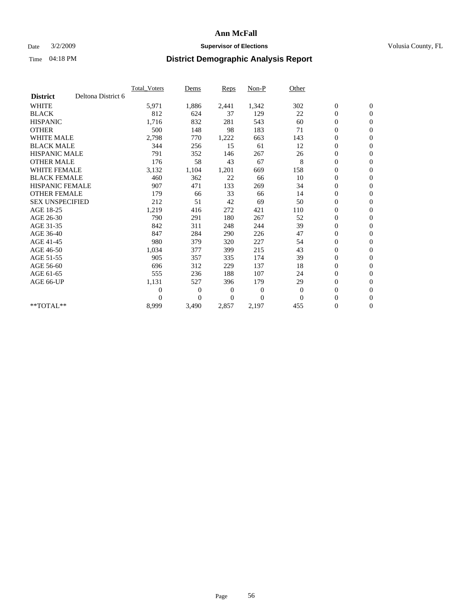### Date  $3/2/2009$  **Supervisor of Elections Supervisor of Elections** Volusia County, FL

|                        |                    | <b>Total Voters</b> | Dems           | <b>Reps</b>    | Non-P          | Other    |                  |                  |  |
|------------------------|--------------------|---------------------|----------------|----------------|----------------|----------|------------------|------------------|--|
| <b>District</b>        | Deltona District 6 |                     |                |                |                |          |                  |                  |  |
| <b>WHITE</b>           |                    | 5,971               | 1,886          | 2,441          | 1,342          | 302      | $\boldsymbol{0}$ | $\boldsymbol{0}$ |  |
| <b>BLACK</b>           |                    | 812                 | 624            | 37             | 129            | 22       | $\boldsymbol{0}$ | $\mathbf{0}$     |  |
| <b>HISPANIC</b>        |                    | 1,716               | 832            | 281            | 543            | 60       | $\boldsymbol{0}$ | $\mathbf{0}$     |  |
| <b>OTHER</b>           |                    | 500                 | 148            | 98             | 183            | 71       | 0                | $\mathbf{0}$     |  |
| <b>WHITE MALE</b>      |                    | 2,798               | 770            | 1,222          | 663            | 143      | 0                | $\mathbf{0}$     |  |
| <b>BLACK MALE</b>      |                    | 344                 | 256            | 15             | 61             | 12       | $\overline{0}$   | $\mathbf{0}$     |  |
| <b>HISPANIC MALE</b>   |                    | 791                 | 352            | 146            | 267            | 26       | 0                | $\mathbf{0}$     |  |
| <b>OTHER MALE</b>      |                    | 176                 | 58             | 43             | 67             | 8        | 0                | $\mathbf{0}$     |  |
| <b>WHITE FEMALE</b>    |                    | 3,132               | 1,104          | 1,201          | 669            | 158      | $\boldsymbol{0}$ | $\mathbf{0}$     |  |
| <b>BLACK FEMALE</b>    |                    | 460                 | 362            | 22             | 66             | 10       | 0                | $\mathbf{0}$     |  |
| <b>HISPANIC FEMALE</b> |                    | 907                 | 471            | 133            | 269            | 34       | $\boldsymbol{0}$ | $\mathbf{0}$     |  |
| <b>OTHER FEMALE</b>    |                    | 179                 | 66             | 33             | 66             | 14       | $\overline{0}$   | $\mathbf{0}$     |  |
| <b>SEX UNSPECIFIED</b> |                    | 212                 | 51             | 42             | 69             | 50       | 0                | $\mathbf{0}$     |  |
| AGE 18-25              |                    | 1,219               | 416            | 272            | 421            | 110      | 0                | $\mathbf{0}$     |  |
| AGE 26-30              |                    | 790                 | 291            | 180            | 267            | 52       | $\boldsymbol{0}$ | $\mathbf{0}$     |  |
| AGE 31-35              |                    | 842                 | 311            | 248            | 244            | 39       | 0                | $\mathbf{0}$     |  |
| AGE 36-40              |                    | 847                 | 284            | 290            | 226            | 47       | 0                | $\mathbf{0}$     |  |
| AGE 41-45              |                    | 980                 | 379            | 320            | 227            | 54       | $\boldsymbol{0}$ | $\mathbf{0}$     |  |
| AGE 46-50              |                    | 1,034               | 377            | 399            | 215            | 43       | 0                | $\mathbf{0}$     |  |
| AGE 51-55              |                    | 905                 | 357            | 335            | 174            | 39       | $\boldsymbol{0}$ | $\mathbf{0}$     |  |
| AGE 56-60              |                    | 696                 | 312            | 229            | 137            | 18       | $\overline{0}$   | $\mathbf{0}$     |  |
| AGE 61-65              |                    | 555                 | 236            | 188            | 107            | 24       | 0                | $\mathbf{0}$     |  |
| AGE 66-UP              |                    | 1,131               | 527            | 396            | 179            | 29       | $\boldsymbol{0}$ | $\mathbf{0}$     |  |
|                        |                    | 0                   | $\mathbf{0}$   | $\overline{0}$ | $\overline{0}$ | $\theta$ | $\overline{0}$   | $\mathbf{0}$     |  |
|                        |                    | $\theta$            | $\overline{0}$ | $\overline{0}$ | $\theta$       | $\theta$ | 0                | $\mathbf{0}$     |  |
| **TOTAL**              |                    | 8,999               | 3,490          | 2,857          | 2,197          | 455      | 0                | $\boldsymbol{0}$ |  |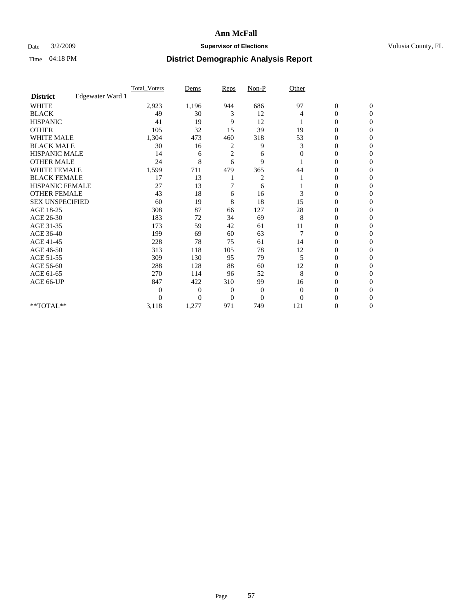## Date  $3/2/2009$  **Supervisor of Elections Supervisor of Elections** Volusia County, FL

|                        |                  | Total Voters   | Dems           | Reps           | $Non-P$        | Other    |                  |                  |  |
|------------------------|------------------|----------------|----------------|----------------|----------------|----------|------------------|------------------|--|
| <b>District</b>        | Edgewater Ward 1 |                |                |                |                |          |                  |                  |  |
| <b>WHITE</b>           |                  | 2,923          | 1,196          | 944            | 686            | 97       | $\boldsymbol{0}$ | $\boldsymbol{0}$ |  |
| <b>BLACK</b>           |                  | 49             | 30             | 3              | 12             | 4        | $\overline{0}$   | $\mathbf{0}$     |  |
| <b>HISPANIC</b>        |                  | 41             | 19             | 9              | 12             |          | $\theta$         | $\Omega$         |  |
| <b>OTHER</b>           |                  | 105            | 32             | 15             | 39             | 19       | 0                | $\Omega$         |  |
| <b>WHITE MALE</b>      |                  | 1,304          | 473            | 460            | 318            | 53       | $\overline{0}$   | $\Omega$         |  |
| <b>BLACK MALE</b>      |                  | 30             | 16             | 2              | 9              | 3        | 0                | $\Omega$         |  |
| HISPANIC MALE          |                  | 14             | 6              | $\overline{2}$ | 6              | $\Omega$ | 0                | $\Omega$         |  |
| <b>OTHER MALE</b>      |                  | 24             | 8              | 6              | 9              |          | $\overline{0}$   | $\Omega$         |  |
| <b>WHITE FEMALE</b>    |                  | 1,599          | 711            | 479            | 365            | 44       | 0                | $\Omega$         |  |
| <b>BLACK FEMALE</b>    |                  | 17             | 13             |                | $\overline{c}$ |          | 0                | $\Omega$         |  |
| HISPANIC FEMALE        |                  | 27             | 13             | 7              | 6              |          | 0                | 0                |  |
| <b>OTHER FEMALE</b>    |                  | 43             | 18             | 6              | 16             | 3        | 0                | $\Omega$         |  |
| <b>SEX UNSPECIFIED</b> |                  | 60             | 19             | 8              | 18             | 15       | 0                | $\Omega$         |  |
| AGE 18-25              |                  | 308            | 87             | 66             | 127            | 28       | $\overline{0}$   | $\mathbf{0}$     |  |
| AGE 26-30              |                  | 183            | 72             | 34             | 69             | 8        | $\theta$         | $\Omega$         |  |
| AGE 31-35              |                  | 173            | 59             | 42             | 61             | 11       | 0                | $\Omega$         |  |
| AGE 36-40              |                  | 199            | 69             | 60             | 63             |          | $\overline{0}$   | 0                |  |
| AGE 41-45              |                  | 228            | 78             | 75             | 61             | 14       | 0                | $\Omega$         |  |
| AGE 46-50              |                  | 313            | 118            | 105            | 78             | 12       | 0                | 0                |  |
| AGE 51-55              |                  | 309            | 130            | 95             | 79             | 5        | $\overline{0}$   | $\Omega$         |  |
| AGE 56-60              |                  | 288            | 128            | 88             | 60             | 12       | 0                | $\Omega$         |  |
| AGE 61-65              |                  | 270            | 114            | 96             | 52             | 8        | 0                | $\Omega$         |  |
| AGE 66-UP              |                  | 847            | 422            | 310            | 99             | 16       | $\overline{0}$   | $\mathbf{0}$     |  |
|                        |                  | $\overline{0}$ | $\overline{0}$ | $\mathbf{0}$   | $\mathbf{0}$   | $\Omega$ | 0                | $\Omega$         |  |
|                        |                  | 0              | $\overline{0}$ | $\mathbf{0}$   | $\overline{0}$ | $\Omega$ | 0                | 0                |  |
| **TOTAL**              |                  | 3,118          | 1,277          | 971            | 749            | 121      | 0                | $\mathbf{0}$     |  |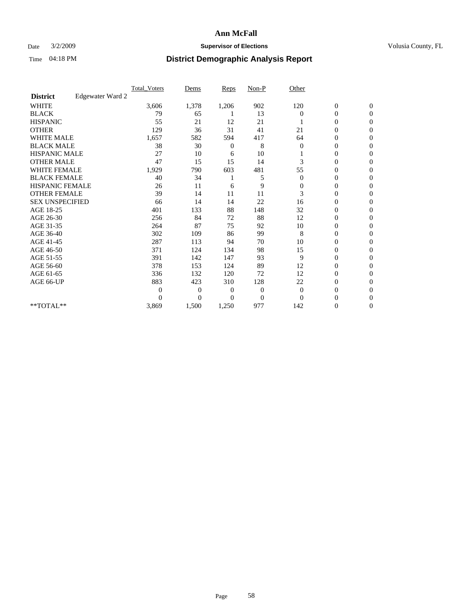## Date  $3/2/2009$  **Supervisor of Elections Supervisor of Elections** Volusia County, FL

|                        |                  | <b>Total_Voters</b> | Dems           | <b>Reps</b> | $Non-P$      | Other        |                  |                  |  |
|------------------------|------------------|---------------------|----------------|-------------|--------------|--------------|------------------|------------------|--|
| <b>District</b>        | Edgewater Ward 2 |                     |                |             |              |              |                  |                  |  |
| <b>WHITE</b>           |                  | 3,606               | 1,378          | 1,206       | 902          | 120          | $\boldsymbol{0}$ | $\boldsymbol{0}$ |  |
| <b>BLACK</b>           |                  | 79                  | 65             |             | 13           | $\Omega$     | $\boldsymbol{0}$ | $\mathbf{0}$     |  |
| <b>HISPANIC</b>        |                  | 55                  | 21             | 12          | 21           |              | 0                | $\Omega$         |  |
| <b>OTHER</b>           |                  | 129                 | 36             | 31          | 41           | 21           | 0                | $\Omega$         |  |
| <b>WHITE MALE</b>      |                  | 1,657               | 582            | 594         | 417          | 64           | $\overline{0}$   | $\mathbf{0}$     |  |
| <b>BLACK MALE</b>      |                  | 38                  | 30             | 0           | 8            | 0            | $\overline{0}$   | $\mathbf{0}$     |  |
| <b>HISPANIC MALE</b>   |                  | 27                  | 10             | 6           | 10           |              | 0                | $\Omega$         |  |
| <b>OTHER MALE</b>      |                  | 47                  | 15             | 15          | 14           | 3            | 0                | $\Omega$         |  |
| <b>WHITE FEMALE</b>    |                  | 1,929               | 790            | 603         | 481          | 55           | 0                | $\mathbf{0}$     |  |
| <b>BLACK FEMALE</b>    |                  | 40                  | 34             |             | 5            | $\mathbf{0}$ | $\boldsymbol{0}$ | $\Omega$         |  |
| <b>HISPANIC FEMALE</b> |                  | 26                  | 11             | 6           | 9            | $\mathbf{0}$ | 0                | $\mathbf{0}$     |  |
| <b>OTHER FEMALE</b>    |                  | 39                  | 14             | 11          | 11           | 3            | $\overline{0}$   | $\Omega$         |  |
| <b>SEX UNSPECIFIED</b> |                  | 66                  | 14             | 14          | 22           | 16           | $\overline{0}$   | $\mathbf{0}$     |  |
| AGE 18-25              |                  | 401                 | 133            | 88          | 148          | 32           | 0                | $\mathbf{0}$     |  |
| AGE 26-30              |                  | 256                 | 84             | 72          | 88           | 12           | 0                | $\Omega$         |  |
| AGE 31-35              |                  | 264                 | 87             | 75          | 92           | 10           | $\boldsymbol{0}$ | $\mathbf{0}$     |  |
| AGE 36-40              |                  | 302                 | 109            | 86          | 99           | 8            | 0                | $\Omega$         |  |
| AGE 41-45              |                  | 287                 | 113            | 94          | 70           | 10           | 0                | $\Omega$         |  |
| AGE 46-50              |                  | 371                 | 124            | 134         | 98           | 15           | $\boldsymbol{0}$ | $\Omega$         |  |
| AGE 51-55              |                  | 391                 | 142            | 147         | 93           | 9            | $\overline{0}$   | $\mathbf{0}$     |  |
| AGE 56-60              |                  | 378                 | 153            | 124         | 89           | 12           | 0                | $\Omega$         |  |
| AGE 61-65              |                  | 336                 | 132            | 120         | 72           | 12           | $\overline{0}$   | $\mathbf{0}$     |  |
| AGE 66-UP              |                  | 883                 | 423            | 310         | 128          | 22           | 0                | $\Omega$         |  |
|                        |                  | 0                   | 0              | 0           | $\mathbf{0}$ | $\theta$     | 0                | $\Omega$         |  |
|                        |                  | $\theta$            | $\overline{0}$ | $\Omega$    | $\mathbf{0}$ | $\Omega$     | 0                | $\Omega$         |  |
| **TOTAL**              |                  | 3,869               | 1,500          | 1,250       | 977          | 142          | 0                | $\mathbf{0}$     |  |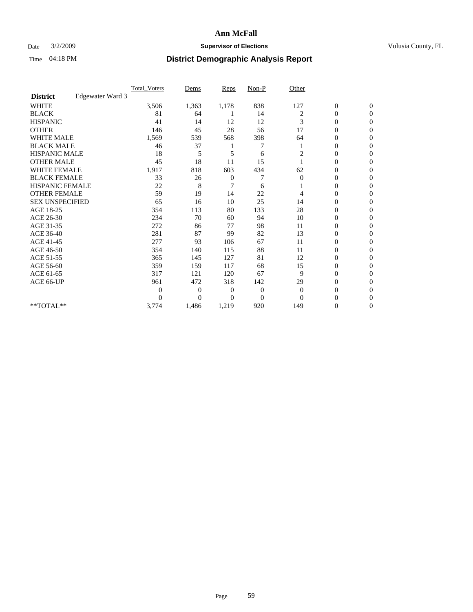## Date  $3/2/2009$  **Supervisor of Elections Supervisor of Elections** Volusia County, FL

|                        |                  | <b>Total_Voters</b> | Dems           | <b>Reps</b>    | $Non-P$        | Other          |                  |              |  |
|------------------------|------------------|---------------------|----------------|----------------|----------------|----------------|------------------|--------------|--|
| <b>District</b>        | Edgewater Ward 3 |                     |                |                |                |                |                  |              |  |
| <b>WHITE</b>           |                  | 3,506               | 1,363          | 1,178          | 838            | 127            | $\boldsymbol{0}$ | $\mathbf{0}$ |  |
| <b>BLACK</b>           |                  | 81                  | 64             |                | 14             | 2              | $\boldsymbol{0}$ | $\mathbf{0}$ |  |
| <b>HISPANIC</b>        |                  | 41                  | 14             | 12             | 12             | 3              | $\mathbf{0}$     | $\Omega$     |  |
| <b>OTHER</b>           |                  | 146                 | 45             | 28             | 56             | 17             | 0                | $\Omega$     |  |
| <b>WHITE MALE</b>      |                  | 1,569               | 539            | 568            | 398            | 64             | 0                | $\Omega$     |  |
| <b>BLACK MALE</b>      |                  | 46                  | 37             |                |                |                | $\mathbf{0}$     | $\Omega$     |  |
| HISPANIC MALE          |                  | 18                  | 5              | 5              | 6              | 2              | $\boldsymbol{0}$ | $\Omega$     |  |
| <b>OTHER MALE</b>      |                  | 45                  | 18             | 11             | 15             |                | 0                | $\Omega$     |  |
| <b>WHITE FEMALE</b>    |                  | 1,917               | 818            | 603            | 434            | 62             | 0                | $\Omega$     |  |
| <b>BLACK FEMALE</b>    |                  | 33                  | 26             | 0              | 7              | $\mathbf{0}$   | $\overline{0}$   | $\mathbf{0}$ |  |
| <b>HISPANIC FEMALE</b> |                  | 22                  | 8              | 7              | 6              |                | 0                | $\mathbf{0}$ |  |
| <b>OTHER FEMALE</b>    |                  | 59                  | 19             | 14             | 22             | 4              | 0                | $\Omega$     |  |
| <b>SEX UNSPECIFIED</b> |                  | 65                  | 16             | 10             | 25             | 14             | 0                | $\mathbf{0}$ |  |
| AGE 18-25              |                  | 354                 | 113            | 80             | 133            | 28             | 0                | $\mathbf{0}$ |  |
| AGE 26-30              |                  | 234                 | 70             | 60             | 94             | 10             | 0                | $\Omega$     |  |
| AGE 31-35              |                  | 272                 | 86             | 77             | 98             | 11             | 0                | $\Omega$     |  |
| AGE 36-40              |                  | 281                 | 87             | 99             | 82             | 13             | 0                | $\mathbf{0}$ |  |
| AGE 41-45              |                  | 277                 | 93             | 106            | 67             | 11             | $\mathbf{0}$     | $\Omega$     |  |
| AGE 46-50              |                  | 354                 | 140            | 115            | 88             | 11             | $\overline{0}$   | $\mathbf{0}$ |  |
| AGE 51-55              |                  | 365                 | 145            | 127            | 81             | 12             | 0                | 0            |  |
| AGE 56-60              |                  | 359                 | 159            | 117            | 68             | 15             | $\overline{0}$   | $\Omega$     |  |
| AGE 61-65              |                  | 317                 | 121            | 120            | 67             | 9              | $\overline{0}$   | $\Omega$     |  |
| AGE 66-UP              |                  | 961                 | 472            | 318            | 142            | 29             | 0                | $\Omega$     |  |
|                        |                  | $\theta$            | $\overline{0}$ | $\mathbf{0}$   | $\mathbf{0}$   | $\overline{0}$ | 0                | $\Omega$     |  |
|                        |                  | $\theta$            | $\overline{0}$ | $\overline{0}$ | $\overline{0}$ | $\Omega$       | $\theta$         | $\Omega$     |  |
| **TOTAL**              |                  | 3,774               | 1,486          | 1,219          | 920            | 149            | 0                | $\mathbf{0}$ |  |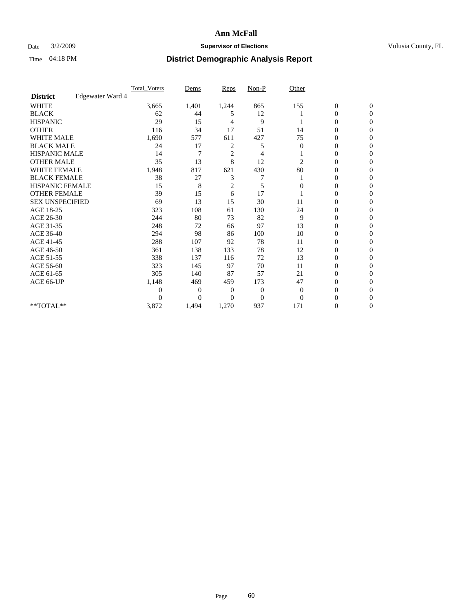## Date  $3/2/2009$  **Supervisor of Elections Supervisor of Elections** Volusia County, FL

|                        |                  | Total Voters   | Dems           | <b>Reps</b>    | $Non-P$      | Other        |                  |                  |  |
|------------------------|------------------|----------------|----------------|----------------|--------------|--------------|------------------|------------------|--|
| <b>District</b>        | Edgewater Ward 4 |                |                |                |              |              |                  |                  |  |
| <b>WHITE</b>           |                  | 3,665          | 1,401          | 1,244          | 865          | 155          | $\boldsymbol{0}$ | $\boldsymbol{0}$ |  |
| <b>BLACK</b>           |                  | 62             | 44             | 5              | 12           |              | $\boldsymbol{0}$ | $\Omega$         |  |
| <b>HISPANIC</b>        |                  | 29             | 15             | 4              | 9            |              | 0                | $\Omega$         |  |
| <b>OTHER</b>           |                  | 116            | 34             | 17             | 51           | 14           | 0                | $\Omega$         |  |
| <b>WHITE MALE</b>      |                  | 1,690          | 577            | 611            | 427          | 75           | $\mathbf{0}$     | $\mathbf{0}$     |  |
| <b>BLACK MALE</b>      |                  | 24             | 17             | 2              | 5            | $\bf{0}$     | $\mathbf{0}$     | $\Omega$         |  |
| <b>HISPANIC MALE</b>   |                  | 14             | 7              | $\overline{2}$ | 4            |              | 0                | $\Omega$         |  |
| <b>OTHER MALE</b>      |                  | 35             | 13             | 8              | 12           | 2            | 0                | 0                |  |
| <b>WHITE FEMALE</b>    |                  | 1,948          | 817            | 621            | 430          | 80           | 0                | $\Omega$         |  |
| <b>BLACK FEMALE</b>    |                  | 38             | 27             | 3              | 7            |              | 0                | $\Omega$         |  |
| HISPANIC FEMALE        |                  | 15             | 8              | $\overline{c}$ | 5            | 0            | 0                | $\Omega$         |  |
| <b>OTHER FEMALE</b>    |                  | 39             | 15             | 6              | 17           |              | 0                | $\Omega$         |  |
| <b>SEX UNSPECIFIED</b> |                  | 69             | 13             | 15             | 30           | 11           | 0                | $\Omega$         |  |
| AGE 18-25              |                  | 323            | 108            | 61             | 130          | 24           | 0                | $\Omega$         |  |
| AGE 26-30              |                  | 244            | 80             | 73             | 82           | 9            | $\overline{0}$   | $\Omega$         |  |
| AGE 31-35              |                  | 248            | 72             | 66             | 97           | 13           | $\boldsymbol{0}$ | $\Omega$         |  |
| AGE 36-40              |                  | 294            | 98             | 86             | 100          | 10           | 0                | 0                |  |
| AGE 41-45              |                  | 288            | 107            | 92             | 78           | 11           | 0                | $\Omega$         |  |
| AGE 46-50              |                  | 361            | 138            | 133            | 78           | 12           | 0                | $\Omega$         |  |
| AGE 51-55              |                  | 338            | 137            | 116            | 72           | 13           | 0                | $\mathbf{0}$     |  |
| AGE 56-60              |                  | 323            | 145            | 97             | 70           | 11           | 0                | 0                |  |
| AGE 61-65              |                  | 305            | 140            | 87             | 57           | 21           | 0                | $\Omega$         |  |
| AGE 66-UP              |                  | 1,148          | 469            | 459            | 173          | 47           | 0                | 0                |  |
|                        |                  | $\overline{0}$ | 0              | 0              | $\mathbf{0}$ | $\mathbf{0}$ | 0                | $\Omega$         |  |
|                        |                  | $\theta$       | $\overline{0}$ | $\Omega$       | $\Omega$     | $\Omega$     | 0                | $\Omega$         |  |
| **TOTAL**              |                  | 3,872          | 1,494          | 1,270          | 937          | 171          | 0                | $\mathbf{0}$     |  |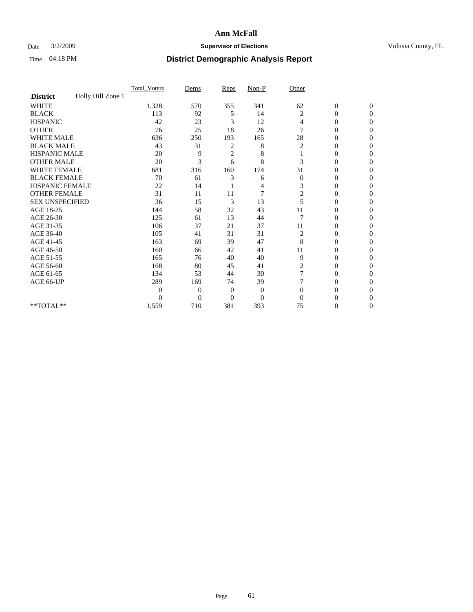## Date  $3/2/2009$  **Supervisor of Elections Supervisor of Elections** Volusia County, FL

|                        |                   | Total Voters | Dems           | Reps           | $Non-P$        | Other        |                  |              |  |
|------------------------|-------------------|--------------|----------------|----------------|----------------|--------------|------------------|--------------|--|
| <b>District</b>        | Holly Hill Zone 1 |              |                |                |                |              |                  |              |  |
| <b>WHITE</b>           |                   | 1,328        | 570            | 355            | 341            | 62           | $\boldsymbol{0}$ | $\mathbf{0}$ |  |
| <b>BLACK</b>           |                   | 113          | 92             | 5              | 14             | 2            | $\overline{0}$   | $\mathbf{0}$ |  |
| <b>HISPANIC</b>        |                   | 42           | 23             | 3              | 12             | 4            | $\mathbf{0}$     | $\Omega$     |  |
| <b>OTHER</b>           |                   | 76           | 25             | 18             | 26             | 7            | 0                | $\Omega$     |  |
| <b>WHITE MALE</b>      |                   | 636          | 250            | 193            | 165            | 28           | 0                | $\Omega$     |  |
| <b>BLACK MALE</b>      |                   | 43           | 31             | 2              | 8              | 2            | $\mathbf{0}$     | $\Omega$     |  |
| HISPANIC MALE          |                   | 20           | 9              | $\overline{c}$ | 8              |              | $\overline{0}$   | $\Omega$     |  |
| <b>OTHER MALE</b>      |                   | 20           | 3              | 6              | 8              | 3            | 0                | 0            |  |
| <b>WHITE FEMALE</b>    |                   | 681          | 316            | 160            | 174            | 31           | 0                | $\Omega$     |  |
| <b>BLACK FEMALE</b>    |                   | 70           | 61             | 3              | 6              | $\mathbf{0}$ | $\overline{0}$   | $\mathbf{0}$ |  |
| <b>HISPANIC FEMALE</b> |                   | 22           | 14             |                | 4              | 3            | 0                | $\Omega$     |  |
| <b>OTHER FEMALE</b>    |                   | 31           | 11             | 11             | $\overline{7}$ | 2            | 0                | 0            |  |
| <b>SEX UNSPECIFIED</b> |                   | 36           | 15             | 3              | 13             | 5            | 0                | $\Omega$     |  |
| AGE 18-25              |                   | 144          | 58             | 32             | 43             | 11           | 0                | $\mathbf{0}$ |  |
| AGE 26-30              |                   | 125          | 61             | 13             | 44             |              | 0                | $\Omega$     |  |
| AGE 31-35              |                   | 106          | 37             | 21             | 37             | 11           | 0                | $\Omega$     |  |
| AGE 36-40              |                   | 105          | 41             | 31             | 31             | 2            | 0                | $\Omega$     |  |
| AGE 41-45              |                   | 163          | 69             | 39             | 47             | 8            | 0                | $\Omega$     |  |
| AGE 46-50              |                   | 160          | 66             | 42             | 41             | 11           | 0                | $\Omega$     |  |
| AGE 51-55              |                   | 165          | 76             | 40             | 40             | 9            | 0                | 0            |  |
| AGE 56-60              |                   | 168          | 80             | 45             | 41             | 2            | 0                | $\Omega$     |  |
| AGE 61-65              |                   | 134          | 53             | 44             | 30             | 7            | 0                | $\Omega$     |  |
| AGE 66-UP              |                   | 289          | 169            | 74             | 39             |              | 0                | 0            |  |
|                        |                   | $\Omega$     | $\overline{0}$ | $\mathbf{0}$   | $\mathbf{0}$   | $\Omega$     | 0                | $\Omega$     |  |
|                        |                   | $\theta$     | $\overline{0}$ | $\overline{0}$ | $\overline{0}$ | $\Omega$     | 0                | $\Omega$     |  |
| **TOTAL**              |                   | 1,559        | 710            | 381            | 393            | 75           | 0                | $\mathbf{0}$ |  |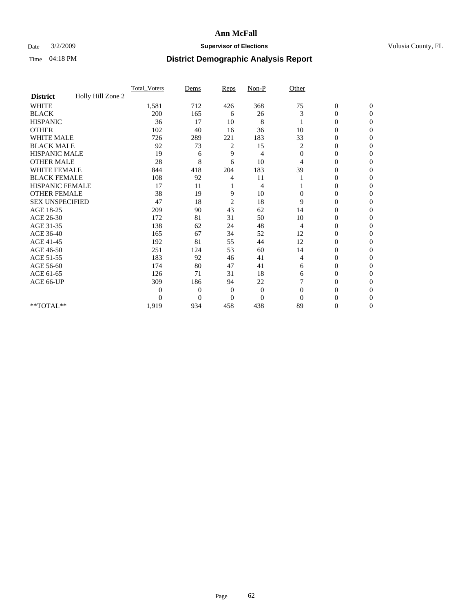### Date  $3/2/2009$  **Supervisor of Elections Supervisor of Elections** Volusia County, FL

|                        |                   | Total Voters | Dems           | Reps           | $Non-P$        | Other        |                  |              |  |
|------------------------|-------------------|--------------|----------------|----------------|----------------|--------------|------------------|--------------|--|
| <b>District</b>        | Holly Hill Zone 2 |              |                |                |                |              |                  |              |  |
| <b>WHITE</b>           |                   | 1,581        | 712            | 426            | 368            | 75           | $\boldsymbol{0}$ | $\mathbf{0}$ |  |
| <b>BLACK</b>           |                   | 200          | 165            | 6              | 26             | 3            | $\boldsymbol{0}$ | $\mathbf{0}$ |  |
| <b>HISPANIC</b>        |                   | 36           | 17             | 10             | 8              |              | $\mathbf{0}$     | $\Omega$     |  |
| <b>OTHER</b>           |                   | 102          | 40             | 16             | 36             | 10           | 0                | $\Omega$     |  |
| <b>WHITE MALE</b>      |                   | 726          | 289            | 221            | 183            | 33           | 0                | $\Omega$     |  |
| <b>BLACK MALE</b>      |                   | 92           | 73             | 2              | 15             | 2            | $\mathbf{0}$     | $\Omega$     |  |
| HISPANIC MALE          |                   | 19           | 6              | 9              | 4              | $\mathbf{0}$ | $\boldsymbol{0}$ | $\Omega$     |  |
| <b>OTHER MALE</b>      |                   | 28           | 8              | 6              | 10             | 4            | 0                | $\Omega$     |  |
| <b>WHITE FEMALE</b>    |                   | 844          | 418            | 204            | 183            | 39           | 0                | $\Omega$     |  |
| <b>BLACK FEMALE</b>    |                   | 108          | 92             | 4              | 11             |              | $\overline{0}$   | $\mathbf{0}$ |  |
| <b>HISPANIC FEMALE</b> |                   | 17           | 11             |                | 4              |              | 0                | $\Omega$     |  |
| <b>OTHER FEMALE</b>    |                   | 38           | 19             | 9              | 10             | $\Omega$     | 0                | 0            |  |
| <b>SEX UNSPECIFIED</b> |                   | 47           | 18             | $\overline{c}$ | 18             | 9            | $\overline{0}$   | $\Omega$     |  |
| AGE 18-25              |                   | 209          | 90             | 43             | 62             | 14           | 0                | $\mathbf{0}$ |  |
| AGE 26-30              |                   | 172          | 81             | 31             | 50             | 10           | 0                | $\Omega$     |  |
| AGE 31-35              |                   | 138          | 62             | 24             | 48             | 4            | $\boldsymbol{0}$ | $\Omega$     |  |
| AGE 36-40              |                   | 165          | 67             | 34             | 52             | 12           | 0                | $\mathbf{0}$ |  |
| AGE 41-45              |                   | 192          | 81             | 55             | 44             | 12           | $\mathbf{0}$     | $\Omega$     |  |
| AGE 46-50              |                   | 251          | 124            | 53             | 60             | 14           | $\overline{0}$   | $\mathbf{0}$ |  |
| AGE 51-55              |                   | 183          | 92             | 46             | 41             | 4            | 0                | 0            |  |
| AGE 56-60              |                   | 174          | 80             | 47             | 41             | 6            | $\overline{0}$   | $\Omega$     |  |
| AGE 61-65              |                   | 126          | 71             | 31             | 18             | 6            | $\overline{0}$   | $\Omega$     |  |
| AGE 66-UP              |                   | 309          | 186            | 94             | 22             |              | 0                | 0            |  |
|                        |                   | $\theta$     | $\overline{0}$ | $\mathbf{0}$   | $\mathbf{0}$   | $\Omega$     | 0                | $\Omega$     |  |
|                        |                   | $\theta$     | $\overline{0}$ | $\Omega$       | $\overline{0}$ | $\Omega$     | $\theta$         | $\Omega$     |  |
| **TOTAL**              |                   | 1,919        | 934            | 458            | 438            | 89           | 0                | $\mathbf{0}$ |  |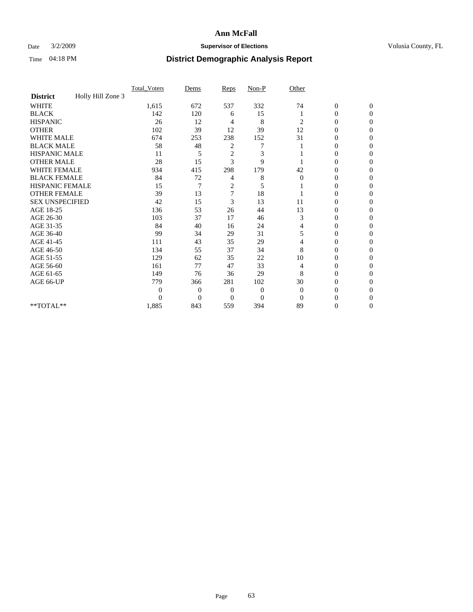## Date  $3/2/2009$  **Supervisor of Elections Supervisor of Elections** Volusia County, FL

|                        |                   | Total Voters   | Dems           | Reps           | Non-P          | Other          |                  |                  |
|------------------------|-------------------|----------------|----------------|----------------|----------------|----------------|------------------|------------------|
| <b>District</b>        | Holly Hill Zone 3 |                |                |                |                |                |                  |                  |
| <b>WHITE</b>           |                   | 1,615          | 672            | 537            | 332            | 74             | $\boldsymbol{0}$ | $\boldsymbol{0}$ |
| <b>BLACK</b>           |                   | 142            | 120            | 6              | 15             |                | 0                | $\Omega$         |
| <b>HISPANIC</b>        |                   | 26             | 12             | 4              | 8              | 2              | $\mathbf{0}$     | $\Omega$         |
| <b>OTHER</b>           |                   | 102            | 39             | 12             | 39             | 12             | 0                | $\Omega$         |
| <b>WHITE MALE</b>      |                   | 674            | 253            | 238            | 152            | 31             | 0                | $\Omega$         |
| <b>BLACK MALE</b>      |                   | 58             | 48             | 2              | 7              |                | $\overline{0}$   | $\Omega$         |
| <b>HISPANIC MALE</b>   |                   | 11             | 5              | 2              | 3              |                | 0                | 0                |
| <b>OTHER MALE</b>      |                   | 28             | 15             | 3              | 9              |                | 0                | 0                |
| <b>WHITE FEMALE</b>    |                   | 934            | 415            | 298            | 179            | 42             | $\overline{0}$   | $\Omega$         |
| <b>BLACK FEMALE</b>    |                   | 84             | 72             | 4              | 8              | $\bf{0}$       | 0                | $\mathbf{0}$     |
| <b>HISPANIC FEMALE</b> |                   | 15             | 7              | $\overline{c}$ | 5              |                | 0                | $\Omega$         |
| <b>OTHER FEMALE</b>    |                   | 39             | 13             | $\overline{7}$ | 18             |                | 0                | $\Omega$         |
| <b>SEX UNSPECIFIED</b> |                   | 42             | 15             | 3              | 13             | 11             | 0                | $\mathbf{0}$     |
| AGE 18-25              |                   | 136            | 53             | 26             | 44             | 13             | 0                | $\Omega$         |
| AGE 26-30              |                   | 103            | 37             | 17             | 46             | 3              | 0                | 0                |
| AGE 31-35              |                   | 84             | 40             | 16             | 24             | 4              | $\overline{0}$   | 0                |
| AGE 36-40              |                   | 99             | 34             | 29             | 31             | 5              | $\overline{0}$   | $\Omega$         |
| AGE 41-45              |                   | 111            | 43             | 35             | 29             | 4              | 0                | 0                |
| AGE 46-50              |                   | 134            | 55             | 37             | 34             | 8              | $\overline{0}$   | $\Omega$         |
| AGE 51-55              |                   | 129            | 62             | 35             | 22             | 10             | 0                | $\Omega$         |
| AGE 56-60              |                   | 161            | 77             | 47             | 33             | 4              | 0                | $\Omega$         |
| AGE 61-65              |                   | 149            | 76             | 36             | 29             | 8              | $\overline{0}$   | $\Omega$         |
| AGE 66-UP              |                   | 779            | 366            | 281            | 102            | 30             | $\overline{0}$   | $\mathbf{0}$     |
|                        |                   | $\overline{0}$ | $\overline{0}$ | $\mathbf{0}$   | $\mathbf{0}$   | $\overline{0}$ | 0                | $\Omega$         |
|                        |                   | $\theta$       | $\overline{0}$ | $\overline{0}$ | $\overline{0}$ | $\Omega$       | $\theta$         | $\overline{0}$   |
| $**TOTAL**$            |                   | 1,885          | 843            | 559            | 394            | 89             | 0                | $\mathbf{0}$     |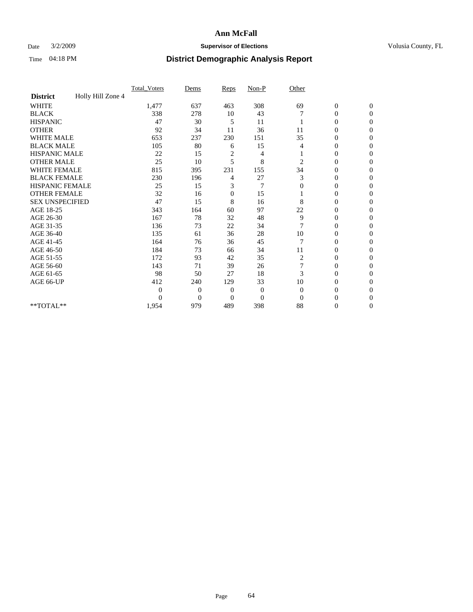## Date  $3/2/2009$  **Supervisor of Elections Supervisor of Elections** Volusia County, FL

|                        |                   | Total Voters | Dems           | Reps           | $Non-P$        | Other    |                  |                |  |
|------------------------|-------------------|--------------|----------------|----------------|----------------|----------|------------------|----------------|--|
| <b>District</b>        | Holly Hill Zone 4 |              |                |                |                |          |                  |                |  |
| <b>WHITE</b>           |                   | 1,477        | 637            | 463            | 308            | 69       | $\boldsymbol{0}$ | $\mathbf{0}$   |  |
| <b>BLACK</b>           |                   | 338          | 278            | 10             | 43             |          | $\overline{0}$   | $\mathbf{0}$   |  |
| <b>HISPANIC</b>        |                   | 47           | 30             | 5              | 11             |          | $\mathbf{0}$     | $\Omega$       |  |
| <b>OTHER</b>           |                   | 92           | 34             | 11             | 36             | 11       | 0                | $\Omega$       |  |
| <b>WHITE MALE</b>      |                   | 653          | 237            | 230            | 151            | 35       | 0                | $\Omega$       |  |
| <b>BLACK MALE</b>      |                   | 105          | 80             | 6              | 15             | 4        | $\mathbf{0}$     | $\Omega$       |  |
| HISPANIC MALE          |                   | 22           | 15             | $\overline{c}$ | 4              |          | $\boldsymbol{0}$ | $\Omega$       |  |
| <b>OTHER MALE</b>      |                   | 25           | 10             | 5              | 8              | 2        | 0                | $\Omega$       |  |
| <b>WHITE FEMALE</b>    |                   | 815          | 395            | 231            | 155            | 34       | 0                | $\Omega$       |  |
| <b>BLACK FEMALE</b>    |                   | 230          | 196            | 4              | 27             | 3        | $\overline{0}$   | $\overline{0}$ |  |
| <b>HISPANIC FEMALE</b> |                   | 25           | 15             | 3              | 7              | $\Omega$ | 0                | $\Omega$       |  |
| <b>OTHER FEMALE</b>    |                   | 32           | 16             | $\mathbf{0}$   | 15             |          | 0                | 0              |  |
| <b>SEX UNSPECIFIED</b> |                   | 47           | 15             | 8              | 16             | 8        | $\overline{0}$   | $\Omega$       |  |
| AGE 18-25              |                   | 343          | 164            | 60             | 97             | 22       | 0                | $\mathbf{0}$   |  |
| AGE 26-30              |                   | 167          | 78             | 32             | 48             | 9        | 0                | $\Omega$       |  |
| AGE 31-35              |                   | 136          | 73             | 22             | 34             | 7        | 0                | $\Omega$       |  |
| AGE 36-40              |                   | 135          | 61             | 36             | 28             | 10       | 0                | $\Omega$       |  |
| AGE 41-45              |                   | 164          | 76             | 36             | 45             |          | $\overline{0}$   | $\Omega$       |  |
| AGE 46-50              |                   | 184          | 73             | 66             | 34             | 11       | $\overline{0}$   | $\Omega$       |  |
| AGE 51-55              |                   | 172          | 93             | 42             | 35             | 2        | 0                | 0              |  |
| AGE 56-60              |                   | 143          | 71             | 39             | 26             |          | $\overline{0}$   | $\Omega$       |  |
| AGE 61-65              |                   | 98           | 50             | 27             | 18             | 3        | $\overline{0}$   | $\Omega$       |  |
| AGE 66-UP              |                   | 412          | 240            | 129            | 33             | 10       | 0                | 0              |  |
|                        |                   | $\Omega$     | $\overline{0}$ | $\mathbf{0}$   | $\mathbf{0}$   | $\Omega$ | 0                | $\Omega$       |  |
|                        |                   | $\theta$     | $\overline{0}$ | $\overline{0}$ | $\overline{0}$ | $\Omega$ | $\theta$         | $\Omega$       |  |
| **TOTAL**              |                   | 1,954        | 979            | 489            | 398            | 88       | 0                | $\mathbf{0}$   |  |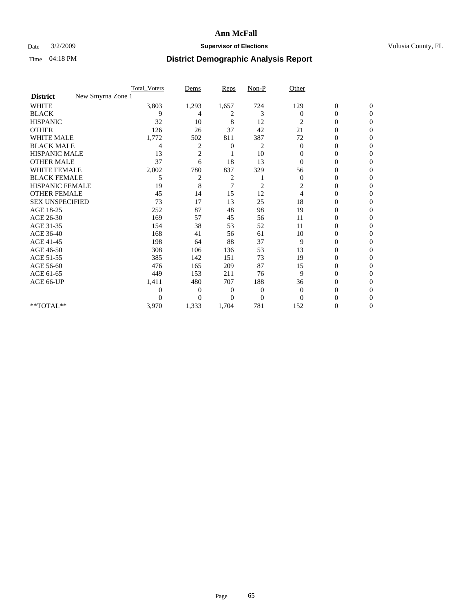## Date  $3/2/2009$  **Supervisor of Elections Supervisor of Elections** Volusia County, FL

|                                      | <b>Total_Voters</b> | Dems           | <b>Reps</b> | $Non-P$        | Other          |                  |                  |  |
|--------------------------------------|---------------------|----------------|-------------|----------------|----------------|------------------|------------------|--|
| New Smyrna Zone 1<br><b>District</b> |                     |                |             |                |                |                  |                  |  |
| <b>WHITE</b>                         | 3,803               | 1,293          | 1,657       | 724            | 129            | $\boldsymbol{0}$ | $\boldsymbol{0}$ |  |
| <b>BLACK</b>                         | 9                   | 4              | 2           | 3              | $\Omega$       | $\overline{0}$   | $\Omega$         |  |
| <b>HISPANIC</b>                      | 32                  | 10             | 8           | 12             | $\overline{c}$ | 0                | $\Omega$         |  |
| <b>OTHER</b>                         | 126                 | 26             | 37          | 42             | 21             | 0                | $\Omega$         |  |
| <b>WHITE MALE</b>                    | 1,772               | 502            | 811         | 387            | 72             | 0                | $\Omega$         |  |
| <b>BLACK MALE</b>                    | 4                   | 2              | 0           | 2              | $\mathbf{0}$   | 0                | 0                |  |
| <b>HISPANIC MALE</b>                 | 13                  | $\overline{2}$ |             | 10             | 0              | 0                | 0                |  |
| <b>OTHER MALE</b>                    | 37                  | 6              | 18          | 13             | $\Omega$       | 0                | 0                |  |
| <b>WHITE FEMALE</b>                  | 2,002               | 780            | 837         | 329            | 56             | 0                | $\Omega$         |  |
| <b>BLACK FEMALE</b>                  | 5                   | $\overline{c}$ | 2           |                | $\mathbf{0}$   | 0                | $\Omega$         |  |
| <b>HISPANIC FEMALE</b>               | 19                  | 8              | 7           | $\overline{c}$ | 2              | 0                | $\Omega$         |  |
| <b>OTHER FEMALE</b>                  | 45                  | 14             | 15          | 12             | 4              | 0                | $\Omega$         |  |
| <b>SEX UNSPECIFIED</b>               | 73                  | 17             | 13          | 25             | 18             | $\overline{0}$   | $\Omega$         |  |
| AGE 18-25                            | 252                 | 87             | 48          | 98             | 19             | 0                | 0                |  |
| AGE 26-30                            | 169                 | 57             | 45          | 56             | 11             | 0                | $\Omega$         |  |
| AGE 31-35                            | 154                 | 38             | 53          | 52             | 11             | 0                | $\Omega$         |  |
| AGE 36-40                            | 168                 | 41             | 56          | 61             | 10             | 0                | 0                |  |
| AGE 41-45                            | 198                 | 64             | 88          | 37             | 9              | 0                | $\Omega$         |  |
| AGE 46-50                            | 308                 | 106            | 136         | 53             | 13             | 0                | $\Omega$         |  |
| AGE 51-55                            | 385                 | 142            | 151         | 73             | 19             | 0                | $\overline{0}$   |  |
| AGE 56-60                            | 476                 | 165            | 209         | 87             | 15             | 0                | 0                |  |
| AGE 61-65                            | 449                 | 153            | 211         | 76             | 9              | $\overline{0}$   | $\Omega$         |  |
| AGE 66-UP                            | 1,411               | 480            | 707         | 188            | 36             | 0                | 0                |  |
|                                      | $\boldsymbol{0}$    | 0              | 0           | 0              | $\mathbf{0}$   | 0                | $\Omega$         |  |
|                                      | $\theta$            | $\overline{0}$ | $\Omega$    | $\overline{0}$ | $\Omega$       | 0                | $\Omega$         |  |
| **TOTAL**                            | 3,970               | 1,333          | 1,704       | 781            | 152            | 0                | $\mathbf{0}$     |  |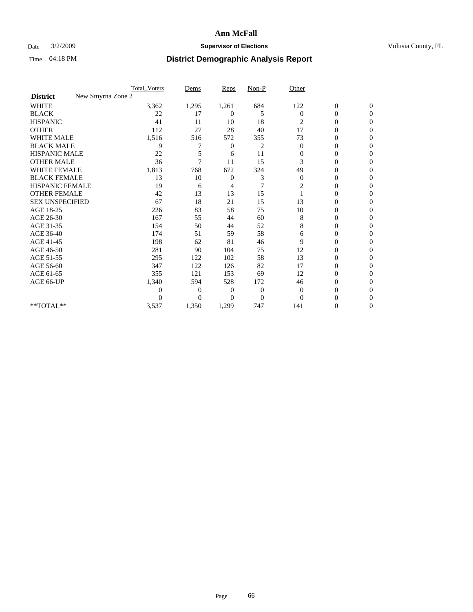## Date  $3/2/2009$  **Supervisor of Elections Supervisor of Elections** Volusia County, FL

|                        | <b>Total_Voters</b> | Dems           | <b>Reps</b>  | $Non-P$        | Other            |                  |                  |  |
|------------------------|---------------------|----------------|--------------|----------------|------------------|------------------|------------------|--|
| <b>District</b>        | New Smyrna Zone 2   |                |              |                |                  |                  |                  |  |
| <b>WHITE</b>           | 3,362               | 1,295          | 1,261        | 684            | 122              | $\boldsymbol{0}$ | $\boldsymbol{0}$ |  |
| <b>BLACK</b>           | 22                  | 17             | 0            | 5              | $\Omega$         | $\overline{0}$   | $\Omega$         |  |
| <b>HISPANIC</b>        | 41                  | 11             | 10           | 18             | 2                | 0                | $\Omega$         |  |
| <b>OTHER</b>           | 112                 | 27             | 28           | 40             | 17               | 0                | $\Omega$         |  |
| <b>WHITE MALE</b>      | 1,516               | 516            | 572          | 355            | 73               | $\mathbf{0}$     | $\mathbf{0}$     |  |
| <b>BLACK MALE</b>      | 9                   |                | 0            | 2              | $\mathbf{0}$     | $\mathbf{0}$     | $\Omega$         |  |
| <b>HISPANIC MALE</b>   | 22                  | 5              | 6            | 11             | 0                | 0                | 0                |  |
| <b>OTHER MALE</b>      | 36                  | 7              | 11           | 15             | 3                | 0                | 0                |  |
| <b>WHITE FEMALE</b>    | 1,813               | 768            | 672          | 324            | 49               | 0                | $\Omega$         |  |
| <b>BLACK FEMALE</b>    | 13                  | 10             | $\mathbf{0}$ | 3              | $\boldsymbol{0}$ | 0                | $\Omega$         |  |
| <b>HISPANIC FEMALE</b> | 19                  | 6              | 4            | 7              | 2                | 0                | $\Omega$         |  |
| <b>OTHER FEMALE</b>    | 42                  | 13             | 13           | 15             |                  | 0                | $\Omega$         |  |
| <b>SEX UNSPECIFIED</b> | 67                  | 18             | 21           | 15             | 13               | 0                | $\Omega$         |  |
| AGE 18-25              | 226                 | 83             | 58           | 75             | 10               | 0                | 0                |  |
| AGE 26-30              | 167                 | 55             | 44           | 60             | 8                | 0                | $\Omega$         |  |
| AGE 31-35              | 154                 | 50             | 44           | 52             | 8                | 0                | $\Omega$         |  |
| AGE 36-40              | 174                 | 51             | 59           | 58             | 6                | 0                | 0                |  |
| AGE 41-45              | 198                 | 62             | 81           | 46             | 9                | 0                | $\Omega$         |  |
| AGE 46-50              | 281                 | 90             | 104          | 75             | 12               | 0                | $\Omega$         |  |
| AGE 51-55              | 295                 | 122            | 102          | 58             | 13               | 0                | $\mathbf{0}$     |  |
| AGE 56-60              | 347                 | 122            | 126          | 82             | 17               | 0                | 0                |  |
| AGE 61-65              | 355                 | 121            | 153          | 69             | 12               | 0                | $\Omega$         |  |
| AGE 66-UP              | 1,340               | 594            | 528          | 172            | 46               | 0                | 0                |  |
|                        | 0                   | 0              | 0            | $\overline{0}$ | $\mathbf{0}$     | 0                | $\Omega$         |  |
|                        | $\theta$            | $\overline{0}$ | $\Omega$     | $\overline{0}$ | $\Omega$         | 0                | $\Omega$         |  |
| **TOTAL**              | 3,537               | 1,350          | 1,299        | 747            | 141              | 0                | $\overline{0}$   |  |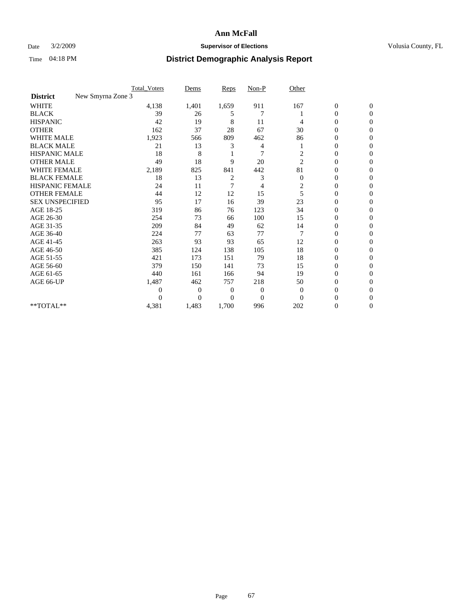## Date  $3/2/2009$  **Supervisor of Elections Supervisor of Elections** Volusia County, FL

|                                      | <b>Total_Voters</b> | Dems           | <b>Reps</b>    | $Non-P$        | Other          |                  |                |  |
|--------------------------------------|---------------------|----------------|----------------|----------------|----------------|------------------|----------------|--|
| New Smyrna Zone 3<br><b>District</b> |                     |                |                |                |                |                  |                |  |
| <b>WHITE</b>                         | 4,138               | 1,401          | 1,659          | 911            | 167            | $\boldsymbol{0}$ | $\mathbf{0}$   |  |
| <b>BLACK</b>                         | 39                  | 26             | 5              |                |                | $\boldsymbol{0}$ | $\mathbf{0}$   |  |
| <b>HISPANIC</b>                      | 42                  | 19             | 8              | 11             | 4              | $\overline{0}$   | $\Omega$       |  |
| <b>OTHER</b>                         | 162                 | 37             | 28             | 67             | 30             | 0                | $\Omega$       |  |
| <b>WHITE MALE</b>                    | 1,923               | 566            | 809            | 462            | 86             | 0                | $\Omega$       |  |
| <b>BLACK MALE</b>                    | 21                  | 13             | 3              | 4              |                | $\overline{0}$   | $\Omega$       |  |
| HISPANIC MALE                        | 18                  | 8              |                | $\overline{7}$ | 2              | $\boldsymbol{0}$ | $\Omega$       |  |
| <b>OTHER MALE</b>                    | 49                  | 18             | 9              | 20             | $\overline{2}$ | 0                | $\Omega$       |  |
| <b>WHITE FEMALE</b>                  | 2,189               | 825            | 841            | 442            | 81             | 0                | $\Omega$       |  |
| <b>BLACK FEMALE</b>                  | 18                  | 13             | 2              | 3              | $\mathbf{0}$   | $\overline{0}$   | $\overline{0}$ |  |
| <b>HISPANIC FEMALE</b>               | 24                  | 11             | 7              | 4              | 2              | 0                | $\Omega$       |  |
| <b>OTHER FEMALE</b>                  | 44                  | 12             | 12             | 15             | 5              | 0                | 0              |  |
| <b>SEX UNSPECIFIED</b>               | 95                  | 17             | 16             | 39             | 23             | $\overline{0}$   | $\Omega$       |  |
| AGE 18-25                            | 319                 | 86             | 76             | 123            | 34             | 0                | $\mathbf{0}$   |  |
| AGE 26-30                            | 254                 | 73             | 66             | 100            | 15             | 0                | $\Omega$       |  |
| AGE 31-35                            | 209                 | 84             | 49             | 62             | 14             | 0                | $\Omega$       |  |
| AGE 36-40                            | 224                 | 77             | 63             | 77             | 7              | 0                | $\mathbf{0}$   |  |
| AGE 41-45                            | 263                 | 93             | 93             | 65             | 12             | $\mathbf{0}$     | $\Omega$       |  |
| AGE 46-50                            | 385                 | 124            | 138            | 105            | 18             | $\overline{0}$   | $\mathbf{0}$   |  |
| AGE 51-55                            | 421                 | 173            | 151            | 79             | 18             | 0                | 0              |  |
| AGE 56-60                            | 379                 | 150            | 141            | 73             | 15             | $\overline{0}$   | $\Omega$       |  |
| AGE 61-65                            | 440                 | 161            | 166            | 94             | 19             | $\overline{0}$   | $\Omega$       |  |
| AGE 66-UP                            | 1,487               | 462            | 757            | 218            | 50             | 0                | 0              |  |
|                                      | 0                   | $\overline{0}$ | $\mathbf{0}$   | $\mathbf{0}$   | $\overline{0}$ | 0                | $\Omega$       |  |
|                                      | $\Omega$            | $\overline{0}$ | $\overline{0}$ | $\overline{0}$ | $\Omega$       | $\theta$         | $\Omega$       |  |
| **TOTAL**                            | 4,381               | 1,483          | 1,700          | 996            | 202            | 0                | $\overline{0}$ |  |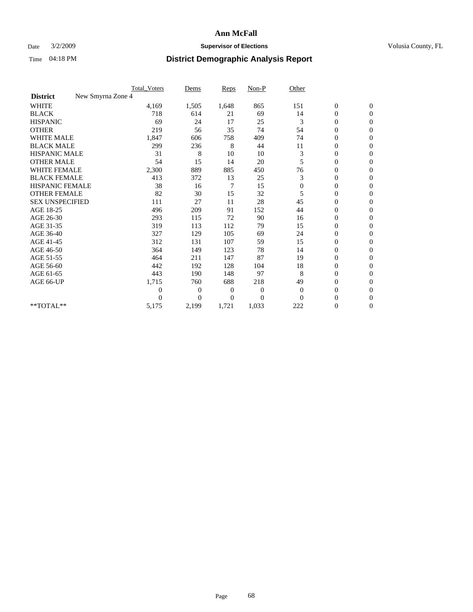## Date  $3/2/2009$  **Supervisor of Elections Supervisor of Elections** Volusia County, FL

|                        | <b>Total_Voters</b> | Dems                | Reps     | $Non-P$        | Other        |                  |                  |  |
|------------------------|---------------------|---------------------|----------|----------------|--------------|------------------|------------------|--|
| <b>District</b>        | New Smyrna Zone 4   |                     |          |                |              |                  |                  |  |
| <b>WHITE</b>           | 4,169               | 1,505               | 1,648    | 865            | 151          | $\boldsymbol{0}$ | $\boldsymbol{0}$ |  |
| <b>BLACK</b>           | 718                 | 614                 | 21       | 69             | 14           | 0                | $\mathbf{0}$     |  |
| <b>HISPANIC</b>        | 69                  | 24                  | 17       | 25             | 3            | $\overline{0}$   | $\mathbf{0}$     |  |
| <b>OTHER</b>           | 219                 | 56                  | 35       | 74             | 54           | 0                | $\Omega$         |  |
| <b>WHITE MALE</b>      | 1,847               | 606                 | 758      | 409            | 74           | 0                | $\mathbf{0}$     |  |
| <b>BLACK MALE</b>      | 299                 | 236                 | 8        | 44             | 11           | $\overline{0}$   | $\mathbf{0}$     |  |
| <b>HISPANIC MALE</b>   | 31                  | 8                   | 10       | 10             | 3            | 0                | $\mathbf{0}$     |  |
| <b>OTHER MALE</b>      | 54                  | 15                  | 14       | 20             | 5            | 0                | $\Omega$         |  |
| <b>WHITE FEMALE</b>    | 2,300               | 889                 | 885      | 450            | 76           | 0                | $\mathbf{0}$     |  |
| <b>BLACK FEMALE</b>    | 413                 | 372                 | 13       | 25             | 3            | 0                | $\mathbf{0}$     |  |
| <b>HISPANIC FEMALE</b> | 38                  | 16                  | 7        | 15             | $\mathbf{0}$ | 0                | $\mathbf{0}$     |  |
| <b>OTHER FEMALE</b>    | 82                  | 30                  | 15       | 32             | 5            | 0                | $\Omega$         |  |
| <b>SEX UNSPECIFIED</b> | 111                 | 27                  | 11       | 28             | 45           | 0                | $\mathbf{0}$     |  |
| AGE 18-25              | 496                 | 209                 | 91       | 152            | 44           | 0                | $\mathbf{0}$     |  |
| AGE 26-30              | 293                 | 115                 | 72       | 90             | 16           | 0                | $\mathbf{0}$     |  |
| AGE 31-35              | 319                 | 113                 | 112      | 79             | 15           | 0                | $\mathbf{0}$     |  |
| AGE 36-40              | 327                 | 129                 | 105      | 69             | 24           | 0                | $\mathbf{0}$     |  |
| AGE 41-45              | 312                 | 131                 | 107      | 59             | 15           | $\mathbf{0}$     | $\Omega$         |  |
| AGE 46-50              | 364                 | 149                 | 123      | 78             | 14           | 0                | $\mathbf{0}$     |  |
| AGE 51-55              | 464                 | 211                 | 147      | 87             | 19           | 0                | $\mathbf{0}$     |  |
| AGE 56-60              | 442                 | 192                 | 128      | 104            | 18           | 0                | $\Omega$         |  |
| AGE 61-65              | 443                 | 190                 | 148      | 97             | 8            | 0                | $\mathbf{0}$     |  |
| AGE 66-UP              | 1,715               | 760                 | 688      | 218            | 49           | 0                | $\mathbf{0}$     |  |
|                        |                     | 0<br>$\mathbf{0}$   | 0        | $\overline{0}$ | $\theta$     | 0                | $\mathbf{0}$     |  |
|                        |                     | 0<br>$\overline{0}$ | $\theta$ | $\Omega$       | $\Omega$     | 0                | $\overline{0}$   |  |
| **TOTAL**              | 5,175               | 2,199               | 1,721    | 1,033          | 222          | 0                | $\overline{0}$   |  |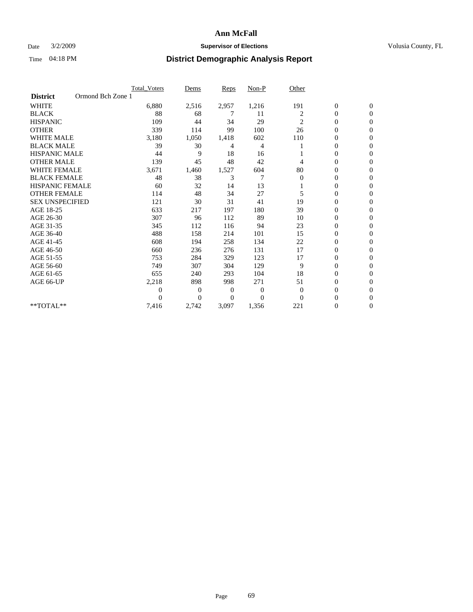## Date  $3/2/2009$  **Supervisor of Elections Supervisor of Elections** Volusia County, FL

|                        | Total Voters      | Dems           | <b>Reps</b> | Non-P        | Other          |                  |                  |  |
|------------------------|-------------------|----------------|-------------|--------------|----------------|------------------|------------------|--|
| <b>District</b>        | Ormond Bch Zone 1 |                |             |              |                |                  |                  |  |
| <b>WHITE</b>           | 6,880             | 2,516          | 2,957       | 1,216        | 191            | $\boldsymbol{0}$ | $\boldsymbol{0}$ |  |
| <b>BLACK</b>           | 88                | 68             | 7           | 11           | 2              | $\boldsymbol{0}$ | $\mathbf{0}$     |  |
| <b>HISPANIC</b>        | 109               | 44             | 34          | 29           | 2              | $\overline{0}$   | $\mathbf{0}$     |  |
| <b>OTHER</b>           | 339               | 114            | 99          | 100          | 26             | 0                | $\Omega$         |  |
| <b>WHITE MALE</b>      | 3,180             | 1,050          | 1,418       | 602          | 110            | 0                | $\mathbf{0}$     |  |
| <b>BLACK MALE</b>      | 39                | 30             | 4           | 4            |                | $\overline{0}$   | $\mathbf{0}$     |  |
| <b>HISPANIC MALE</b>   | 44                | 9              | 18          | 16           |                | 0                | $\Omega$         |  |
| <b>OTHER MALE</b>      | 139               | 45             | 48          | 42           | 4              | 0                | $\Omega$         |  |
| WHITE FEMALE           | 3,671             | 1,460          | 1,527       | 604          | 80             | 0                | $\mathbf{0}$     |  |
| <b>BLACK FEMALE</b>    | 48                | 38             | 3           | 7            | $\overline{0}$ | $\boldsymbol{0}$ | $\Omega$         |  |
| <b>HISPANIC FEMALE</b> | 60                | 32             | 14          | 13           |                | 0                | $\mathbf{0}$     |  |
| <b>OTHER FEMALE</b>    | 114               | 48             | 34          | 27           | 5              | $\overline{0}$   | $\Omega$         |  |
| <b>SEX UNSPECIFIED</b> | 121               | 30             | 31          | 41           | 19             | $\overline{0}$   | $\overline{0}$   |  |
| AGE 18-25              | 633               | 217            | 197         | 180          | 39             | 0                | $\overline{0}$   |  |
| AGE 26-30              | 307               | 96             | 112         | 89           | 10             | $\overline{0}$   | $\Omega$         |  |
| AGE 31-35              | 345               | 112            | 116         | 94           | 23             | $\boldsymbol{0}$ | $\mathbf{0}$     |  |
| AGE 36-40              | 488               | 158            | 214         | 101          | 15             | 0                | $\Omega$         |  |
| AGE 41-45              | 608               | 194            | 258         | 134          | 22             | 0                | $\Omega$         |  |
| AGE 46-50              | 660               | 236            | 276         | 131          | 17             | $\boldsymbol{0}$ | $\Omega$         |  |
| AGE 51-55              | 753               | 284            | 329         | 123          | 17             | 0                | $\mathbf{0}$     |  |
| AGE 56-60              | 749               | 307            | 304         | 129          | 9              | $\overline{0}$   | $\Omega$         |  |
| AGE 61-65              | 655               | 240            | 293         | 104          | 18             | 0                | $\mathbf{0}$     |  |
| AGE 66-UP              | 2,218             | 898            | 998         | 271          | 51             | 0                | $\bf{0}$         |  |
|                        | 0                 | $\overline{0}$ | 0           | $\mathbf{0}$ | 0              | 0                | $\mathbf{0}$     |  |
|                        | $\theta$          | $\Omega$       | $\Omega$    | $\theta$     | $\Omega$       | $\overline{0}$   | $\Omega$         |  |
| **TOTAL**              | 7,416             | 2,742          | 3,097       | 1,356        | 221            | 0                | $\mathbf{0}$     |  |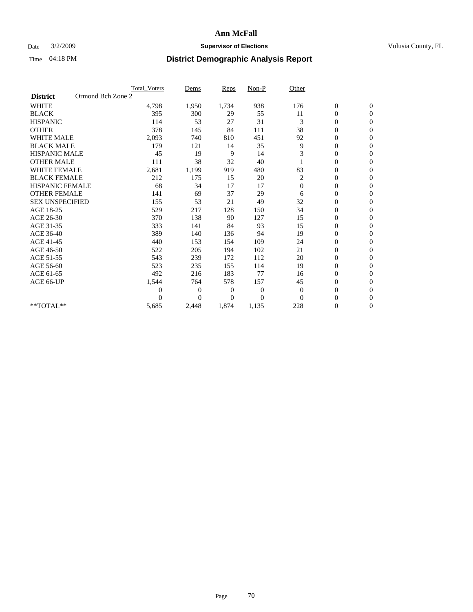## Date  $3/2/2009$  **Supervisor of Elections Supervisor of Elections** Volusia County, FL

|                        | <b>Total Voters</b> | Dems           | <b>Reps</b> | Non-P        | Other        |                  |                  |  |
|------------------------|---------------------|----------------|-------------|--------------|--------------|------------------|------------------|--|
| <b>District</b>        | Ormond Bch Zone 2   |                |             |              |              |                  |                  |  |
| <b>WHITE</b>           | 4,798               | 1,950          | 1,734       | 938          | 176          | $\boldsymbol{0}$ | $\boldsymbol{0}$ |  |
| <b>BLACK</b>           | 395                 | 300            | 29          | 55           | 11           | $\boldsymbol{0}$ | $\mathbf{0}$     |  |
| <b>HISPANIC</b>        | 114                 | 53             | 27          | 31           | 3            | $\overline{0}$   | $\mathbf{0}$     |  |
| <b>OTHER</b>           | 378                 | 145            | 84          | 111          | 38           | 0                | $\Omega$         |  |
| <b>WHITE MALE</b>      | 2,093               | 740            | 810         | 451          | 92           | $\overline{0}$   | $\mathbf{0}$     |  |
| <b>BLACK MALE</b>      | 179                 | 121            | 14          | 35           | 9            | $\overline{0}$   | $\mathbf{0}$     |  |
| <b>HISPANIC MALE</b>   | 45                  | 19             | 9           | 14           | 3            | $\overline{0}$   | $\overline{0}$   |  |
| <b>OTHER MALE</b>      | 111                 | 38             | 32          | 40           |              | 0                | $\mathbf{0}$     |  |
| <b>WHITE FEMALE</b>    | 2,681               | 1,199          | 919         | 480          | 83           | $\overline{0}$   | $\mathbf{0}$     |  |
| <b>BLACK FEMALE</b>    | 212                 | 175            | 15          | 20           | 2            | $\boldsymbol{0}$ | $\mathbf{0}$     |  |
| <b>HISPANIC FEMALE</b> | 68                  | 34             | 17          | 17           | $\mathbf{0}$ | $\boldsymbol{0}$ | $\mathbf{0}$     |  |
| <b>OTHER FEMALE</b>    | 141                 | 69             | 37          | 29           | 6            | $\mathbf{0}$     | $\Omega$         |  |
| <b>SEX UNSPECIFIED</b> | 155                 | 53             | 21          | 49           | 32           | $\overline{0}$   | $\overline{0}$   |  |
| AGE 18-25              | 529                 | 217            | 128         | 150          | 34           | $\overline{0}$   | $\mathbf{0}$     |  |
| AGE 26-30              | 370                 | 138            | 90          | 127          | 15           | $\overline{0}$   | $\mathbf{0}$     |  |
| AGE 31-35              | 333                 | 141            | 84          | 93           | 15           | $\boldsymbol{0}$ | $\overline{0}$   |  |
| AGE 36-40              | 389                 | 140            | 136         | 94           | 19           | 0                | $\mathbf{0}$     |  |
| AGE 41-45              | 440                 | 153            | 154         | 109          | 24           | $\overline{0}$   | $\mathbf{0}$     |  |
| AGE 46-50              | 522                 | 205            | 194         | 102          | 21           | $\boldsymbol{0}$ | $\overline{0}$   |  |
| AGE 51-55              | 543                 | 239            | 172         | 112          | 20           | $\boldsymbol{0}$ | $\mathbf{0}$     |  |
| AGE 56-60              | 523                 | 235            | 155         | 114          | 19           | $\overline{0}$   | $\Omega$         |  |
| AGE 61-65              | 492                 | 216            | 183         | 77           | 16           | $\overline{0}$   | $\mathbf{0}$     |  |
| AGE 66-UP              | 1,544               | 764            | 578         | 157          | 45           | $\boldsymbol{0}$ | $\mathbf{0}$     |  |
|                        | $\overline{0}$      | $\overline{0}$ | 0           | $\mathbf{0}$ | $\mathbf{0}$ | $\overline{0}$   | $\mathbf{0}$     |  |
|                        | $\theta$            | $\theta$       | $\Omega$    | $\theta$     | $\Omega$     | $\overline{0}$   | $\mathbf{0}$     |  |
| **TOTAL**              | 5,685               | 2,448          | 1,874       | 1,135        | 228          | 0                | $\mathbf{0}$     |  |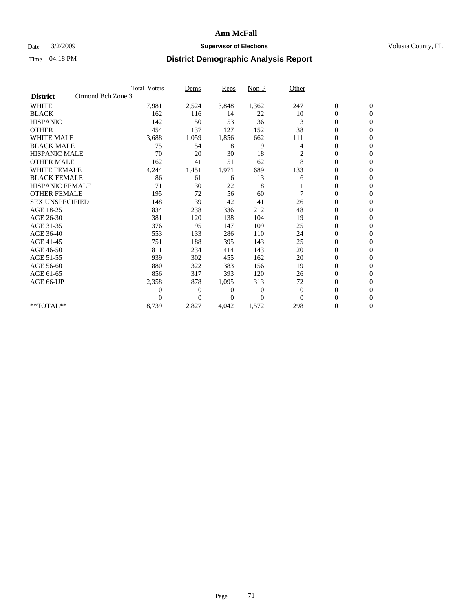### Date  $3/2/2009$  **Supervisor of Elections Supervisor of Elections** Volusia County, FL

|                        |                   | Total Voters | Dems           | <b>Reps</b> | Non-P          | Other          |                  |                  |  |
|------------------------|-------------------|--------------|----------------|-------------|----------------|----------------|------------------|------------------|--|
| <b>District</b>        | Ormond Bch Zone 3 |              |                |             |                |                |                  |                  |  |
| <b>WHITE</b>           |                   | 7,981        | 2,524          | 3,848       | 1,362          | 247            | $\boldsymbol{0}$ | $\boldsymbol{0}$ |  |
| <b>BLACK</b>           |                   | 162          | 116            | 14          | 22             | 10             | $\boldsymbol{0}$ | $\mathbf{0}$     |  |
| <b>HISPANIC</b>        |                   | 142          | 50             | 53          | 36             | 3              | $\overline{0}$   | $\mathbf{0}$     |  |
| <b>OTHER</b>           |                   | 454          | 137            | 127         | 152            | 38             | 0                | $\Omega$         |  |
| <b>WHITE MALE</b>      |                   | 3,688        | 1,059          | 1,856       | 662            | 111            | $\mathbf{0}$     | $\mathbf{0}$     |  |
| <b>BLACK MALE</b>      |                   | 75           | 54             | 8           | 9              | $\overline{4}$ | $\boldsymbol{0}$ | $\mathbf{0}$     |  |
| <b>HISPANIC MALE</b>   |                   | 70           | 20             | 30          | 18             | $\overline{c}$ | 0                | $\mathbf{0}$     |  |
| <b>OTHER MALE</b>      |                   | 162          | 41             | 51          | 62             | 8              | 0                | $\mathbf{0}$     |  |
| <b>WHITE FEMALE</b>    |                   | 4,244        | 1,451          | 1,971       | 689            | 133            | $\overline{0}$   | $\mathbf{0}$     |  |
| <b>BLACK FEMALE</b>    |                   | 86           | 61             | 6           | 13             | 6              | $\boldsymbol{0}$ | $\overline{0}$   |  |
| <b>HISPANIC FEMALE</b> |                   | 71           | 30             | 22          | 18             |                | 0                | $\mathbf{0}$     |  |
| <b>OTHER FEMALE</b>    |                   | 195          | 72             | 56          | 60             | 7              | $\mathbf{0}$     | $\mathbf{0}$     |  |
| <b>SEX UNSPECIFIED</b> |                   | 148          | 39             | 42          | 41             | 26             | $\overline{0}$   | $\overline{0}$   |  |
| AGE 18-25              |                   | 834          | 238            | 336         | 212            | 48             | 0                | $\mathbf{0}$     |  |
| AGE 26-30              |                   | 381          | 120            | 138         | 104            | 19             | $\overline{0}$   | $\mathbf{0}$     |  |
| AGE 31-35              |                   | 376          | 95             | 147         | 109            | 25             | $\boldsymbol{0}$ | $\overline{0}$   |  |
| AGE 36-40              |                   | 553          | 133            | 286         | 110            | 24             | 0                | $\mathbf{0}$     |  |
| AGE 41-45              |                   | 751          | 188            | 395         | 143            | 25             | $\overline{0}$   | $\mathbf{0}$     |  |
| AGE 46-50              |                   | 811          | 234            | 414         | 143            | 20             | $\boldsymbol{0}$ | $\overline{0}$   |  |
| AGE 51-55              |                   | 939          | 302            | 455         | 162            | 20             | $\boldsymbol{0}$ | $\mathbf{0}$     |  |
| AGE 56-60              |                   | 880          | 322            | 383         | 156            | 19             | $\overline{0}$   | $\Omega$         |  |
| AGE 61-65              |                   | 856          | 317            | 393         | 120            | 26             | $\overline{0}$   | $\overline{0}$   |  |
| AGE 66-UP              |                   | 2,358        | 878            | 1,095       | 313            | 72             | $\boldsymbol{0}$ | $\mathbf{0}$     |  |
|                        |                   | 0            | $\overline{0}$ | 0           | $\overline{0}$ | $\theta$       | $\overline{0}$   | $\mathbf{0}$     |  |
|                        |                   | $\Omega$     | $\Omega$       | $\Omega$    | $\Omega$       | $\Omega$       | $\overline{0}$   | $\mathbf{0}$     |  |
| **TOTAL**              |                   | 8,739        | 2,827          | 4,042       | 1,572          | 298            | 0                | $\mathbf{0}$     |  |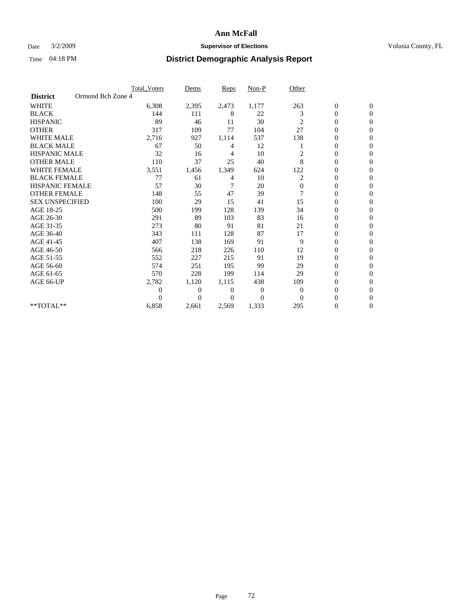## Date  $3/2/2009$  **Supervisor of Elections Supervisor of Elections** Volusia County, FL

|                                      | Total Voters   | Dems     | <b>Reps</b> | Non-P    | Other        |                  |                  |  |
|--------------------------------------|----------------|----------|-------------|----------|--------------|------------------|------------------|--|
| Ormond Bch Zone 4<br><b>District</b> |                |          |             |          |              |                  |                  |  |
| <b>WHITE</b>                         | 6,308          | 2,395    | 2,473       | 1,177    | 263          | $\boldsymbol{0}$ | $\boldsymbol{0}$ |  |
| <b>BLACK</b>                         | 144            | 111      | 8           | 22       | 3            | $\boldsymbol{0}$ | $\mathbf{0}$     |  |
| <b>HISPANIC</b>                      | 89             | 46       | 11          | 30       | 2            | $\overline{0}$   | $\mathbf{0}$     |  |
| <b>OTHER</b>                         | 317            | 109      | 77          | 104      | 27           | 0                | $\Omega$         |  |
| <b>WHITE MALE</b>                    | 2,716          | 927      | 1,114       | 537      | 138          | $\mathbf{0}$     | $\mathbf{0}$     |  |
| <b>BLACK MALE</b>                    | 67             | 50       | 4           | 12       |              | $\overline{0}$   | $\mathbf{0}$     |  |
| <b>HISPANIC MALE</b>                 | 32             | 16       | 4           | 10       | 2            | 0                | $\Omega$         |  |
| <b>OTHER MALE</b>                    | 110            | 37       | 25          | 40       | 8            | 0                | $\Omega$         |  |
| WHITE FEMALE                         | 3,551          | 1,456    | 1,349       | 624      | 122          | $\overline{0}$   | $\mathbf{0}$     |  |
| <b>BLACK FEMALE</b>                  | 77             | 61       | 4           | 10       | 2            | $\boldsymbol{0}$ | $\Omega$         |  |
| <b>HISPANIC FEMALE</b>               | 57             | 30       | 7           | 20       | $\mathbf{0}$ | 0                | $\mathbf{0}$     |  |
| <b>OTHER FEMALE</b>                  | 148            | 55       | 47          | 39       | 7            | $\overline{0}$   | $\Omega$         |  |
| <b>SEX UNSPECIFIED</b>               | 100            | 29       | 15          | 41       | 15           | $\overline{0}$   | $\overline{0}$   |  |
| AGE 18-25                            | 500            | 199      | 128         | 139      | 34           | 0                | $\mathbf{0}$     |  |
| AGE 26-30                            | 291            | 89       | 103         | 83       | 16           | $\overline{0}$   | $\mathbf{0}$     |  |
| AGE 31-35                            | 273            | 80       | 91          | 81       | 21           | $\boldsymbol{0}$ | $\overline{0}$   |  |
| AGE 36-40                            | 343            | 111      | 128         | 87       | 17           | 0                | $\mathbf{0}$     |  |
| AGE 41-45                            | 407            | 138      | 169         | 91       | 9            | $\overline{0}$   | $\Omega$         |  |
| AGE 46-50                            | 566            | 218      | 226         | 110      | 12           | 0                | $\Omega$         |  |
| AGE 51-55                            | 552            | 227      | 215         | 91       | 19           | $\boldsymbol{0}$ | $\mathbf{0}$     |  |
| AGE 56-60                            | 574            | 251      | 195         | 99       | 29           | 0                | $\Omega$         |  |
| AGE 61-65                            | 570            | 228      | 199         | 114      | 29           | 0                | $\overline{0}$   |  |
| AGE 66-UP                            | 2,782          | 1,120    | 1,115       | 438      | 109          | 0                | $\mathbf{0}$     |  |
|                                      | $\overline{0}$ | 0        | 0           | 0        | $\mathbf{0}$ | $\overline{0}$   | $\mathbf{0}$     |  |
|                                      | $\theta$       | $\theta$ | $\Omega$    | $\Omega$ | $\Omega$     | $\overline{0}$   | $\Omega$         |  |
| **TOTAL**                            | 6,858          | 2,661    | 2,569       | 1,333    | 295          | 0                | $\overline{0}$   |  |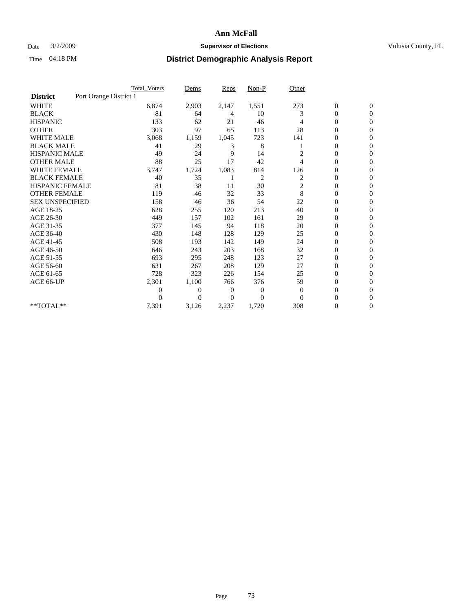#### Date  $3/2/2009$  **Supervisor of Elections Supervisor of Elections** Volusia County, FL

|                        |                        | <b>Total Voters</b> | Dems           | <b>Reps</b> | Non-P          | Other                   |                  |                  |  |
|------------------------|------------------------|---------------------|----------------|-------------|----------------|-------------------------|------------------|------------------|--|
| <b>District</b>        | Port Orange District 1 |                     |                |             |                |                         |                  |                  |  |
| <b>WHITE</b>           |                        | 6,874               | 2,903          | 2,147       | 1,551          | 273                     | $\boldsymbol{0}$ | $\boldsymbol{0}$ |  |
| <b>BLACK</b>           |                        | 81                  | 64             | 4           | 10             | 3                       | $\boldsymbol{0}$ | $\mathbf{0}$     |  |
| <b>HISPANIC</b>        |                        | 133                 | 62             | 21          | 46             | 4                       | $\overline{0}$   | $\mathbf{0}$     |  |
| <b>OTHER</b>           |                        | 303                 | 97             | 65          | 113            | 28                      | 0                | $\Omega$         |  |
| <b>WHITE MALE</b>      |                        | 3,068               | 1,159          | 1,045       | 723            | 141                     | $\mathbf{0}$     | $\mathbf{0}$     |  |
| <b>BLACK MALE</b>      |                        | 41                  | 29             | 3           | 8              |                         | $\overline{0}$   | $\mathbf{0}$     |  |
| <b>HISPANIC MALE</b>   |                        | 49                  | 24             | 9           | 14             | 2                       | $\overline{0}$   | $\mathbf{0}$     |  |
| <b>OTHER MALE</b>      |                        | 88                  | 25             | 17          | 42             | 4                       | 0                | $\mathbf{0}$     |  |
| <b>WHITE FEMALE</b>    |                        | 3,747               | 1,724          | 1,083       | 814            | 126                     | $\overline{0}$   | $\mathbf{0}$     |  |
| <b>BLACK FEMALE</b>    |                        | 40                  | 35             |             | $\overline{c}$ | 2                       | $\boldsymbol{0}$ | $\mathbf{0}$     |  |
| <b>HISPANIC FEMALE</b> |                        | 81                  | 38             | 11          | 30             | $\overline{\mathbf{c}}$ | 0                | $\mathbf{0}$     |  |
| <b>OTHER FEMALE</b>    |                        | 119                 | 46             | 32          | 33             | 8                       | $\mathbf{0}$     | $\Omega$         |  |
| <b>SEX UNSPECIFIED</b> |                        | 158                 | 46             | 36          | 54             | 22                      | $\overline{0}$   | $\overline{0}$   |  |
| AGE 18-25              |                        | 628                 | 255            | 120         | 213            | 40                      | $\overline{0}$   | $\mathbf{0}$     |  |
| AGE 26-30              |                        | 449                 | 157            | 102         | 161            | 29                      | $\overline{0}$   | $\mathbf{0}$     |  |
| AGE 31-35              |                        | 377                 | 145            | 94          | 118            | 20                      | $\boldsymbol{0}$ | $\overline{0}$   |  |
| AGE 36-40              |                        | 430                 | 148            | 128         | 129            | 25                      | 0                | $\mathbf{0}$     |  |
| AGE 41-45              |                        | 508                 | 193            | 142         | 149            | 24                      | $\overline{0}$   | $\Omega$         |  |
| AGE 46-50              |                        | 646                 | 243            | 203         | 168            | 32                      | $\boldsymbol{0}$ | $\overline{0}$   |  |
| AGE 51-55              |                        | 693                 | 295            | 248         | 123            | 27                      | $\boldsymbol{0}$ | $\mathbf{0}$     |  |
| AGE 56-60              |                        | 631                 | 267            | 208         | 129            | 27                      | $\overline{0}$   | $\Omega$         |  |
| AGE 61-65              |                        | 728                 | 323            | 226         | 154            | 25                      | $\overline{0}$   | $\overline{0}$   |  |
| AGE 66-UP              |                        | 2,301               | 1,100          | 766         | 376            | 59                      | $\boldsymbol{0}$ | $\mathbf{0}$     |  |
|                        |                        | $\overline{0}$      | $\overline{0}$ | 0           | $\mathbf{0}$   | $\mathbf{0}$            | $\overline{0}$   | $\mathbf{0}$     |  |
|                        |                        | $\theta$            | $\theta$       | $\Omega$    | $\Omega$       | $\Omega$                | $\overline{0}$   | $\overline{0}$   |  |
| **TOTAL**              |                        | 7,391               | 3,126          | 2,237       | 1,720          | 308                     | 0                | $\overline{0}$   |  |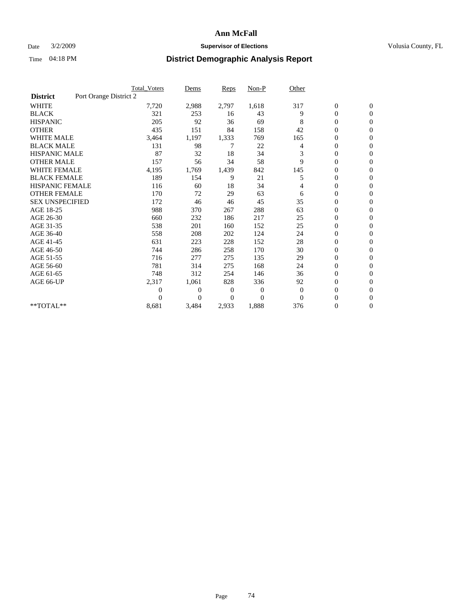### Date  $3/2/2009$  **Supervisor of Elections Supervisor of Elections** Volusia County, FL

|                        |                        | <b>Total Voters</b> | Dems           | <b>Reps</b> | $Non-P$      | Other        |                  |                  |  |
|------------------------|------------------------|---------------------|----------------|-------------|--------------|--------------|------------------|------------------|--|
| <b>District</b>        | Port Orange District 2 |                     |                |             |              |              |                  |                  |  |
| <b>WHITE</b>           |                        | 7,720               | 2,988          | 2,797       | 1,618        | 317          | $\boldsymbol{0}$ | $\boldsymbol{0}$ |  |
| <b>BLACK</b>           |                        | 321                 | 253            | 16          | 43           | 9            | $\boldsymbol{0}$ | $\mathbf{0}$     |  |
| <b>HISPANIC</b>        |                        | 205                 | 92             | 36          | 69           | 8            | $\overline{0}$   | $\mathbf{0}$     |  |
| <b>OTHER</b>           |                        | 435                 | 151            | 84          | 158          | 42           | 0                | $\Omega$         |  |
| <b>WHITE MALE</b>      |                        | 3,464               | 1,197          | 1,333       | 769          | 165          | $\overline{0}$   | $\mathbf{0}$     |  |
| <b>BLACK MALE</b>      |                        | 131                 | 98             | 7           | 22           | 4            | $\overline{0}$   | $\mathbf{0}$     |  |
| <b>HISPANIC MALE</b>   |                        | 87                  | 32             | 18          | 34           | 3            | $\overline{0}$   | $\mathbf{0}$     |  |
| <b>OTHER MALE</b>      |                        | 157                 | 56             | 34          | 58           | 9            | $\boldsymbol{0}$ | $\mathbf{0}$     |  |
| <b>WHITE FEMALE</b>    |                        | 4,195               | 1,769          | 1,439       | 842          | 145          | $\overline{0}$   | $\mathbf{0}$     |  |
| <b>BLACK FEMALE</b>    |                        | 189                 | 154            | 9           | 21           | 5            | $\boldsymbol{0}$ | $\mathbf{0}$     |  |
| <b>HISPANIC FEMALE</b> |                        | 116                 | 60             | 18          | 34           | 4            | 0                | $\mathbf{0}$     |  |
| <b>OTHER FEMALE</b>    |                        | 170                 | 72             | 29          | 63           | 6            | $\overline{0}$   | $\mathbf{0}$     |  |
| <b>SEX UNSPECIFIED</b> |                        | 172                 | 46             | 46          | 45           | 35           | $\overline{0}$   | $\mathbf{0}$     |  |
| AGE 18-25              |                        | 988                 | 370            | 267         | 288          | 63           | $\overline{0}$   | $\mathbf{0}$     |  |
| AGE 26-30              |                        | 660                 | 232            | 186         | 217          | 25           | $\overline{0}$   | $\mathbf{0}$     |  |
| AGE 31-35              |                        | 538                 | 201            | 160         | 152          | 25           | $\boldsymbol{0}$ | $\mathbf{0}$     |  |
| AGE 36-40              |                        | 558                 | 208            | 202         | 124          | 24           | 0                | $\mathbf{0}$     |  |
| AGE 41-45              |                        | 631                 | 223            | 228         | 152          | 28           | $\overline{0}$   | $\mathbf{0}$     |  |
| AGE 46-50              |                        | 744                 | 286            | 258         | 170          | 30           | $\boldsymbol{0}$ | $\mathbf{0}$     |  |
| AGE 51-55              |                        | 716                 | 277            | 275         | 135          | 29           | $\boldsymbol{0}$ | $\mathbf{0}$     |  |
| AGE 56-60              |                        | 781                 | 314            | 275         | 168          | 24           | $\overline{0}$   | $\Omega$         |  |
| AGE 61-65              |                        | 748                 | 312            | 254         | 146          | 36           | $\overline{0}$   | $\mathbf{0}$     |  |
| AGE 66-UP              |                        | 2,317               | 1,061          | 828         | 336          | 92           | $\boldsymbol{0}$ | $\mathbf{0}$     |  |
|                        |                        | 0                   | $\overline{0}$ | 0           | $\mathbf{0}$ | $\mathbf{0}$ | $\overline{0}$   | $\mathbf{0}$     |  |
|                        |                        | $\theta$            | $\overline{0}$ | $\Omega$    | $\Omega$     | $\Omega$     | $\overline{0}$   | $\mathbf{0}$     |  |
| **TOTAL**              |                        | 8,681               | 3,484          | 2,933       | 1,888        | 376          | 0                | $\mathbf{0}$     |  |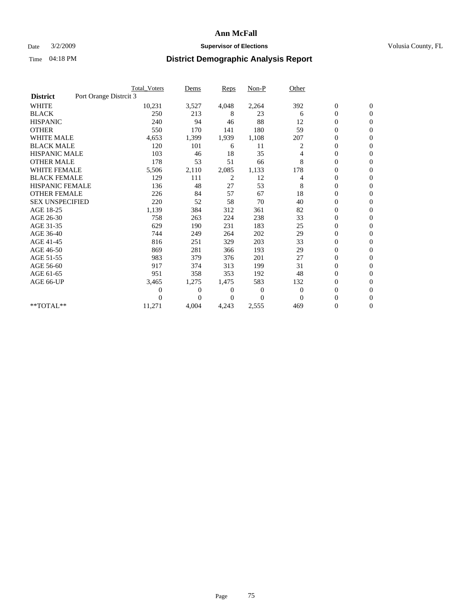### Date  $3/2/2009$  **Supervisor of Elections Supervisor of Elections** Volusia County, FL

|                        | Total Voters           | Dems     | <b>Reps</b> | $Non-P$  | Other        |                  |                  |  |
|------------------------|------------------------|----------|-------------|----------|--------------|------------------|------------------|--|
| <b>District</b>        | Port Orange Distrcit 3 |          |             |          |              |                  |                  |  |
| <b>WHITE</b>           | 10,231                 | 3,527    | 4,048       | 2,264    | 392          | $\boldsymbol{0}$ | $\boldsymbol{0}$ |  |
| <b>BLACK</b>           | 250                    | 213      | 8           | 23       | 6            | $\boldsymbol{0}$ | $\mathbf{0}$     |  |
| <b>HISPANIC</b>        | 240                    | 94       | 46          | 88       | 12           | $\overline{0}$   | $\mathbf{0}$     |  |
| <b>OTHER</b>           | 550                    | 170      | 141         | 180      | 59           | $\boldsymbol{0}$ | $\Omega$         |  |
| <b>WHITE MALE</b>      | 4,653                  | 1,399    | 1,939       | 1,108    | 207          | $\overline{0}$   | $\mathbf{0}$     |  |
| <b>BLACK MALE</b>      | 120                    | 101      | 6           | 11       | 2            | $\boldsymbol{0}$ | $\mathbf{0}$     |  |
| <b>HISPANIC MALE</b>   | 103                    | 46       | 18          | 35       | 4            | $\boldsymbol{0}$ | $\mathbf{0}$     |  |
| <b>OTHER MALE</b>      | 178                    | 53       | 51          | 66       | 8            | 0                | $\mathbf{0}$     |  |
| <b>WHITE FEMALE</b>    | 5,506                  | 2,110    | 2,085       | 1,133    | 178          | $\overline{0}$   | $\mathbf{0}$     |  |
| <b>BLACK FEMALE</b>    | 129                    | 111      | 2           | 12       | 4            | $\boldsymbol{0}$ | $\mathbf{0}$     |  |
| <b>HISPANIC FEMALE</b> | 136                    | 48       | 27          | 53       | 8            | $\boldsymbol{0}$ | $\mathbf{0}$     |  |
| <b>OTHER FEMALE</b>    | 226                    | 84       | 57          | 67       | 18           | $\mathbf{0}$     | $\mathbf{0}$     |  |
| <b>SEX UNSPECIFIED</b> | 220                    | 52       | 58          | 70       | 40           | $\boldsymbol{0}$ | $\mathbf{0}$     |  |
| AGE 18-25              | 1,139                  | 384      | 312         | 361      | 82           | $\overline{0}$   | $\mathbf{0}$     |  |
| AGE 26-30              | 758                    | 263      | 224         | 238      | 33           | $\overline{0}$   | $\mathbf{0}$     |  |
| AGE 31-35              | 629                    | 190      | 231         | 183      | 25           | $\boldsymbol{0}$ | $\mathbf{0}$     |  |
| AGE 36-40              | 744                    | 249      | 264         | 202      | 29           | 0                | $\mathbf{0}$     |  |
| AGE 41-45              | 816                    | 251      | 329         | 203      | 33           | $\overline{0}$   | $\mathbf{0}$     |  |
| AGE 46-50              | 869                    | 281      | 366         | 193      | 29           | $\boldsymbol{0}$ | $\mathbf{0}$     |  |
| AGE 51-55              | 983                    | 379      | 376         | 201      | 27           | $\boldsymbol{0}$ | $\mathbf{0}$     |  |
| AGE 56-60              | 917                    | 374      | 313         | 199      | 31           | $\overline{0}$   | $\Omega$         |  |
| AGE 61-65              | 951                    | 358      | 353         | 192      | 48           | $\overline{0}$   | $\mathbf{0}$     |  |
| AGE 66-UP              | 3,465                  | 1,275    | 1,475       | 583      | 132          | $\boldsymbol{0}$ | $\mathbf{0}$     |  |
|                        | 0                      | 0        | 0           | $\bf{0}$ | $\mathbf{0}$ | $\overline{0}$   | $\mathbf{0}$     |  |
|                        | $\theta$               | $\theta$ | $\Omega$    | $\Omega$ | $\Omega$     | $\boldsymbol{0}$ | $\mathbf{0}$     |  |
| **TOTAL**              | 11,271                 | 4,004    | 4,243       | 2,555    | 469          | 0                | $\mathbf{0}$     |  |